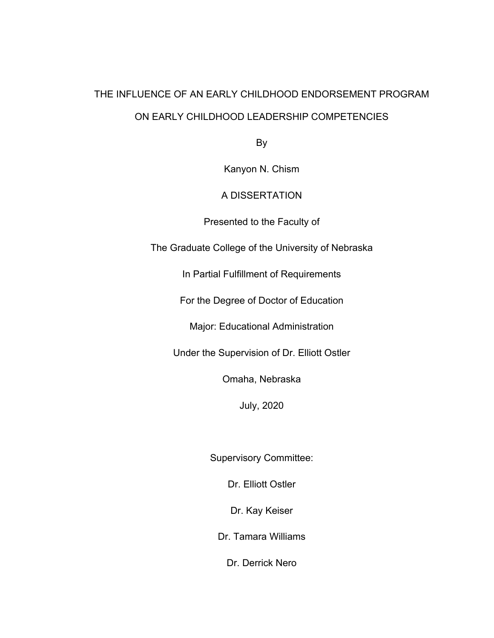# THE INFLUENCE OF AN EARLY CHILDHOOD ENDORSEMENT PROGRAM ON EARLY CHILDHOOD LEADERSHIP COMPETENCIES

By

Kanyon N. Chism

### A DISSERTATION

Presented to the Faculty of

The Graduate College of the University of Nebraska

In Partial Fulfillment of Requirements

For the Degree of Doctor of Education

Major: Educational Administration

Under the Supervision of Dr. Elliott Ostler

Omaha, Nebraska

July, 2020

Supervisory Committee:

Dr. Elliott Ostler

Dr. Kay Keiser

Dr. Tamara Williams

Dr. Derrick Nero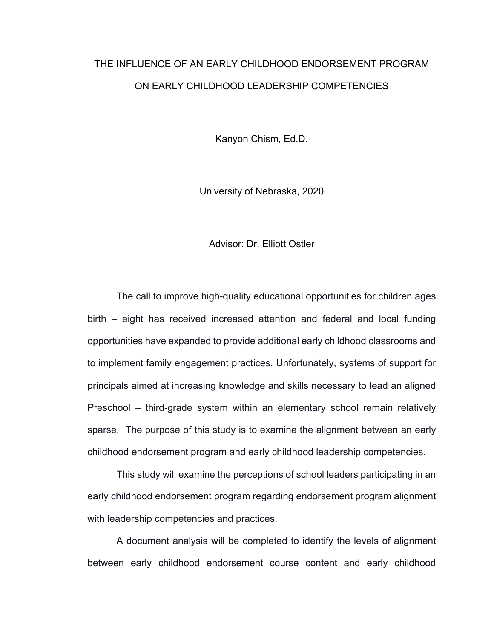# THE INFLUENCE OF AN EARLY CHILDHOOD ENDORSEMENT PROGRAM ON EARLY CHILDHOOD LEADERSHIP COMPETENCIES

Kanyon Chism, Ed.D.

University of Nebraska, 2020

#### Advisor: Dr. Elliott Ostler

The call to improve high-quality educational opportunities for children ages birth – eight has received increased attention and federal and local funding opportunities have expanded to provide additional early childhood classrooms and to implement family engagement practices. Unfortunately, systems of support for principals aimed at increasing knowledge and skills necessary to lead an aligned Preschool – third-grade system within an elementary school remain relatively sparse. The purpose of this study is to examine the alignment between an early childhood endorsement program and early childhood leadership competencies.

This study will examine the perceptions of school leaders participating in an early childhood endorsement program regarding endorsement program alignment with leadership competencies and practices.

A document analysis will be completed to identify the levels of alignment between early childhood endorsement course content and early childhood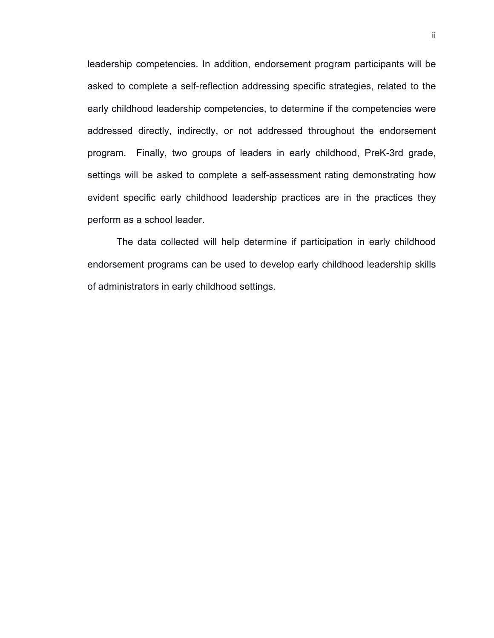leadership competencies. In addition, endorsement program participants will be asked to complete a self-reflection addressing specific strategies, related to the early childhood leadership competencies, to determine if the competencies were addressed directly, indirectly, or not addressed throughout the endorsement program. Finally, two groups of leaders in early childhood, PreK-3rd grade, settings will be asked to complete a self-assessment rating demonstrating how evident specific early childhood leadership practices are in the practices they perform as a school leader.

The data collected will help determine if participation in early childhood endorsement programs can be used to develop early childhood leadership skills of administrators in early childhood settings.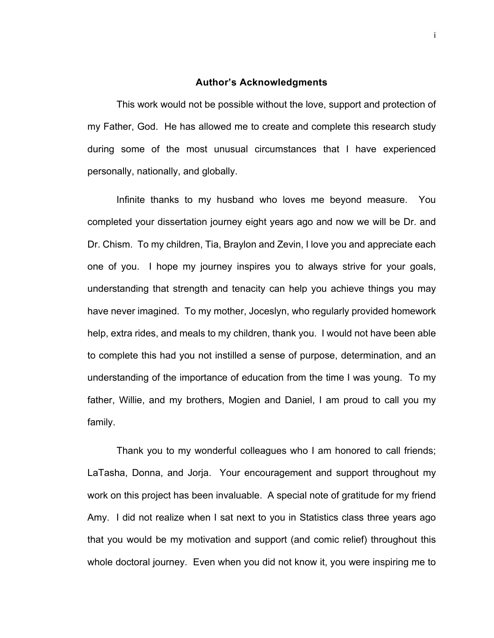#### **Author's Acknowledgments**

This work would not be possible without the love, support and protection of my Father, God. He has allowed me to create and complete this research study during some of the most unusual circumstances that I have experienced personally, nationally, and globally.

Infinite thanks to my husband who loves me beyond measure. You completed your dissertation journey eight years ago and now we will be Dr. and Dr. Chism. To my children, Tia, Braylon and Zevin, I love you and appreciate each one of you. I hope my journey inspires you to always strive for your goals, understanding that strength and tenacity can help you achieve things you may have never imagined. To my mother, Joceslyn, who regularly provided homework help, extra rides, and meals to my children, thank you. I would not have been able to complete this had you not instilled a sense of purpose, determination, and an understanding of the importance of education from the time I was young. To my father, Willie, and my brothers, Mogien and Daniel, I am proud to call you my family.

Thank you to my wonderful colleagues who I am honored to call friends; LaTasha, Donna, and Jorja. Your encouragement and support throughout my work on this project has been invaluable. A special note of gratitude for my friend Amy. I did not realize when I sat next to you in Statistics class three years ago that you would be my motivation and support (and comic relief) throughout this whole doctoral journey. Even when you did not know it, you were inspiring me to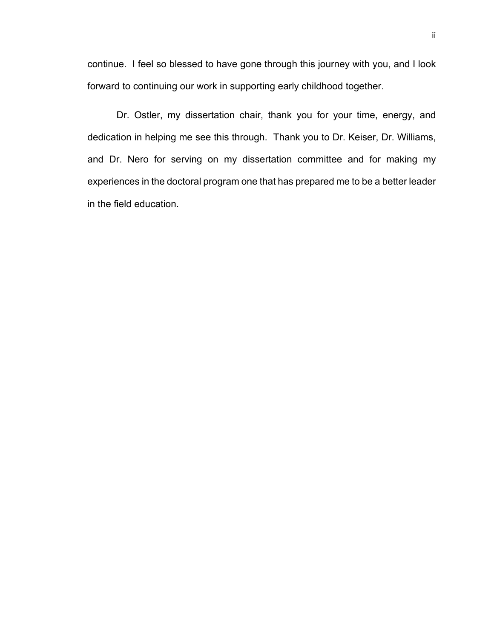continue. I feel so blessed to have gone through this journey with you, and I look forward to continuing our work in supporting early childhood together.

Dr. Ostler, my dissertation chair, thank you for your time, energy, and dedication in helping me see this through. Thank you to Dr. Keiser, Dr. Williams, and Dr. Nero for serving on my dissertation committee and for making my experiences in the doctoral program one that has prepared me to be a better leader in the field education.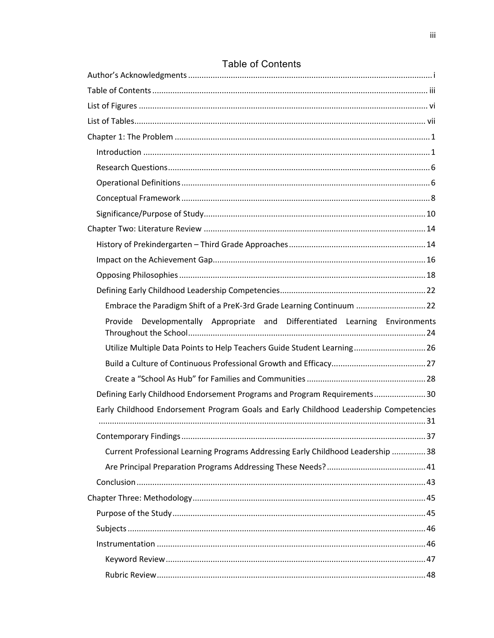| Embrace the Paradigm Shift of a PreK-3rd Grade Learning Continuum 22                  |  |
|---------------------------------------------------------------------------------------|--|
| Provide Developmentally Appropriate and Differentiated Learning Environments          |  |
| Utilize Multiple Data Points to Help Teachers Guide Student Learning 26               |  |
|                                                                                       |  |
|                                                                                       |  |
| Defining Early Childhood Endorsement Programs and Program Requirements30              |  |
| Early Childhood Endorsement Program Goals and Early Childhood Leadership Competencies |  |
|                                                                                       |  |
|                                                                                       |  |
| Current Professional Learning Programs Addressing Early Childhood Leadership 38       |  |
|                                                                                       |  |
|                                                                                       |  |
|                                                                                       |  |
|                                                                                       |  |
|                                                                                       |  |
|                                                                                       |  |
|                                                                                       |  |
|                                                                                       |  |

## **Table of Contents**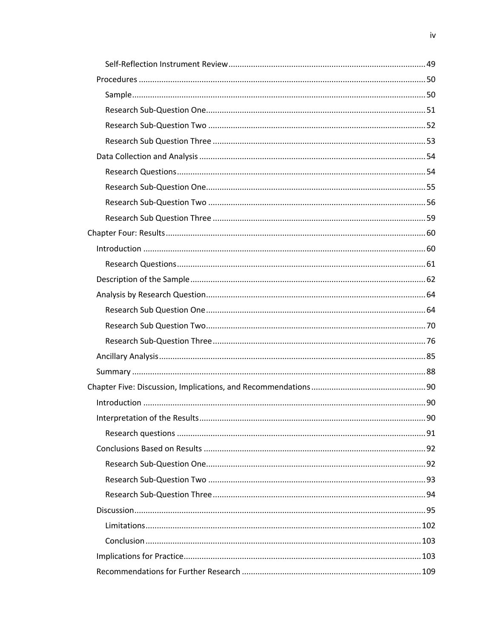| 90 |
|----|
|    |
|    |
|    |
|    |
|    |
|    |
|    |
|    |
|    |
|    |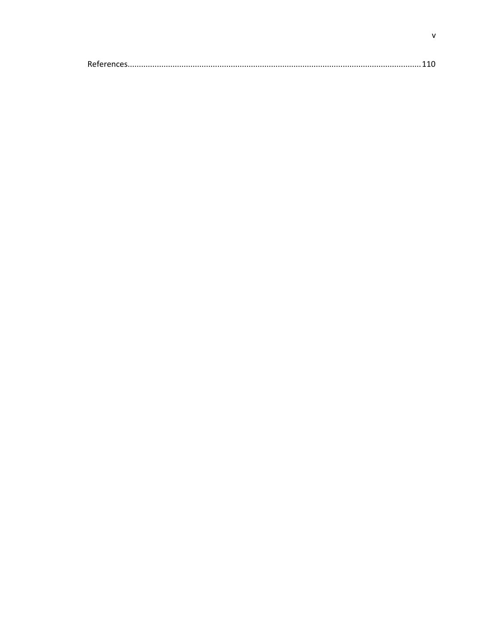|--|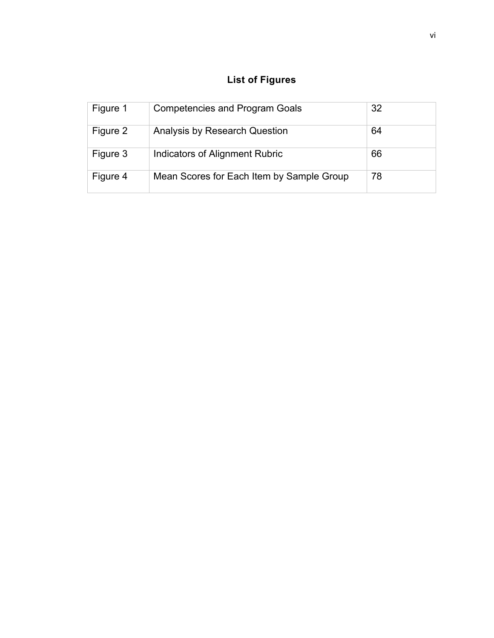## **List of Figures**

| Figure 1 | <b>Competencies and Program Goals</b>     | 32 |
|----------|-------------------------------------------|----|
| Figure 2 | Analysis by Research Question             | 64 |
| Figure 3 | <b>Indicators of Alignment Rubric</b>     | 66 |
| Figure 4 | Mean Scores for Each Item by Sample Group | 78 |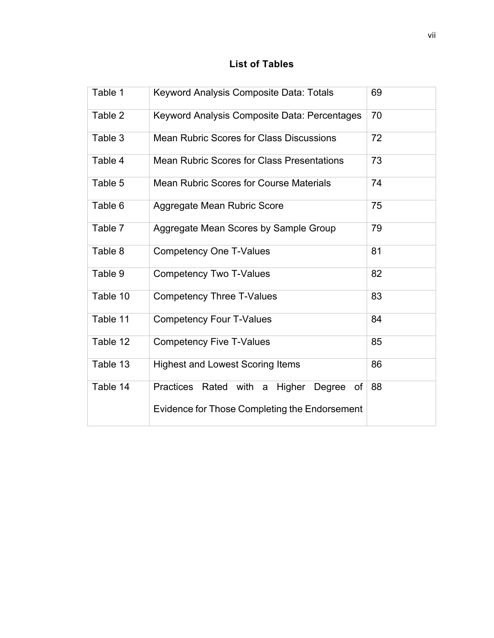### **List of Tables**

| Table 1  | Keyword Analysis Composite Data: Totals                 | 69 |
|----------|---------------------------------------------------------|----|
| Table 2  | Keyword Analysis Composite Data: Percentages            | 70 |
| Table 3  | <b>Mean Rubric Scores for Class Discussions</b>         | 72 |
| Table 4  | <b>Mean Rubric Scores for Class Presentations</b>       | 73 |
| Table 5  | <b>Mean Rubric Scores for Course Materials</b>          | 74 |
| Table 6  | Aggregate Mean Rubric Score                             | 75 |
| Table 7  | Aggregate Mean Scores by Sample Group                   | 79 |
| Table 8  | <b>Competency One T-Values</b>                          | 81 |
| Table 9  | <b>Competency Two T-Values</b>                          | 82 |
| Table 10 | <b>Competency Three T-Values</b>                        | 83 |
| Table 11 | <b>Competency Four T-Values</b>                         | 84 |
| Table 12 | <b>Competency Five T-Values</b>                         | 85 |
| Table 13 | <b>Highest and Lowest Scoring Items</b>                 | 86 |
| Table 14 | <b>Practices</b><br>Rated with a Higher<br>of<br>Degree | 88 |
|          | Evidence for Those Completing the Endorsement           |    |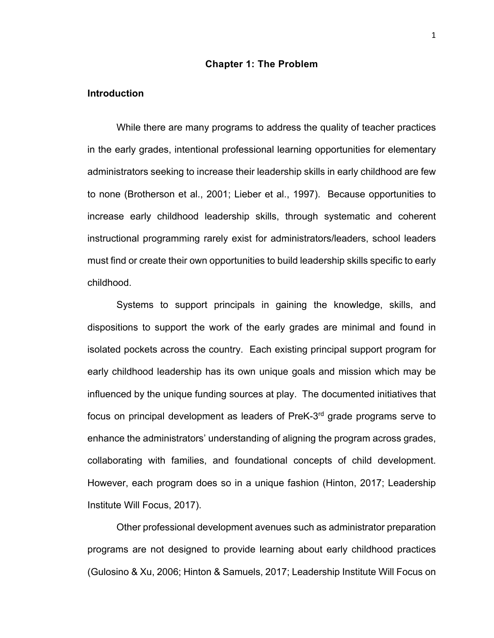#### **Chapter 1: The Problem**

#### **Introduction**

While there are many programs to address the quality of teacher practices in the early grades, intentional professional learning opportunities for elementary administrators seeking to increase their leadership skills in early childhood are few to none (Brotherson et al., 2001; Lieber et al., 1997). Because opportunities to increase early childhood leadership skills, through systematic and coherent instructional programming rarely exist for administrators/leaders, school leaders must find or create their own opportunities to build leadership skills specific to early childhood.

Systems to support principals in gaining the knowledge, skills, and dispositions to support the work of the early grades are minimal and found in isolated pockets across the country. Each existing principal support program for early childhood leadership has its own unique goals and mission which may be influenced by the unique funding sources at play. The documented initiatives that focus on principal development as leaders of PreK-3rd grade programs serve to enhance the administrators' understanding of aligning the program across grades, collaborating with families, and foundational concepts of child development. However, each program does so in a unique fashion (Hinton, 2017; Leadership Institute Will Focus, 2017).

Other professional development avenues such as administrator preparation programs are not designed to provide learning about early childhood practices (Gulosino & Xu, 2006; Hinton & Samuels, 2017; Leadership Institute Will Focus on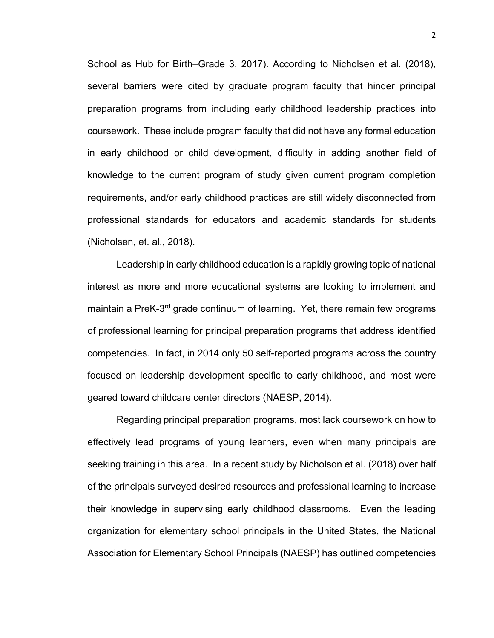School as Hub for Birth–Grade 3, 2017). According to Nicholsen et al. (2018), several barriers were cited by graduate program faculty that hinder principal preparation programs from including early childhood leadership practices into coursework. These include program faculty that did not have any formal education in early childhood or child development, difficulty in adding another field of knowledge to the current program of study given current program completion requirements, and/or early childhood practices are still widely disconnected from professional standards for educators and academic standards for students (Nicholsen, et. al., 2018).

Leadership in early childhood education is a rapidly growing topic of national interest as more and more educational systems are looking to implement and maintain a PreK-3<sup>rd</sup> grade continuum of learning. Yet, there remain few programs of professional learning for principal preparation programs that address identified competencies. In fact, in 2014 only 50 self-reported programs across the country focused on leadership development specific to early childhood, and most were geared toward childcare center directors (NAESP, 2014).

Regarding principal preparation programs, most lack coursework on how to effectively lead programs of young learners, even when many principals are seeking training in this area. In a recent study by Nicholson et al. (2018) over half of the principals surveyed desired resources and professional learning to increase their knowledge in supervising early childhood classrooms. Even the leading organization for elementary school principals in the United States, the National Association for Elementary School Principals (NAESP) has outlined competencies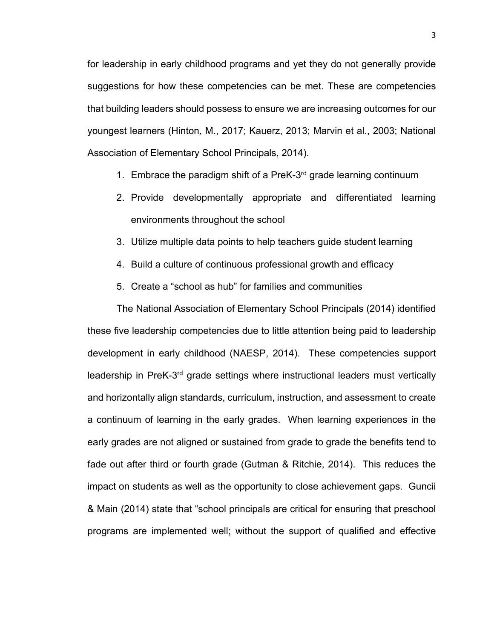for leadership in early childhood programs and yet they do not generally provide suggestions for how these competencies can be met. These are competencies that building leaders should possess to ensure we are increasing outcomes for our youngest learners (Hinton, M., 2017; Kauerz, 2013; Marvin et al., 2003; National Association of Elementary School Principals, 2014).

- 1. Embrace the paradigm shift of a PreK-3<sup>rd</sup> grade learning continuum
- 2. Provide developmentally appropriate and differentiated learning environments throughout the school
- 3. Utilize multiple data points to help teachers guide student learning
- 4. Build a culture of continuous professional growth and efficacy
- 5. Create a "school as hub" for families and communities

The National Association of Elementary School Principals (2014) identified these five leadership competencies due to little attention being paid to leadership development in early childhood (NAESP, 2014). These competencies support leadership in PreK-3rd grade settings where instructional leaders must vertically and horizontally align standards, curriculum, instruction, and assessment to create a continuum of learning in the early grades. When learning experiences in the early grades are not aligned or sustained from grade to grade the benefits tend to fade out after third or fourth grade (Gutman & Ritchie, 2014). This reduces the impact on students as well as the opportunity to close achievement gaps. Guncii & Main (2014) state that "school principals are critical for ensuring that preschool programs are implemented well; without the support of qualified and effective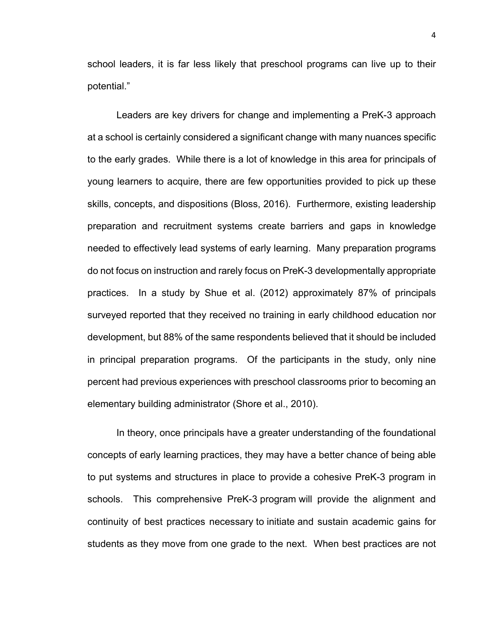school leaders, it is far less likely that preschool programs can live up to their potential."

Leaders are key drivers for change and implementing a PreK-3 approach at a school is certainly considered a significant change with many nuances specific to the early grades. While there is a lot of knowledge in this area for principals of young learners to acquire, there are few opportunities provided to pick up these skills, concepts, and dispositions (Bloss, 2016). Furthermore, existing leadership preparation and recruitment systems create barriers and gaps in knowledge needed to effectively lead systems of early learning. Many preparation programs do not focus on instruction and rarely focus on PreK-3 developmentally appropriate practices. In a study by Shue et al. (2012) approximately 87% of principals surveyed reported that they received no training in early childhood education nor development, but 88% of the same respondents believed that it should be included in principal preparation programs. Of the participants in the study, only nine percent had previous experiences with preschool classrooms prior to becoming an elementary building administrator (Shore et al., 2010).

In theory, once principals have a greater understanding of the foundational concepts of early learning practices, they may have a better chance of being able to put systems and structures in place to provide a cohesive PreK-3 program in schools. This comprehensive PreK-3 program will provide the alignment and continuity of best practices necessary to initiate and sustain academic gains for students as they move from one grade to the next. When best practices are not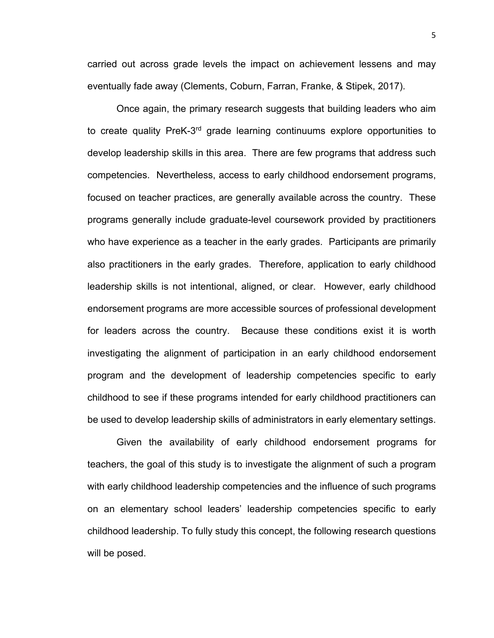carried out across grade levels the impact on achievement lessens and may eventually fade away (Clements, Coburn, Farran, Franke, & Stipek, 2017).

Once again, the primary research suggests that building leaders who aim to create quality PreK-3<sup>rd</sup> grade learning continuums explore opportunities to develop leadership skills in this area. There are few programs that address such competencies. Nevertheless, access to early childhood endorsement programs, focused on teacher practices, are generally available across the country. These programs generally include graduate-level coursework provided by practitioners who have experience as a teacher in the early grades. Participants are primarily also practitioners in the early grades. Therefore, application to early childhood leadership skills is not intentional, aligned, or clear. However, early childhood endorsement programs are more accessible sources of professional development for leaders across the country. Because these conditions exist it is worth investigating the alignment of participation in an early childhood endorsement program and the development of leadership competencies specific to early childhood to see if these programs intended for early childhood practitioners can be used to develop leadership skills of administrators in early elementary settings.

Given the availability of early childhood endorsement programs for teachers, the goal of this study is to investigate the alignment of such a program with early childhood leadership competencies and the influence of such programs on an elementary school leaders' leadership competencies specific to early childhood leadership. To fully study this concept, the following research questions will be posed.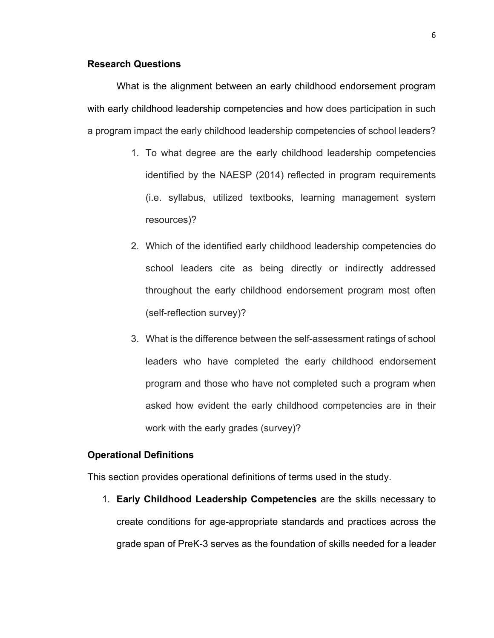#### **Research Questions**

What is the alignment between an early childhood endorsement program with early childhood leadership competencies and how does participation in such a program impact the early childhood leadership competencies of school leaders?

- 1. To what degree are the early childhood leadership competencies identified by the NAESP (2014) reflected in program requirements (i.e. syllabus, utilized textbooks, learning management system resources)?
- 2. Which of the identified early childhood leadership competencies do school leaders cite as being directly or indirectly addressed throughout the early childhood endorsement program most often (self-reflection survey)?
- 3. What is the difference between the self-assessment ratings of school leaders who have completed the early childhood endorsement program and those who have not completed such a program when asked how evident the early childhood competencies are in their work with the early grades (survey)?

#### **Operational Definitions**

This section provides operational definitions of terms used in the study.

1. **Early Childhood Leadership Competencies** are the skills necessary to create conditions for age-appropriate standards and practices across the grade span of PreK-3 serves as the foundation of skills needed for a leader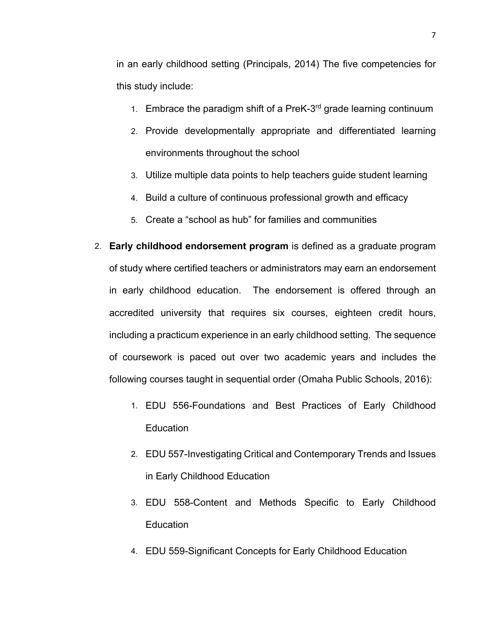in an early childhood setting (Principals, 2014) The five competencies for this study include:

- 1. Embrace the paradigm shift of a PreK- $3<sup>rd</sup>$  grade learning continuum
- 2. Provide developmentally appropriate and differentiated learning environments throughout the school
- 3. Utilize multiple data points to help teachers guide student learning
- 4. Build a culture of continuous professional growth and efficacy
- 5. Create a "school as hub" for families and communities
- 2. **Early childhood endorsement program** is defined as a graduate program of study where certified teachers or administrators may earn an endorsement in early childhood education. The endorsement is offered through an accredited university that requires six courses, eighteen credit hours, including a practicum experience in an early childhood setting. The sequence of coursework is paced out over two academic years and includes the following courses taught in sequential order (Omaha Public Schools, 2016):
	- 1. EDU 556-Foundations and Best Practices of Early Childhood **Education**
	- 2. EDU 557-Investigating Critical and Contemporary Trends and Issues in Early Childhood Education
	- 3. EDU 558-Content and Methods Specific to Early Childhood Education
	- 4. EDU 559-Significant Concepts for Early Childhood Education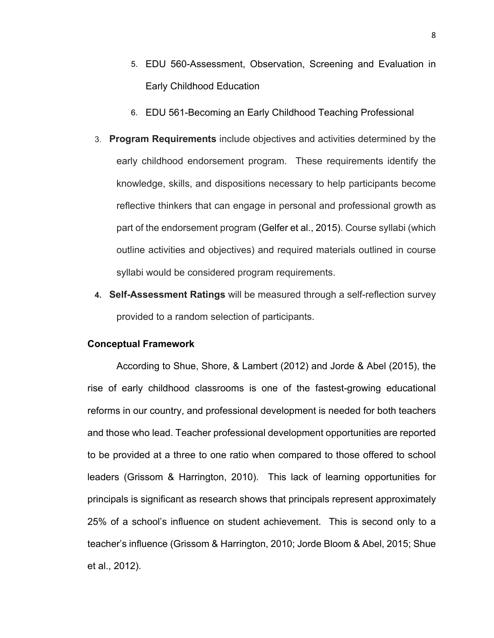- 5. EDU 560-Assessment, Observation, Screening and Evaluation in Early Childhood Education
- 6. EDU 561-Becoming an Early Childhood Teaching Professional
- 3. **Program Requirements** include objectives and activities determined by the early childhood endorsement program. These requirements identify the knowledge, skills, and dispositions necessary to help participants become reflective thinkers that can engage in personal and professional growth as part of the endorsement program (Gelfer et al., 2015). Course syllabi (which outline activities and objectives) and required materials outlined in course syllabi would be considered program requirements.
- **4. Self-Assessment Ratings** will be measured through a self-reflection survey provided to a random selection of participants.

#### **Conceptual Framework**

According to Shue, Shore, & Lambert (2012) and Jorde & Abel (2015), the rise of early childhood classrooms is one of the fastest-growing educational reforms in our country, and professional development is needed for both teachers and those who lead. Teacher professional development opportunities are reported to be provided at a three to one ratio when compared to those offered to school leaders (Grissom & Harrington, 2010). This lack of learning opportunities for principals is significant as research shows that principals represent approximately 25% of a school's influence on student achievement. This is second only to a teacher's influence (Grissom & Harrington, 2010; Jorde Bloom & Abel, 2015; Shue et al., 2012).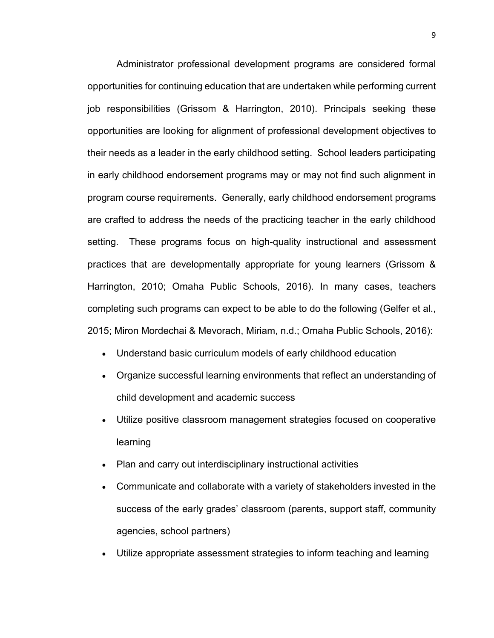Administrator professional development programs are considered formal opportunities for continuing education that are undertaken while performing current job responsibilities (Grissom & Harrington, 2010). Principals seeking these opportunities are looking for alignment of professional development objectives to their needs as a leader in the early childhood setting. School leaders participating in early childhood endorsement programs may or may not find such alignment in program course requirements. Generally, early childhood endorsement programs are crafted to address the needs of the practicing teacher in the early childhood setting. These programs focus on high-quality instructional and assessment practices that are developmentally appropriate for young learners (Grissom & Harrington, 2010; Omaha Public Schools, 2016). In many cases, teachers completing such programs can expect to be able to do the following (Gelfer et al., 2015; Miron Mordechai & Mevorach, Miriam, n.d.; Omaha Public Schools, 2016):

- Understand basic curriculum models of early childhood education
- Organize successful learning environments that reflect an understanding of child development and academic success
- Utilize positive classroom management strategies focused on cooperative learning
- Plan and carry out interdisciplinary instructional activities
- Communicate and collaborate with a variety of stakeholders invested in the success of the early grades' classroom (parents, support staff, community agencies, school partners)
- Utilize appropriate assessment strategies to inform teaching and learning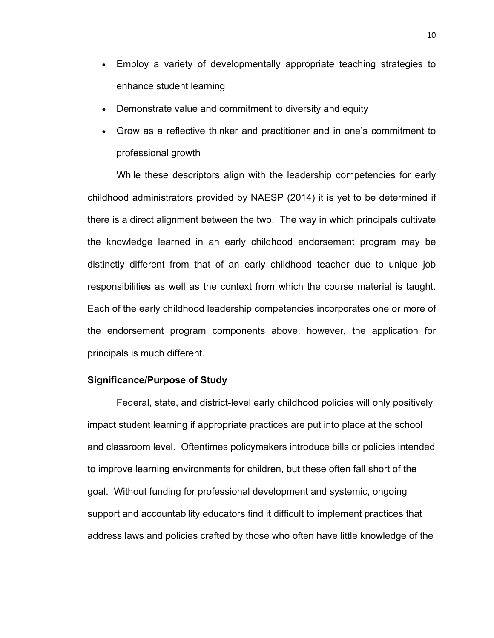- Employ a variety of developmentally appropriate teaching strategies to enhance student learning
- Demonstrate value and commitment to diversity and equity
- Grow as a reflective thinker and practitioner and in one's commitment to professional growth

While these descriptors align with the leadership competencies for early childhood administrators provided by NAESP (2014) it is yet to be determined if there is a direct alignment between the two. The way in which principals cultivate the knowledge learned in an early childhood endorsement program may be distinctly different from that of an early childhood teacher due to unique job responsibilities as well as the context from which the course material is taught. Each of the early childhood leadership competencies incorporates one or more of the endorsement program components above, however, the application for principals is much different.

#### **Significance/Purpose of Study**

Federal, state, and district-level early childhood policies will only positively impact student learning if appropriate practices are put into place at the school and classroom level. Oftentimes policymakers introduce bills or policies intended to improve learning environments for children, but these often fall short of the goal. Without funding for professional development and systemic, ongoing support and accountability educators find it difficult to implement practices that address laws and policies crafted by those who often have little knowledge of the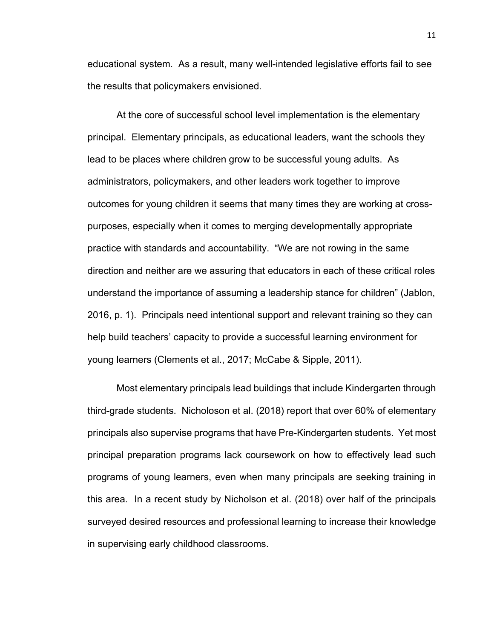educational system. As a result, many well-intended legislative efforts fail to see the results that policymakers envisioned.

At the core of successful school level implementation is the elementary principal. Elementary principals, as educational leaders, want the schools they lead to be places where children grow to be successful young adults. As administrators, policymakers, and other leaders work together to improve outcomes for young children it seems that many times they are working at crosspurposes, especially when it comes to merging developmentally appropriate practice with standards and accountability. "We are not rowing in the same direction and neither are we assuring that educators in each of these critical roles understand the importance of assuming a leadership stance for children" (Jablon, 2016, p. 1). Principals need intentional support and relevant training so they can help build teachers' capacity to provide a successful learning environment for young learners (Clements et al., 2017; McCabe & Sipple, 2011).

Most elementary principals lead buildings that include Kindergarten through third-grade students. Nicholoson et al. (2018) report that over 60% of elementary principals also supervise programs that have Pre-Kindergarten students. Yet most principal preparation programs lack coursework on how to effectively lead such programs of young learners, even when many principals are seeking training in this area. In a recent study by Nicholson et al. (2018) over half of the principals surveyed desired resources and professional learning to increase their knowledge in supervising early childhood classrooms.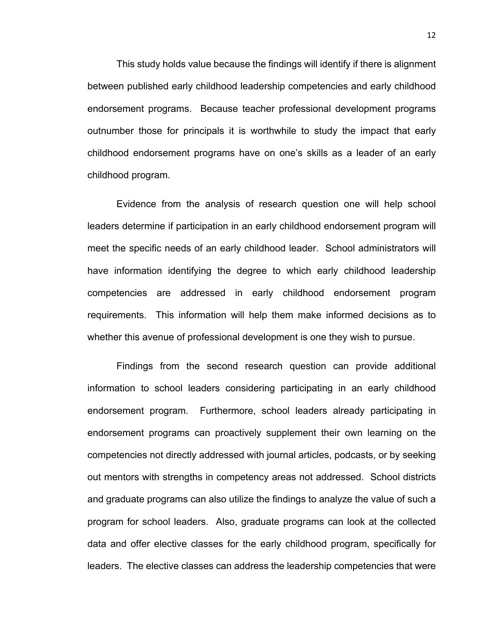This study holds value because the findings will identify if there is alignment between published early childhood leadership competencies and early childhood endorsement programs. Because teacher professional development programs outnumber those for principals it is worthwhile to study the impact that early childhood endorsement programs have on one's skills as a leader of an early childhood program.

Evidence from the analysis of research question one will help school leaders determine if participation in an early childhood endorsement program will meet the specific needs of an early childhood leader. School administrators will have information identifying the degree to which early childhood leadership competencies are addressed in early childhood endorsement program requirements. This information will help them make informed decisions as to whether this avenue of professional development is one they wish to pursue.

Findings from the second research question can provide additional information to school leaders considering participating in an early childhood endorsement program. Furthermore, school leaders already participating in endorsement programs can proactively supplement their own learning on the competencies not directly addressed with journal articles, podcasts, or by seeking out mentors with strengths in competency areas not addressed. School districts and graduate programs can also utilize the findings to analyze the value of such a program for school leaders. Also, graduate programs can look at the collected data and offer elective classes for the early childhood program, specifically for leaders. The elective classes can address the leadership competencies that were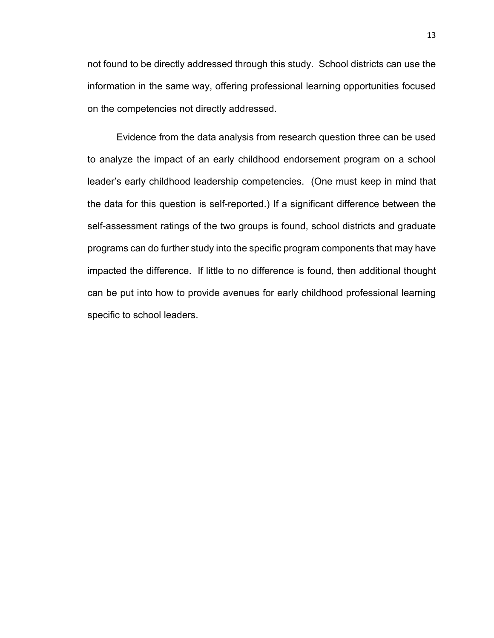not found to be directly addressed through this study. School districts can use the information in the same way, offering professional learning opportunities focused on the competencies not directly addressed.

Evidence from the data analysis from research question three can be used to analyze the impact of an early childhood endorsement program on a school leader's early childhood leadership competencies. (One must keep in mind that the data for this question is self-reported.) If a significant difference between the self-assessment ratings of the two groups is found, school districts and graduate programs can do further study into the specific program components that may have impacted the difference. If little to no difference is found, then additional thought can be put into how to provide avenues for early childhood professional learning specific to school leaders.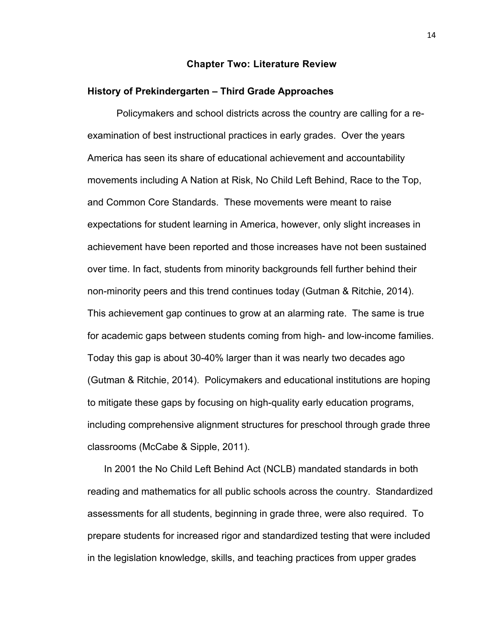#### **Chapter Two: Literature Review**

#### **History of Prekindergarten – Third Grade Approaches**

Policymakers and school districts across the country are calling for a reexamination of best instructional practices in early grades. Over the years America has seen its share of educational achievement and accountability movements including A Nation at Risk, No Child Left Behind, Race to the Top, and Common Core Standards. These movements were meant to raise expectations for student learning in America, however, only slight increases in achievement have been reported and those increases have not been sustained over time. In fact, students from minority backgrounds fell further behind their non-minority peers and this trend continues today (Gutman & Ritchie, 2014). This achievement gap continues to grow at an alarming rate. The same is true for academic gaps between students coming from high- and low-income families. Today this gap is about 30-40% larger than it was nearly two decades ago (Gutman & Ritchie, 2014). Policymakers and educational institutions are hoping to mitigate these gaps by focusing on high-quality early education programs, including comprehensive alignment structures for preschool through grade three classrooms (McCabe & Sipple, 2011).

In 2001 the No Child Left Behind Act (NCLB) mandated standards in both reading and mathematics for all public schools across the country. Standardized assessments for all students, beginning in grade three, were also required. To prepare students for increased rigor and standardized testing that were included in the legislation knowledge, skills, and teaching practices from upper grades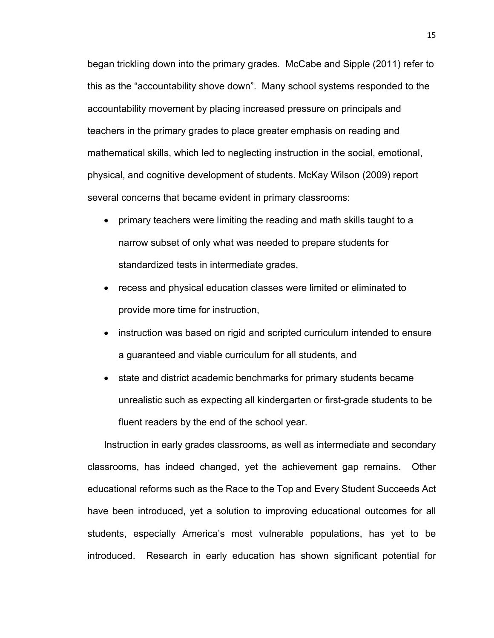began trickling down into the primary grades. McCabe and Sipple (2011) refer to this as the "accountability shove down". Many school systems responded to the accountability movement by placing increased pressure on principals and teachers in the primary grades to place greater emphasis on reading and mathematical skills, which led to neglecting instruction in the social, emotional, physical, and cognitive development of students. McKay Wilson (2009) report several concerns that became evident in primary classrooms:

- primary teachers were limiting the reading and math skills taught to a narrow subset of only what was needed to prepare students for standardized tests in intermediate grades,
- recess and physical education classes were limited or eliminated to provide more time for instruction,
- instruction was based on rigid and scripted curriculum intended to ensure a guaranteed and viable curriculum for all students, and
- state and district academic benchmarks for primary students became unrealistic such as expecting all kindergarten or first-grade students to be fluent readers by the end of the school year.

Instruction in early grades classrooms, as well as intermediate and secondary classrooms, has indeed changed, yet the achievement gap remains. Other educational reforms such as the Race to the Top and Every Student Succeeds Act have been introduced, yet a solution to improving educational outcomes for all students, especially America's most vulnerable populations, has yet to be introduced. Research in early education has shown significant potential for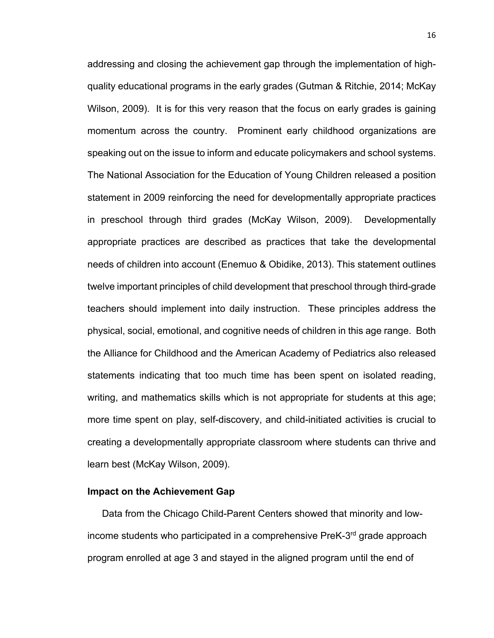addressing and closing the achievement gap through the implementation of highquality educational programs in the early grades (Gutman & Ritchie, 2014; McKay Wilson, 2009). It is for this very reason that the focus on early grades is gaining momentum across the country. Prominent early childhood organizations are speaking out on the issue to inform and educate policymakers and school systems. The National Association for the Education of Young Children released a position statement in 2009 reinforcing the need for developmentally appropriate practices in preschool through third grades (McKay Wilson, 2009). Developmentally appropriate practices are described as practices that take the developmental needs of children into account (Enemuo & Obidike, 2013). This statement outlines twelve important principles of child development that preschool through third-grade teachers should implement into daily instruction. These principles address the physical, social, emotional, and cognitive needs of children in this age range. Both the Alliance for Childhood and the American Academy of Pediatrics also released statements indicating that too much time has been spent on isolated reading, writing, and mathematics skills which is not appropriate for students at this age; more time spent on play, self-discovery, and child-initiated activities is crucial to creating a developmentally appropriate classroom where students can thrive and learn best (McKay Wilson, 2009).

#### **Impact on the Achievement Gap**

Data from the Chicago Child-Parent Centers showed that minority and lowincome students who participated in a comprehensive PreK-3rd grade approach program enrolled at age 3 and stayed in the aligned program until the end of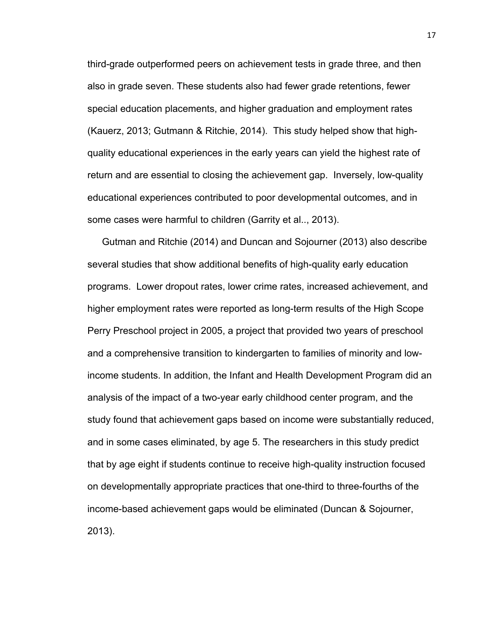third-grade outperformed peers on achievement tests in grade three, and then also in grade seven. These students also had fewer grade retentions, fewer special education placements, and higher graduation and employment rates (Kauerz, 2013; Gutmann & Ritchie, 2014). This study helped show that highquality educational experiences in the early years can yield the highest rate of return and are essential to closing the achievement gap. Inversely, low-quality educational experiences contributed to poor developmental outcomes, and in some cases were harmful to children (Garrity et al.., 2013).

Gutman and Ritchie (2014) and Duncan and Sojourner (2013) also describe several studies that show additional benefits of high-quality early education programs. Lower dropout rates, lower crime rates, increased achievement, and higher employment rates were reported as long-term results of the High Scope Perry Preschool project in 2005, a project that provided two years of preschool and a comprehensive transition to kindergarten to families of minority and lowincome students. In addition, the Infant and Health Development Program did an analysis of the impact of a two-year early childhood center program, and the study found that achievement gaps based on income were substantially reduced, and in some cases eliminated, by age 5. The researchers in this study predict that by age eight if students continue to receive high-quality instruction focused on developmentally appropriate practices that one-third to three-fourths of the income-based achievement gaps would be eliminated (Duncan & Sojourner, 2013).

17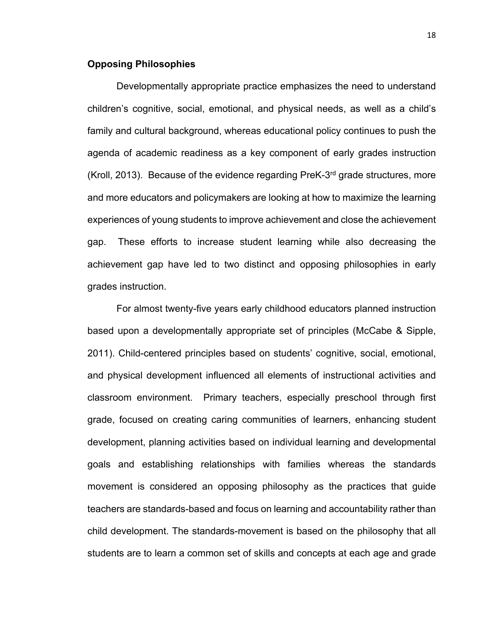#### **Opposing Philosophies**

Developmentally appropriate practice emphasizes the need to understand children's cognitive, social, emotional, and physical needs, as well as a child's family and cultural background, whereas educational policy continues to push the agenda of academic readiness as a key component of early grades instruction (Kroll, 2013). Because of the evidence regarding PreK-3rd grade structures, more and more educators and policymakers are looking at how to maximize the learning experiences of young students to improve achievement and close the achievement gap. These efforts to increase student learning while also decreasing the achievement gap have led to two distinct and opposing philosophies in early grades instruction.

For almost twenty-five years early childhood educators planned instruction based upon a developmentally appropriate set of principles (McCabe & Sipple, 2011). Child-centered principles based on students' cognitive, social, emotional, and physical development influenced all elements of instructional activities and classroom environment. Primary teachers, especially preschool through first grade, focused on creating caring communities of learners, enhancing student development, planning activities based on individual learning and developmental goals and establishing relationships with families whereas the standards movement is considered an opposing philosophy as the practices that guide teachers are standards-based and focus on learning and accountability rather than child development. The standards-movement is based on the philosophy that all students are to learn a common set of skills and concepts at each age and grade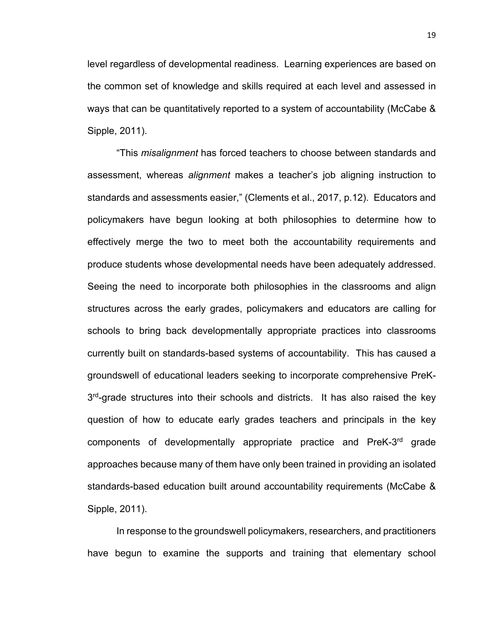level regardless of developmental readiness. Learning experiences are based on the common set of knowledge and skills required at each level and assessed in ways that can be quantitatively reported to a system of accountability (McCabe & Sipple, 2011).

"This *misalignment* has forced teachers to choose between standards and assessment, whereas *alignment* makes a teacher's job aligning instruction to standards and assessments easier," (Clements et al., 2017, p.12). Educators and policymakers have begun looking at both philosophies to determine how to effectively merge the two to meet both the accountability requirements and produce students whose developmental needs have been adequately addressed. Seeing the need to incorporate both philosophies in the classrooms and align structures across the early grades, policymakers and educators are calling for schools to bring back developmentally appropriate practices into classrooms currently built on standards-based systems of accountability. This has caused a groundswell of educational leaders seeking to incorporate comprehensive PreK-3<sup>rd</sup>-grade structures into their schools and districts. It has also raised the key question of how to educate early grades teachers and principals in the key components of developmentally appropriate practice and PreK-3rd grade approaches because many of them have only been trained in providing an isolated standards-based education built around accountability requirements (McCabe & Sipple, 2011).

In response to the groundswell policymakers, researchers, and practitioners have begun to examine the supports and training that elementary school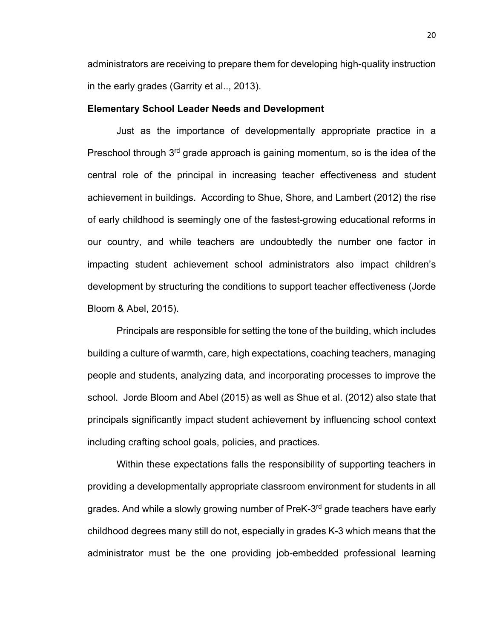administrators are receiving to prepare them for developing high-quality instruction in the early grades (Garrity et al.., 2013).

#### **Elementary School Leader Needs and Development**

Just as the importance of developmentally appropriate practice in a Preschool through  $3<sup>rd</sup>$  grade approach is gaining momentum, so is the idea of the central role of the principal in increasing teacher effectiveness and student achievement in buildings. According to Shue, Shore, and Lambert (2012) the rise of early childhood is seemingly one of the fastest-growing educational reforms in our country, and while teachers are undoubtedly the number one factor in impacting student achievement school administrators also impact children's development by structuring the conditions to support teacher effectiveness (Jorde Bloom & Abel, 2015).

Principals are responsible for setting the tone of the building, which includes building a culture of warmth, care, high expectations, coaching teachers, managing people and students, analyzing data, and incorporating processes to improve the school. Jorde Bloom and Abel (2015) as well as Shue et al. (2012) also state that principals significantly impact student achievement by influencing school context including crafting school goals, policies, and practices.

Within these expectations falls the responsibility of supporting teachers in providing a developmentally appropriate classroom environment for students in all grades. And while a slowly growing number of PreK-3<sup>rd</sup> grade teachers have early childhood degrees many still do not, especially in grades K-3 which means that the administrator must be the one providing job-embedded professional learning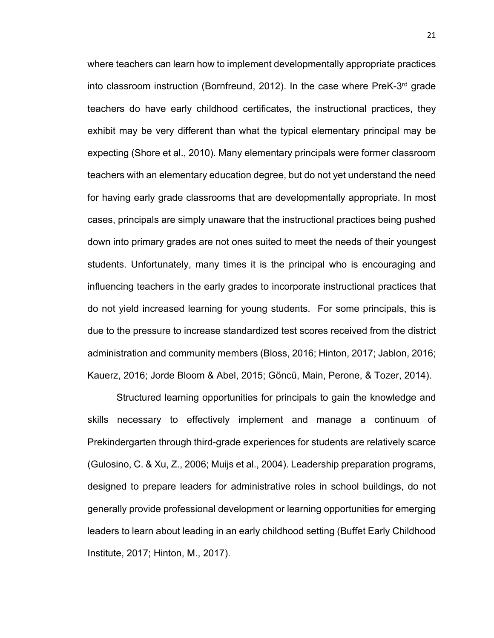where teachers can learn how to implement developmentally appropriate practices into classroom instruction (Bornfreund, 2012). In the case where PreK-3rd grade teachers do have early childhood certificates, the instructional practices, they exhibit may be very different than what the typical elementary principal may be expecting (Shore et al., 2010). Many elementary principals were former classroom teachers with an elementary education degree, but do not yet understand the need for having early grade classrooms that are developmentally appropriate. In most cases, principals are simply unaware that the instructional practices being pushed down into primary grades are not ones suited to meet the needs of their youngest students. Unfortunately, many times it is the principal who is encouraging and influencing teachers in the early grades to incorporate instructional practices that do not yield increased learning for young students. For some principals, this is due to the pressure to increase standardized test scores received from the district administration and community members (Bloss, 2016; Hinton, 2017; Jablon, 2016; Kauerz, 2016; Jorde Bloom & Abel, 2015; Göncü, Main, Perone, & Tozer, 2014).

Structured learning opportunities for principals to gain the knowledge and skills necessary to effectively implement and manage a continuum of Prekindergarten through third-grade experiences for students are relatively scarce (Gulosino, C. & Xu, Z., 2006; Muijs et al., 2004). Leadership preparation programs, designed to prepare leaders for administrative roles in school buildings, do not generally provide professional development or learning opportunities for emerging leaders to learn about leading in an early childhood setting (Buffet Early Childhood Institute, 2017; Hinton, M., 2017).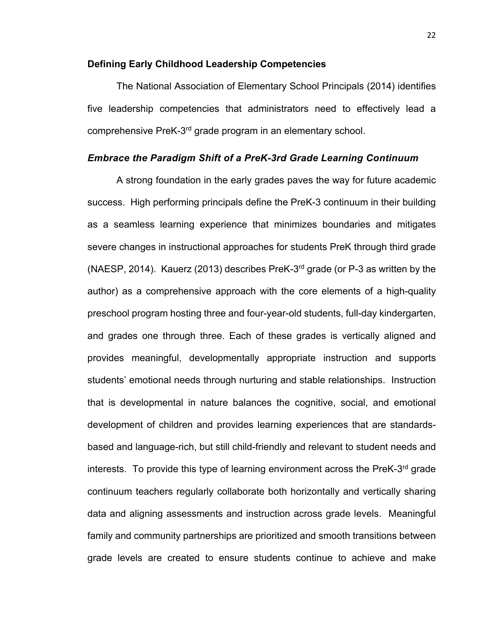#### **Defining Early Childhood Leadership Competencies**

The National Association of Elementary School Principals (2014) identifies five leadership competencies that administrators need to effectively lead a comprehensive PreK-3rd grade program in an elementary school.

#### *Embrace the Paradigm Shift of a PreK-3rd Grade Learning Continuum*

A strong foundation in the early grades paves the way for future academic success. High performing principals define the PreK-3 continuum in their building as a seamless learning experience that minimizes boundaries and mitigates severe changes in instructional approaches for students PreK through third grade (NAESP, 2014). Kauerz (2013) describes PreK-3rd grade (or P-3 as written by the author) as a comprehensive approach with the core elements of a high-quality preschool program hosting three and four-year-old students, full-day kindergarten, and grades one through three. Each of these grades is vertically aligned and provides meaningful, developmentally appropriate instruction and supports students' emotional needs through nurturing and stable relationships. Instruction that is developmental in nature balances the cognitive, social, and emotional development of children and provides learning experiences that are standardsbased and language-rich, but still child-friendly and relevant to student needs and interests. To provide this type of learning environment across the PreK-3<sup>rd</sup> grade continuum teachers regularly collaborate both horizontally and vertically sharing data and aligning assessments and instruction across grade levels. Meaningful family and community partnerships are prioritized and smooth transitions between grade levels are created to ensure students continue to achieve and make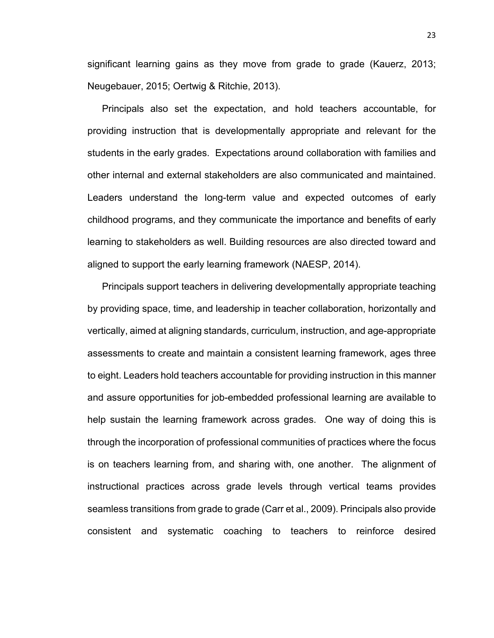significant learning gains as they move from grade to grade (Kauerz, 2013; Neugebauer, 2015; Oertwig & Ritchie, 2013).

Principals also set the expectation, and hold teachers accountable, for providing instruction that is developmentally appropriate and relevant for the students in the early grades. Expectations around collaboration with families and other internal and external stakeholders are also communicated and maintained. Leaders understand the long-term value and expected outcomes of early childhood programs, and they communicate the importance and benefits of early learning to stakeholders as well. Building resources are also directed toward and aligned to support the early learning framework (NAESP, 2014).

Principals support teachers in delivering developmentally appropriate teaching by providing space, time, and leadership in teacher collaboration, horizontally and vertically, aimed at aligning standards, curriculum, instruction, and age-appropriate assessments to create and maintain a consistent learning framework, ages three to eight. Leaders hold teachers accountable for providing instruction in this manner and assure opportunities for job-embedded professional learning are available to help sustain the learning framework across grades. One way of doing this is through the incorporation of professional communities of practices where the focus is on teachers learning from, and sharing with, one another. The alignment of instructional practices across grade levels through vertical teams provides seamless transitions from grade to grade (Carr et al., 2009). Principals also provide consistent and systematic coaching to teachers to reinforce desired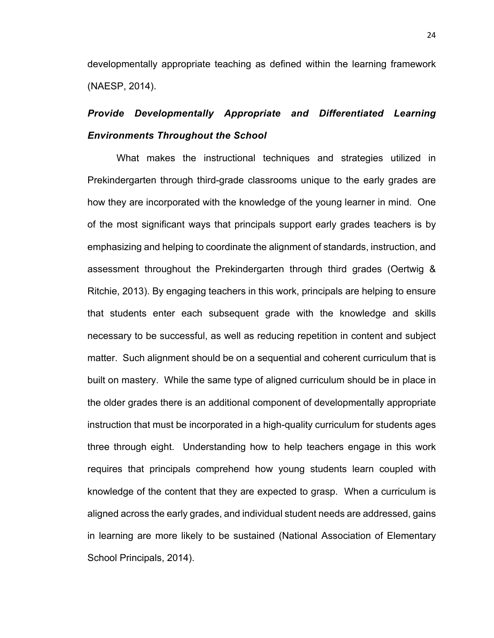developmentally appropriate teaching as defined within the learning framework (NAESP, 2014).

## *Provide Developmentally Appropriate and Differentiated Learning Environments Throughout the School*

What makes the instructional techniques and strategies utilized in Prekindergarten through third-grade classrooms unique to the early grades are how they are incorporated with the knowledge of the young learner in mind. One of the most significant ways that principals support early grades teachers is by emphasizing and helping to coordinate the alignment of standards, instruction, and assessment throughout the Prekindergarten through third grades (Oertwig & Ritchie, 2013). By engaging teachers in this work, principals are helping to ensure that students enter each subsequent grade with the knowledge and skills necessary to be successful, as well as reducing repetition in content and subject matter. Such alignment should be on a sequential and coherent curriculum that is built on mastery. While the same type of aligned curriculum should be in place in the older grades there is an additional component of developmentally appropriate instruction that must be incorporated in a high-quality curriculum for students ages three through eight. Understanding how to help teachers engage in this work requires that principals comprehend how young students learn coupled with knowledge of the content that they are expected to grasp. When a curriculum is aligned across the early grades, and individual student needs are addressed, gains in learning are more likely to be sustained (National Association of Elementary School Principals, 2014).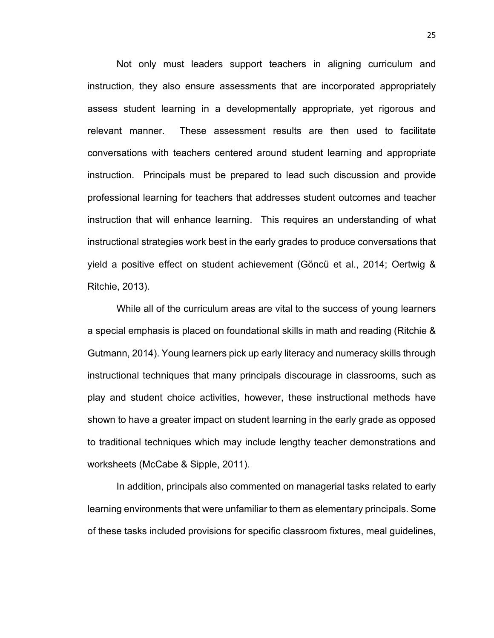Not only must leaders support teachers in aligning curriculum and instruction, they also ensure assessments that are incorporated appropriately assess student learning in a developmentally appropriate, yet rigorous and relevant manner. These assessment results are then used to facilitate conversations with teachers centered around student learning and appropriate instruction. Principals must be prepared to lead such discussion and provide professional learning for teachers that addresses student outcomes and teacher instruction that will enhance learning. This requires an understanding of what instructional strategies work best in the early grades to produce conversations that yield a positive effect on student achievement (Göncü et al., 2014; Oertwig & Ritchie, 2013).

While all of the curriculum areas are vital to the success of young learners a special emphasis is placed on foundational skills in math and reading (Ritchie & Gutmann, 2014). Young learners pick up early literacy and numeracy skills through instructional techniques that many principals discourage in classrooms, such as play and student choice activities, however, these instructional methods have shown to have a greater impact on student learning in the early grade as opposed to traditional techniques which may include lengthy teacher demonstrations and worksheets (McCabe & Sipple, 2011).

In addition, principals also commented on managerial tasks related to early learning environments that were unfamiliar to them as elementary principals. Some of these tasks included provisions for specific classroom fixtures, meal guidelines,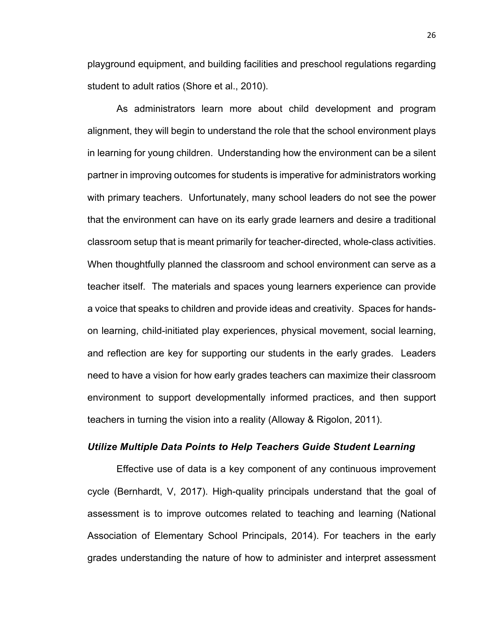playground equipment, and building facilities and preschool regulations regarding student to adult ratios (Shore et al., 2010).

As administrators learn more about child development and program alignment, they will begin to understand the role that the school environment plays in learning for young children. Understanding how the environment can be a silent partner in improving outcomes for students is imperative for administrators working with primary teachers. Unfortunately, many school leaders do not see the power that the environment can have on its early grade learners and desire a traditional classroom setup that is meant primarily for teacher-directed, whole-class activities. When thoughtfully planned the classroom and school environment can serve as a teacher itself. The materials and spaces young learners experience can provide a voice that speaks to children and provide ideas and creativity. Spaces for handson learning, child-initiated play experiences, physical movement, social learning, and reflection are key for supporting our students in the early grades. Leaders need to have a vision for how early grades teachers can maximize their classroom environment to support developmentally informed practices, and then support teachers in turning the vision into a reality (Alloway & Rigolon, 2011).

#### *Utilize Multiple Data Points to Help Teachers Guide Student Learning*

Effective use of data is a key component of any continuous improvement cycle (Bernhardt, V, 2017). High-quality principals understand that the goal of assessment is to improve outcomes related to teaching and learning (National Association of Elementary School Principals, 2014). For teachers in the early grades understanding the nature of how to administer and interpret assessment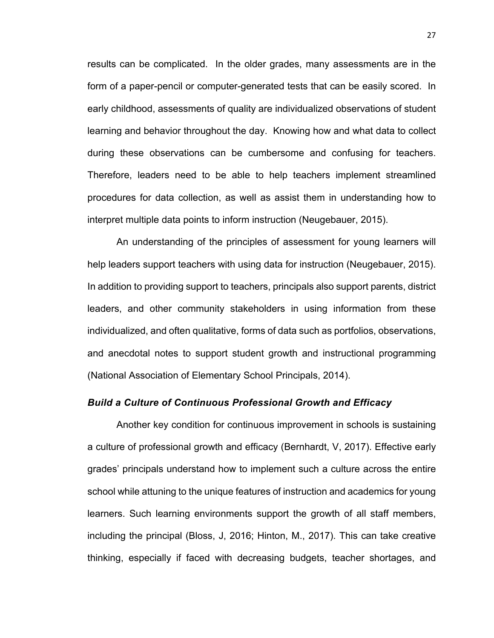results can be complicated. In the older grades, many assessments are in the form of a paper-pencil or computer-generated tests that can be easily scored. In early childhood, assessments of quality are individualized observations of student learning and behavior throughout the day. Knowing how and what data to collect during these observations can be cumbersome and confusing for teachers. Therefore, leaders need to be able to help teachers implement streamlined procedures for data collection, as well as assist them in understanding how to interpret multiple data points to inform instruction (Neugebauer, 2015).

An understanding of the principles of assessment for young learners will help leaders support teachers with using data for instruction (Neugebauer, 2015). In addition to providing support to teachers, principals also support parents, district leaders, and other community stakeholders in using information from these individualized, and often qualitative, forms of data such as portfolios, observations, and anecdotal notes to support student growth and instructional programming (National Association of Elementary School Principals, 2014).

### *Build a Culture of Continuous Professional Growth and Efficacy*

Another key condition for continuous improvement in schools is sustaining a culture of professional growth and efficacy (Bernhardt, V, 2017). Effective early grades' principals understand how to implement such a culture across the entire school while attuning to the unique features of instruction and academics for young learners. Such learning environments support the growth of all staff members, including the principal (Bloss, J, 2016; Hinton, M., 2017). This can take creative thinking, especially if faced with decreasing budgets, teacher shortages, and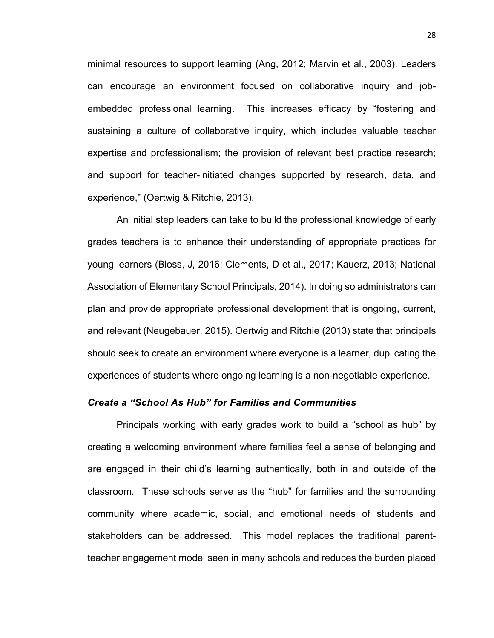minimal resources to support learning (Ang, 2012; Marvin et al., 2003). Leaders can encourage an environment focused on collaborative inquiry and jobembedded professional learning. This increases efficacy by "fostering and sustaining a culture of collaborative inquiry, which includes valuable teacher expertise and professionalism; the provision of relevant best practice research; and support for teacher-initiated changes supported by research, data, and experience," (Oertwig & Ritchie, 2013).

An initial step leaders can take to build the professional knowledge of early grades teachers is to enhance their understanding of appropriate practices for young learners (Bloss, J, 2016; Clements, D et al., 2017; Kauerz, 2013; National Association of Elementary School Principals, 2014). In doing so administrators can plan and provide appropriate professional development that is ongoing, current, and relevant (Neugebauer, 2015). Oertwig and Ritchie (2013) state that principals should seek to create an environment where everyone is a learner, duplicating the experiences of students where ongoing learning is a non-negotiable experience.

## *Create a "School As Hub" for Families and Communities*

Principals working with early grades work to build a "school as hub" by creating a welcoming environment where families feel a sense of belonging and are engaged in their child's learning authentically, both in and outside of the classroom. These schools serve as the "hub" for families and the surrounding community where academic, social, and emotional needs of students and stakeholders can be addressed. This model replaces the traditional parentteacher engagement model seen in many schools and reduces the burden placed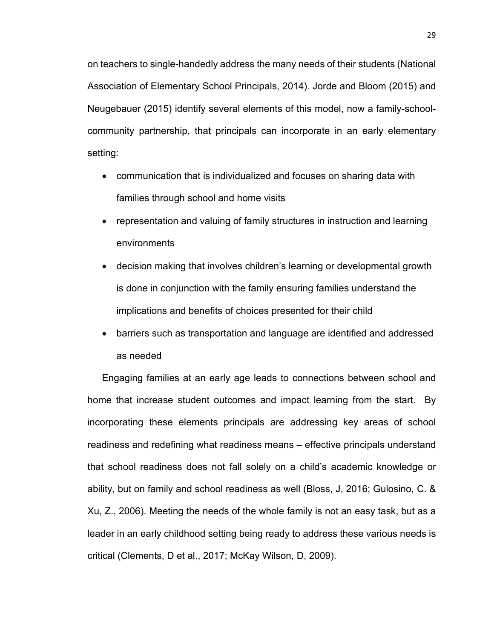on teachers to single-handedly address the many needs of their students (National Association of Elementary School Principals, 2014). Jorde and Bloom (2015) and Neugebauer (2015) identify several elements of this model, now a family-schoolcommunity partnership, that principals can incorporate in an early elementary setting:

- communication that is individualized and focuses on sharing data with families through school and home visits
- representation and valuing of family structures in instruction and learning environments
- decision making that involves children's learning or developmental growth is done in conjunction with the family ensuring families understand the implications and benefits of choices presented for their child
- barriers such as transportation and language are identified and addressed as needed

Engaging families at an early age leads to connections between school and home that increase student outcomes and impact learning from the start. By incorporating these elements principals are addressing key areas of school readiness and redefining what readiness means – effective principals understand that school readiness does not fall solely on a child's academic knowledge or ability, but on family and school readiness as well (Bloss, J, 2016; Gulosino, C. & Xu, Z., 2006). Meeting the needs of the whole family is not an easy task, but as a leader in an early childhood setting being ready to address these various needs is critical (Clements, D et al., 2017; McKay Wilson, D, 2009).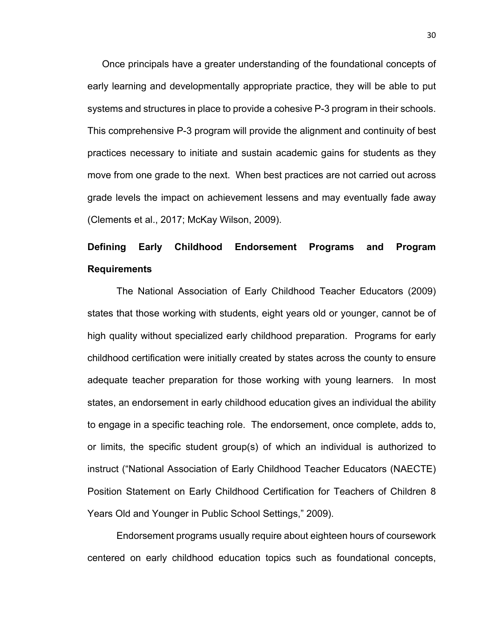Once principals have a greater understanding of the foundational concepts of early learning and developmentally appropriate practice, they will be able to put systems and structures in place to provide a cohesive P-3 program in their schools. This comprehensive P-3 program will provide the alignment and continuity of best practices necessary to initiate and sustain academic gains for students as they move from one grade to the next. When best practices are not carried out across grade levels the impact on achievement lessens and may eventually fade away (Clements et al., 2017; McKay Wilson, 2009).

# **Defining Early Childhood Endorsement Programs and Program Requirements**

The National Association of Early Childhood Teacher Educators (2009) states that those working with students, eight years old or younger, cannot be of high quality without specialized early childhood preparation. Programs for early childhood certification were initially created by states across the county to ensure adequate teacher preparation for those working with young learners. In most states, an endorsement in early childhood education gives an individual the ability to engage in a specific teaching role. The endorsement, once complete, adds to, or limits, the specific student group(s) of which an individual is authorized to instruct ("National Association of Early Childhood Teacher Educators (NAECTE) Position Statement on Early Childhood Certification for Teachers of Children 8 Years Old and Younger in Public School Settings," 2009).

Endorsement programs usually require about eighteen hours of coursework centered on early childhood education topics such as foundational concepts,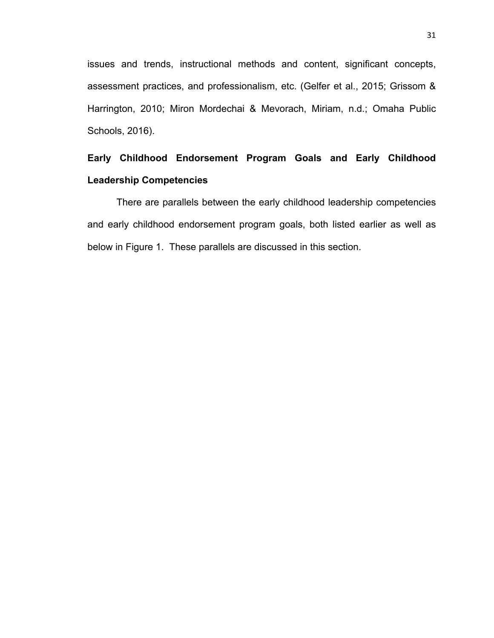issues and trends, instructional methods and content, significant concepts, assessment practices, and professionalism, etc. (Gelfer et al., 2015; Grissom & Harrington, 2010; Miron Mordechai & Mevorach, Miriam, n.d.; Omaha Public Schools, 2016).

# **Early Childhood Endorsement Program Goals and Early Childhood Leadership Competencies**

There are parallels between the early childhood leadership competencies and early childhood endorsement program goals, both listed earlier as well as below in Figure 1. These parallels are discussed in this section.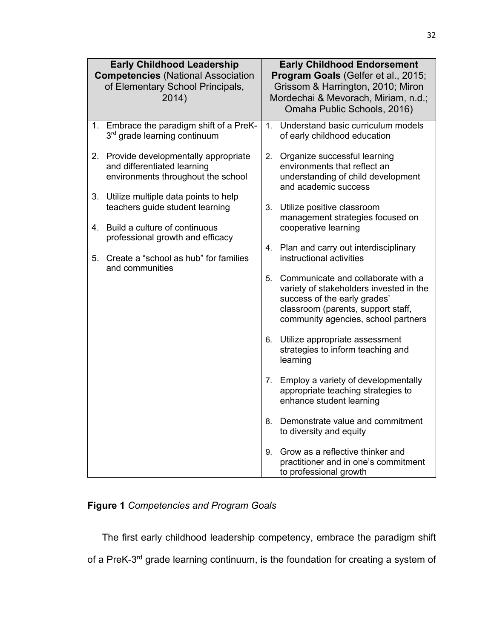| <b>Early Childhood Leadership</b><br><b>Competencies (National Association</b><br>of Elementary School Principals,<br>2014) |                                                                                                             | <b>Early Childhood Endorsement</b><br>Program Goals (Gelfer et al., 2015;<br>Grissom & Harrington, 2010; Miron<br>Mordechai & Mevorach, Miriam, n.d.;<br>Omaha Public Schools, 2016) |                                                                                                                                                                                            |
|-----------------------------------------------------------------------------------------------------------------------------|-------------------------------------------------------------------------------------------------------------|--------------------------------------------------------------------------------------------------------------------------------------------------------------------------------------|--------------------------------------------------------------------------------------------------------------------------------------------------------------------------------------------|
|                                                                                                                             | 1. Embrace the paradigm shift of a PreK-<br>3 <sup>rd</sup> grade learning continuum                        | 1.                                                                                                                                                                                   | Understand basic curriculum models<br>of early childhood education                                                                                                                         |
|                                                                                                                             | 2. Provide developmentally appropriate<br>and differentiated learning<br>environments throughout the school | 2.                                                                                                                                                                                   | Organize successful learning<br>environments that reflect an<br>understanding of child development<br>and academic success                                                                 |
| 3.                                                                                                                          | Utilize multiple data points to help<br>teachers guide student learning                                     | 3.                                                                                                                                                                                   | Utilize positive classroom<br>management strategies focused on<br>cooperative learning                                                                                                     |
| 4.                                                                                                                          | Build a culture of continuous<br>professional growth and efficacy                                           |                                                                                                                                                                                      |                                                                                                                                                                                            |
| 5.                                                                                                                          | Create a "school as hub" for families<br>and communities                                                    | 4.                                                                                                                                                                                   | Plan and carry out interdisciplinary<br>instructional activities                                                                                                                           |
|                                                                                                                             |                                                                                                             | 5.                                                                                                                                                                                   | Communicate and collaborate with a<br>variety of stakeholders invested in the<br>success of the early grades'<br>classroom (parents, support staff,<br>community agencies, school partners |
|                                                                                                                             |                                                                                                             | 6.                                                                                                                                                                                   | Utilize appropriate assessment<br>strategies to inform teaching and<br>learning                                                                                                            |
|                                                                                                                             |                                                                                                             | 7.                                                                                                                                                                                   | Employ a variety of developmentally<br>appropriate teaching strategies to<br>enhance student learning                                                                                      |
|                                                                                                                             |                                                                                                             | 8.                                                                                                                                                                                   | Demonstrate value and commitment<br>to diversity and equity                                                                                                                                |
|                                                                                                                             |                                                                                                             | 9.                                                                                                                                                                                   | Grow as a reflective thinker and<br>practitioner and in one's commitment<br>to professional growth                                                                                         |

# **Figure 1** *Competencies and Program Goals*

The first early childhood leadership competency, embrace the paradigm shift

of a PreK-3<sup>rd</sup> grade learning continuum, is the foundation for creating a system of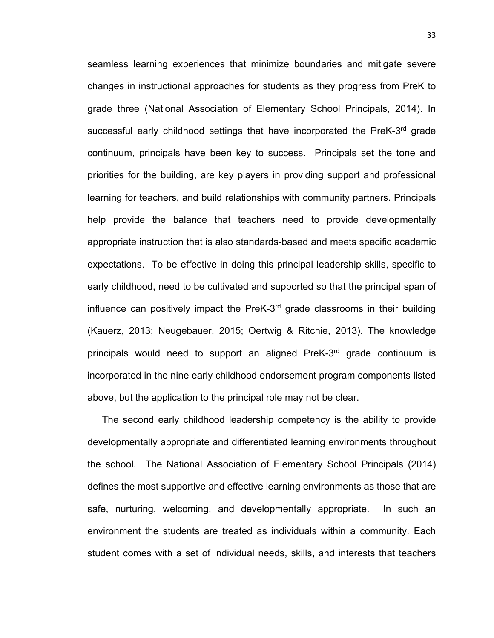seamless learning experiences that minimize boundaries and mitigate severe changes in instructional approaches for students as they progress from PreK to grade three (National Association of Elementary School Principals, 2014). In successful early childhood settings that have incorporated the PreK-3<sup>rd</sup> grade continuum, principals have been key to success. Principals set the tone and priorities for the building, are key players in providing support and professional learning for teachers, and build relationships with community partners. Principals help provide the balance that teachers need to provide developmentally appropriate instruction that is also standards-based and meets specific academic expectations. To be effective in doing this principal leadership skills, specific to early childhood, need to be cultivated and supported so that the principal span of influence can positively impact the PreK-3rd grade classrooms in their building (Kauerz, 2013; Neugebauer, 2015; Oertwig & Ritchie, 2013). The knowledge principals would need to support an aligned PreK-3rd grade continuum is incorporated in the nine early childhood endorsement program components listed above, but the application to the principal role may not be clear.

The second early childhood leadership competency is the ability to provide developmentally appropriate and differentiated learning environments throughout the school. The National Association of Elementary School Principals (2014) defines the most supportive and effective learning environments as those that are safe, nurturing, welcoming, and developmentally appropriate. In such an environment the students are treated as individuals within a community. Each student comes with a set of individual needs, skills, and interests that teachers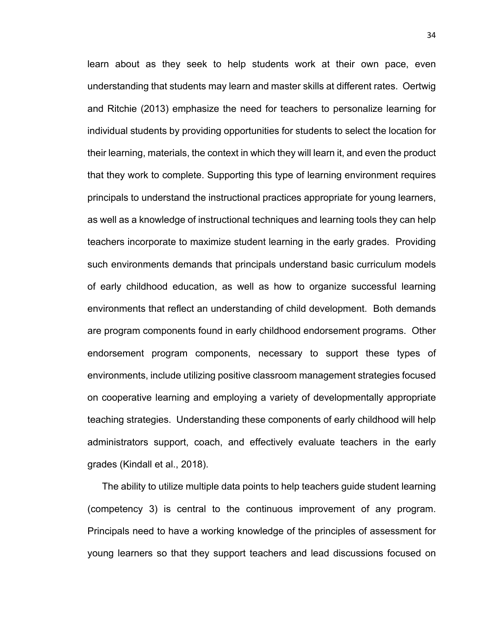learn about as they seek to help students work at their own pace, even understanding that students may learn and master skills at different rates. Oertwig and Ritchie (2013) emphasize the need for teachers to personalize learning for individual students by providing opportunities for students to select the location for their learning, materials, the context in which they will learn it, and even the product that they work to complete. Supporting this type of learning environment requires principals to understand the instructional practices appropriate for young learners, as well as a knowledge of instructional techniques and learning tools they can help teachers incorporate to maximize student learning in the early grades. Providing such environments demands that principals understand basic curriculum models of early childhood education, as well as how to organize successful learning environments that reflect an understanding of child development. Both demands are program components found in early childhood endorsement programs. Other endorsement program components, necessary to support these types of environments, include utilizing positive classroom management strategies focused on cooperative learning and employing a variety of developmentally appropriate teaching strategies. Understanding these components of early childhood will help administrators support, coach, and effectively evaluate teachers in the early grades (Kindall et al., 2018).

The ability to utilize multiple data points to help teachers guide student learning (competency 3) is central to the continuous improvement of any program. Principals need to have a working knowledge of the principles of assessment for young learners so that they support teachers and lead discussions focused on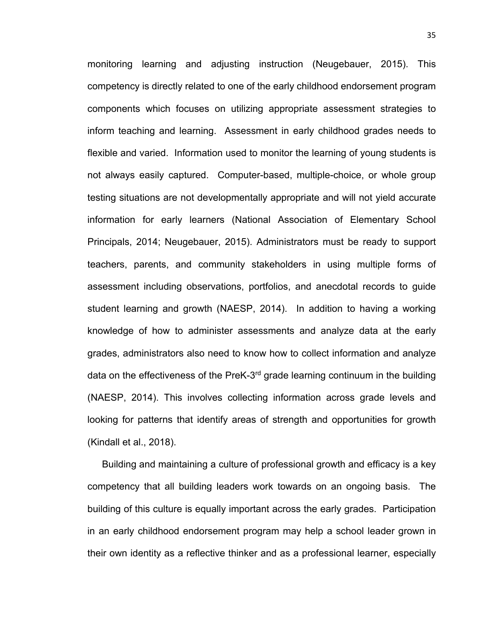monitoring learning and adjusting instruction (Neugebauer, 2015). This competency is directly related to one of the early childhood endorsement program components which focuses on utilizing appropriate assessment strategies to inform teaching and learning. Assessment in early childhood grades needs to flexible and varied. Information used to monitor the learning of young students is not always easily captured. Computer-based, multiple-choice, or whole group testing situations are not developmentally appropriate and will not yield accurate information for early learners (National Association of Elementary School Principals, 2014; Neugebauer, 2015). Administrators must be ready to support teachers, parents, and community stakeholders in using multiple forms of assessment including observations, portfolios, and anecdotal records to guide student learning and growth (NAESP, 2014). In addition to having a working knowledge of how to administer assessments and analyze data at the early grades, administrators also need to know how to collect information and analyze data on the effectiveness of the PreK-3<sup>rd</sup> grade learning continuum in the building (NAESP, 2014). This involves collecting information across grade levels and looking for patterns that identify areas of strength and opportunities for growth (Kindall et al., 2018).

Building and maintaining a culture of professional growth and efficacy is a key competency that all building leaders work towards on an ongoing basis. The building of this culture is equally important across the early grades. Participation in an early childhood endorsement program may help a school leader grown in their own identity as a reflective thinker and as a professional learner, especially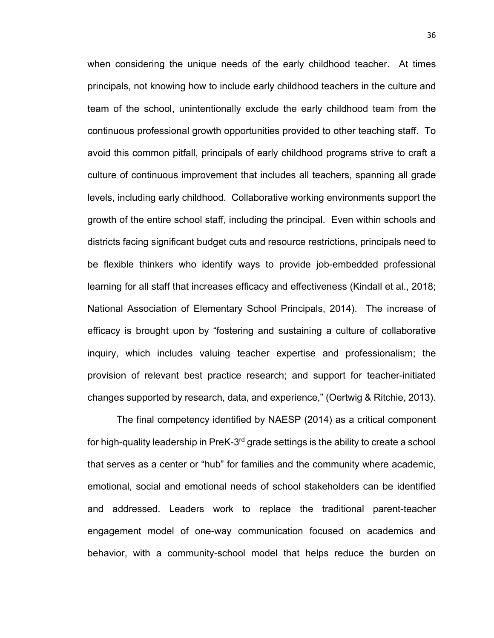when considering the unique needs of the early childhood teacher. At times principals, not knowing how to include early childhood teachers in the culture and team of the school, unintentionally exclude the early childhood team from the continuous professional growth opportunities provided to other teaching staff. To avoid this common pitfall, principals of early childhood programs strive to craft a culture of continuous improvement that includes all teachers, spanning all grade levels, including early childhood. Collaborative working environments support the growth of the entire school staff, including the principal. Even within schools and districts facing significant budget cuts and resource restrictions, principals need to be flexible thinkers who identify ways to provide job-embedded professional learning for all staff that increases efficacy and effectiveness (Kindall et al., 2018; National Association of Elementary School Principals, 2014). The increase of efficacy is brought upon by "fostering and sustaining a culture of collaborative inquiry, which includes valuing teacher expertise and professionalism; the provision of relevant best practice research; and support for teacher-initiated changes supported by research, data, and experience," (Oertwig & Ritchie, 2013).

The final competency identified by NAESP (2014) as a critical component for high-quality leadership in PreK-3<sup>rd</sup> grade settings is the ability to create a school that serves as a center or "hub" for families and the community where academic, emotional, social and emotional needs of school stakeholders can be identified and addressed. Leaders work to replace the traditional parent-teacher engagement model of one-way communication focused on academics and behavior, with a community-school model that helps reduce the burden on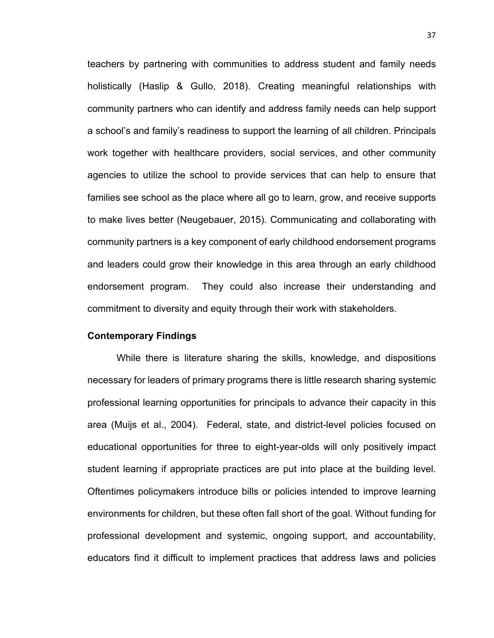teachers by partnering with communities to address student and family needs holistically (Haslip & Gullo, 2018). Creating meaningful relationships with community partners who can identify and address family needs can help support a school's and family's readiness to support the learning of all children. Principals work together with healthcare providers, social services, and other community agencies to utilize the school to provide services that can help to ensure that families see school as the place where all go to learn, grow, and receive supports to make lives better (Neugebauer, 2015). Communicating and collaborating with community partners is a key component of early childhood endorsement programs and leaders could grow their knowledge in this area through an early childhood endorsement program. They could also increase their understanding and commitment to diversity and equity through their work with stakeholders.

# **Contemporary Findings**

While there is literature sharing the skills, knowledge, and dispositions necessary for leaders of primary programs there is little research sharing systemic professional learning opportunities for principals to advance their capacity in this area (Muijs et al., 2004). Federal, state, and district-level policies focused on educational opportunities for three to eight-year-olds will only positively impact student learning if appropriate practices are put into place at the building level. Oftentimes policymakers introduce bills or policies intended to improve learning environments for children, but these often fall short of the goal. Without funding for professional development and systemic, ongoing support, and accountability, educators find it difficult to implement practices that address laws and policies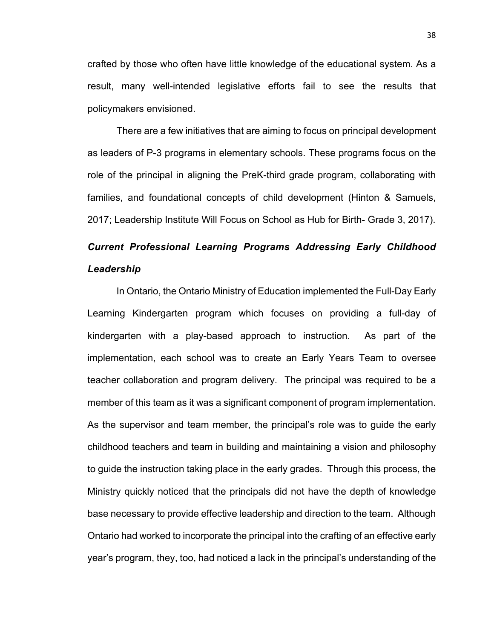crafted by those who often have little knowledge of the educational system. As a result, many well-intended legislative efforts fail to see the results that policymakers envisioned.

There are a few initiatives that are aiming to focus on principal development as leaders of P-3 programs in elementary schools. These programs focus on the role of the principal in aligning the PreK-third grade program, collaborating with families, and foundational concepts of child development (Hinton & Samuels, 2017; Leadership Institute Will Focus on School as Hub for Birth- Grade 3, 2017).

# *Current Professional Learning Programs Addressing Early Childhood Leadership*

In Ontario, the Ontario Ministry of Education implemented the Full-Day Early Learning Kindergarten program which focuses on providing a full-day of kindergarten with a play-based approach to instruction. As part of the implementation, each school was to create an Early Years Team to oversee teacher collaboration and program delivery. The principal was required to be a member of this team as it was a significant component of program implementation. As the supervisor and team member, the principal's role was to guide the early childhood teachers and team in building and maintaining a vision and philosophy to guide the instruction taking place in the early grades. Through this process, the Ministry quickly noticed that the principals did not have the depth of knowledge base necessary to provide effective leadership and direction to the team. Although Ontario had worked to incorporate the principal into the crafting of an effective early year's program, they, too, had noticed a lack in the principal's understanding of the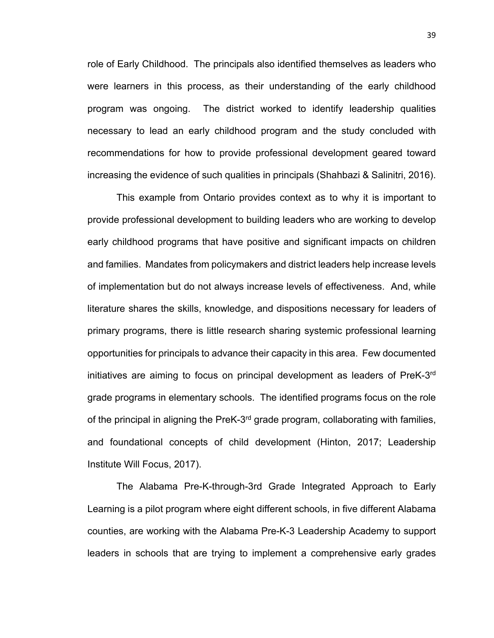role of Early Childhood. The principals also identified themselves as leaders who were learners in this process, as their understanding of the early childhood program was ongoing. The district worked to identify leadership qualities necessary to lead an early childhood program and the study concluded with recommendations for how to provide professional development geared toward increasing the evidence of such qualities in principals (Shahbazi & Salinitri, 2016).

This example from Ontario provides context as to why it is important to provide professional development to building leaders who are working to develop early childhood programs that have positive and significant impacts on children and families. Mandates from policymakers and district leaders help increase levels of implementation but do not always increase levels of effectiveness. And, while literature shares the skills, knowledge, and dispositions necessary for leaders of primary programs, there is little research sharing systemic professional learning opportunities for principals to advance their capacity in this area. Few documented initiatives are aiming to focus on principal development as leaders of PreK-3rd grade programs in elementary schools. The identified programs focus on the role of the principal in aligning the PreK-3<sup>rd</sup> grade program, collaborating with families, and foundational concepts of child development (Hinton, 2017; Leadership Institute Will Focus, 2017).

The Alabama Pre-K-through-3rd Grade Integrated Approach to Early Learning is a pilot program where eight different schools, in five different Alabama counties, are working with the Alabama Pre-K-3 Leadership Academy to support leaders in schools that are trying to implement a comprehensive early grades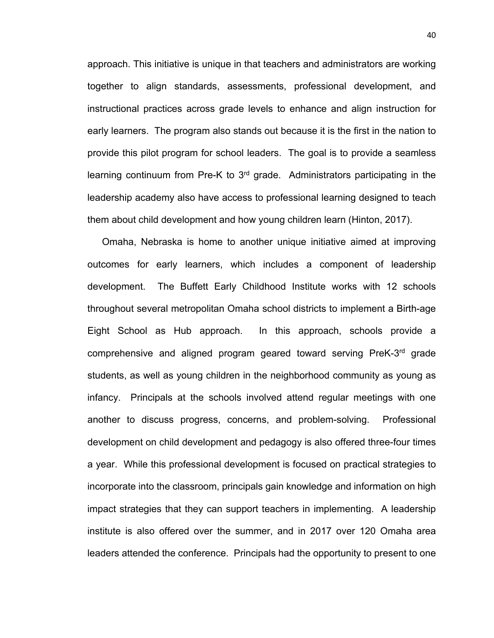approach. This initiative is unique in that teachers and administrators are working together to align standards, assessments, professional development, and instructional practices across grade levels to enhance and align instruction for early learners. The program also stands out because it is the first in the nation to provide this pilot program for school leaders. The goal is to provide a seamless learning continuum from Pre-K to 3<sup>rd</sup> grade. Administrators participating in the leadership academy also have access to professional learning designed to teach them about child development and how young children learn (Hinton, 2017).

Omaha, Nebraska is home to another unique initiative aimed at improving outcomes for early learners, which includes a component of leadership development. The Buffett Early Childhood Institute works with 12 schools throughout several metropolitan Omaha school districts to implement a Birth-age Eight School as Hub approach. In this approach, schools provide a comprehensive and aligned program geared toward serving PreK-3rd grade students, as well as young children in the neighborhood community as young as infancy. Principals at the schools involved attend regular meetings with one another to discuss progress, concerns, and problem-solving. Professional development on child development and pedagogy is also offered three-four times a year. While this professional development is focused on practical strategies to incorporate into the classroom, principals gain knowledge and information on high impact strategies that they can support teachers in implementing. A leadership institute is also offered over the summer, and in 2017 over 120 Omaha area leaders attended the conference. Principals had the opportunity to present to one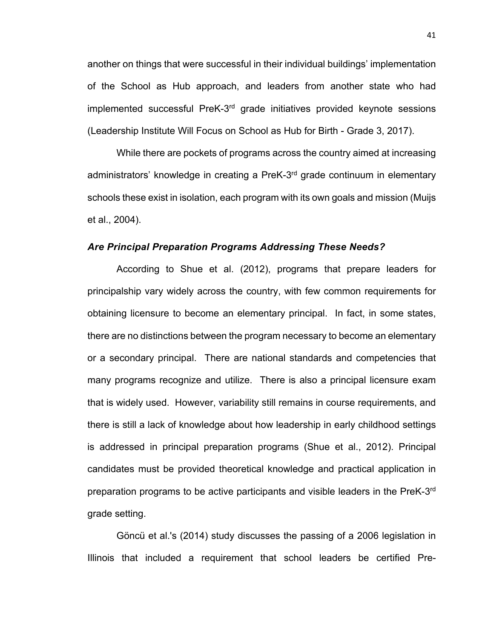another on things that were successful in their individual buildings' implementation of the School as Hub approach, and leaders from another state who had implemented successful PreK-3rd grade initiatives provided keynote sessions (Leadership Institute Will Focus on School as Hub for Birth - Grade 3, 2017).

While there are pockets of programs across the country aimed at increasing administrators' knowledge in creating a PreK-3<sup>rd</sup> grade continuum in elementary schools these exist in isolation, each program with its own goals and mission (Muijs et al., 2004).

#### *Are Principal Preparation Programs Addressing These Needs?*

According to Shue et al. (2012), programs that prepare leaders for principalship vary widely across the country, with few common requirements for obtaining licensure to become an elementary principal. In fact, in some states, there are no distinctions between the program necessary to become an elementary or a secondary principal. There are national standards and competencies that many programs recognize and utilize. There is also a principal licensure exam that is widely used. However, variability still remains in course requirements, and there is still a lack of knowledge about how leadership in early childhood settings is addressed in principal preparation programs (Shue et al., 2012). Principal candidates must be provided theoretical knowledge and practical application in preparation programs to be active participants and visible leaders in the PreK-3rd grade setting.

Göncü et al.'s (2014) study discusses the passing of a 2006 legislation in Illinois that included a requirement that school leaders be certified Pre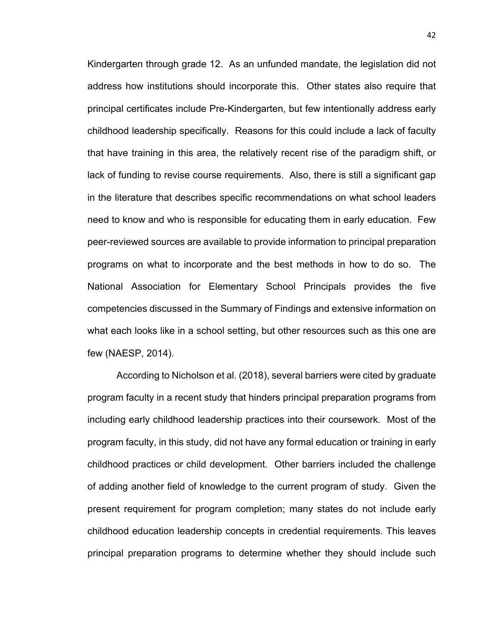Kindergarten through grade 12. As an unfunded mandate, the legislation did not address how institutions should incorporate this. Other states also require that principal certificates include Pre-Kindergarten, but few intentionally address early childhood leadership specifically. Reasons for this could include a lack of faculty that have training in this area, the relatively recent rise of the paradigm shift, or lack of funding to revise course requirements. Also, there is still a significant gap in the literature that describes specific recommendations on what school leaders need to know and who is responsible for educating them in early education. Few peer-reviewed sources are available to provide information to principal preparation programs on what to incorporate and the best methods in how to do so. The National Association for Elementary School Principals provides the five competencies discussed in the Summary of Findings and extensive information on what each looks like in a school setting, but other resources such as this one are few (NAESP, 2014).

According to Nicholson et al. (2018), several barriers were cited by graduate program faculty in a recent study that hinders principal preparation programs from including early childhood leadership practices into their coursework. Most of the program faculty, in this study, did not have any formal education or training in early childhood practices or child development. Other barriers included the challenge of adding another field of knowledge to the current program of study. Given the present requirement for program completion; many states do not include early childhood education leadership concepts in credential requirements. This leaves principal preparation programs to determine whether they should include such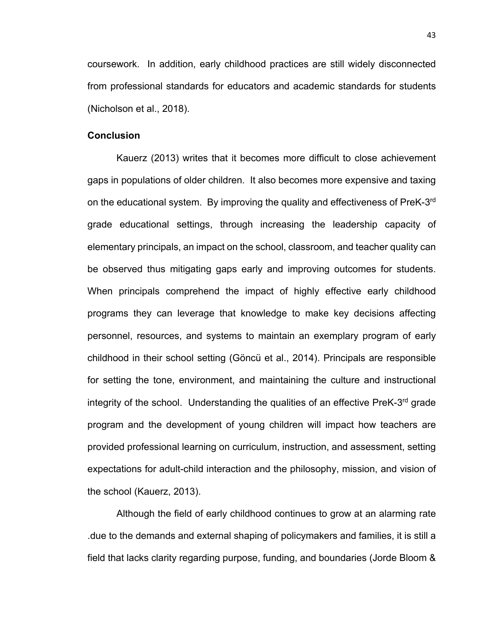coursework. In addition, early childhood practices are still widely disconnected from professional standards for educators and academic standards for students (Nicholson et al., 2018).

#### **Conclusion**

Kauerz (2013) writes that it becomes more difficult to close achievement gaps in populations of older children. It also becomes more expensive and taxing on the educational system. By improving the quality and effectiveness of PreK-3rd grade educational settings, through increasing the leadership capacity of elementary principals, an impact on the school, classroom, and teacher quality can be observed thus mitigating gaps early and improving outcomes for students. When principals comprehend the impact of highly effective early childhood programs they can leverage that knowledge to make key decisions affecting personnel, resources, and systems to maintain an exemplary program of early childhood in their school setting (Göncü et al., 2014). Principals are responsible for setting the tone, environment, and maintaining the culture and instructional integrity of the school. Understanding the qualities of an effective PreK-3<sup>rd</sup> grade program and the development of young children will impact how teachers are provided professional learning on curriculum, instruction, and assessment, setting expectations for adult-child interaction and the philosophy, mission, and vision of the school (Kauerz, 2013).

Although the field of early childhood continues to grow at an alarming rate .due to the demands and external shaping of policymakers and families, it is still a field that lacks clarity regarding purpose, funding, and boundaries (Jorde Bloom &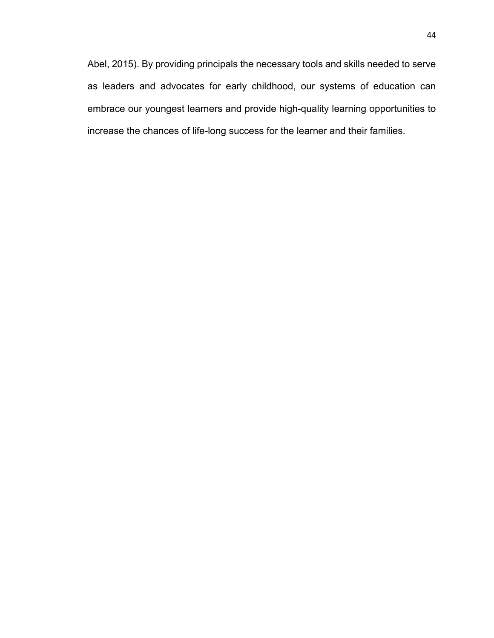Abel, 2015). By providing principals the necessary tools and skills needed to serve as leaders and advocates for early childhood, our systems of education can embrace our youngest learners and provide high-quality learning opportunities to increase the chances of life-long success for the learner and their families.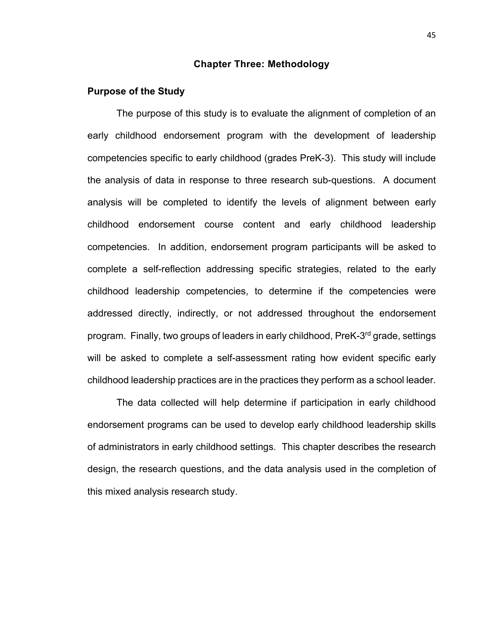#### **Chapter Three: Methodology**

#### **Purpose of the Study**

The purpose of this study is to evaluate the alignment of completion of an early childhood endorsement program with the development of leadership competencies specific to early childhood (grades PreK-3). This study will include the analysis of data in response to three research sub-questions. A document analysis will be completed to identify the levels of alignment between early childhood endorsement course content and early childhood leadership competencies. In addition, endorsement program participants will be asked to complete a self-reflection addressing specific strategies, related to the early childhood leadership competencies, to determine if the competencies were addressed directly, indirectly, or not addressed throughout the endorsement program. Finally, two groups of leaders in early childhood, PreK-3rd grade, settings will be asked to complete a self-assessment rating how evident specific early childhood leadership practices are in the practices they perform as a school leader.

The data collected will help determine if participation in early childhood endorsement programs can be used to develop early childhood leadership skills of administrators in early childhood settings. This chapter describes the research design, the research questions, and the data analysis used in the completion of this mixed analysis research study.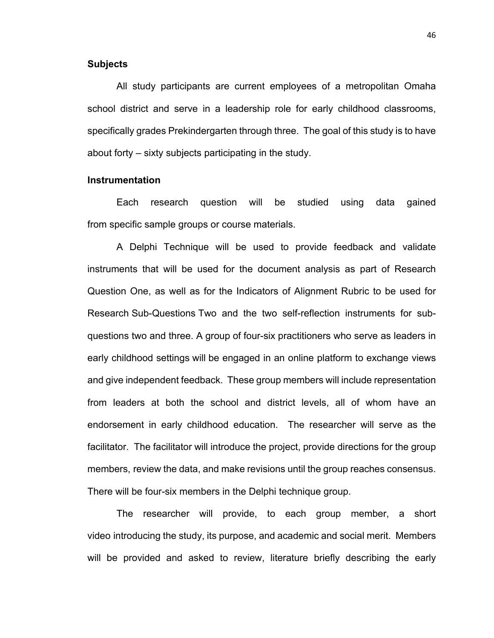#### **Subjects**

All study participants are current employees of a metropolitan Omaha school district and serve in a leadership role for early childhood classrooms, specifically grades Prekindergarten through three. The goal of this study is to have about forty – sixty subjects participating in the study.

#### **Instrumentation**

Each research question will be studied using data gained from specific sample groups or course materials.

A Delphi Technique will be used to provide feedback and validate instruments that will be used for the document analysis as part of Research Question One, as well as for the Indicators of Alignment Rubric to be used for Research Sub-Questions Two and the two self-reflection instruments for subquestions two and three. A group of four-six practitioners who serve as leaders in early childhood settings will be engaged in an online platform to exchange views and give independent feedback. These group members will include representation from leaders at both the school and district levels, all of whom have an endorsement in early childhood education. The researcher will serve as the facilitator. The facilitator will introduce the project, provide directions for the group members, review the data, and make revisions until the group reaches consensus. There will be four-six members in the Delphi technique group.

The researcher will provide, to each group member, a short video introducing the study, its purpose, and academic and social merit. Members will be provided and asked to review, literature briefly describing the early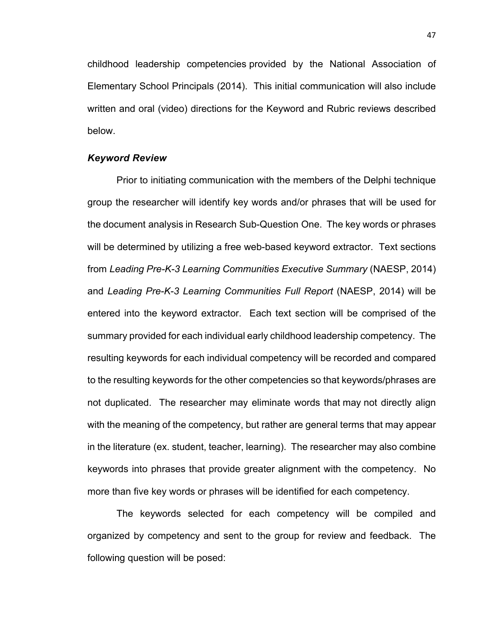childhood leadership competencies provided by the National Association of Elementary School Principals (2014). This initial communication will also include written and oral (video) directions for the Keyword and Rubric reviews described below.

## *Keyword Review*

Prior to initiating communication with the members of the Delphi technique group the researcher will identify key words and/or phrases that will be used for the document analysis in Research Sub-Question One. The key words or phrases will be determined by utilizing a free web-based keyword extractor. Text sections from *Leading Pre-K-3 Learning Communities Executive Summary* (NAESP, 2014) and *Leading Pre-K-3 Learning Communities Full Report* (NAESP, 2014) will be entered into the keyword extractor. Each text section will be comprised of the summary provided for each individual early childhood leadership competency. The resulting keywords for each individual competency will be recorded and compared to the resulting keywords for the other competencies so that keywords/phrases are not duplicated. The researcher may eliminate words that may not directly align with the meaning of the competency, but rather are general terms that may appear in the literature (ex. student, teacher, learning). The researcher may also combine keywords into phrases that provide greater alignment with the competency. No more than five key words or phrases will be identified for each competency.

The keywords selected for each competency will be compiled and organized by competency and sent to the group for review and feedback. The following question will be posed: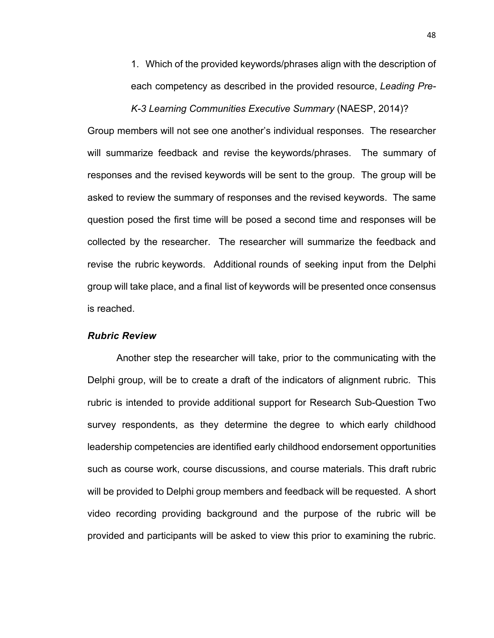1. Which of the provided keywords/phrases align with the description of each competency as described in the provided resource, *Leading Pre-*

*K-3 Learning Communities Executive Summary* (NAESP, 2014)?

Group members will not see one another's individual responses. The researcher will summarize feedback and revise the keywords/phrases. The summary of responses and the revised keywords will be sent to the group. The group will be asked to review the summary of responses and the revised keywords. The same question posed the first time will be posed a second time and responses will be collected by the researcher. The researcher will summarize the feedback and revise the rubric keywords. Additional rounds of seeking input from the Delphi group will take place, and a final list of keywords will be presented once consensus is reached.

#### *Rubric Review*

Another step the researcher will take, prior to the communicating with the Delphi group, will be to create a draft of the indicators of alignment rubric. This rubric is intended to provide additional support for Research Sub-Question Two survey respondents, as they determine the degree to which early childhood leadership competencies are identified early childhood endorsement opportunities such as course work, course discussions, and course materials. This draft rubric will be provided to Delphi group members and feedback will be requested. A short video recording providing background and the purpose of the rubric will be provided and participants will be asked to view this prior to examining the rubric.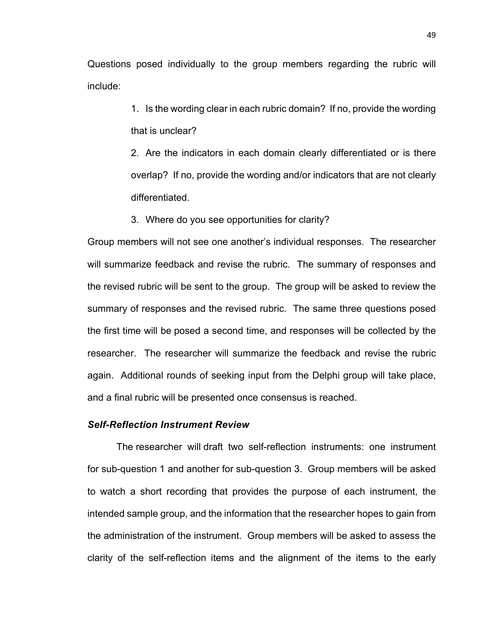Questions posed individually to the group members regarding the rubric will include:

> 1. Is the wording clear in each rubric domain? If no, provide the wording that is unclear?

> 2. Are the indicators in each domain clearly differentiated or is there overlap? If no, provide the wording and/or indicators that are not clearly differentiated.

3. Where do you see opportunities for clarity?

Group members will not see one another's individual responses. The researcher will summarize feedback and revise the rubric. The summary of responses and the revised rubric will be sent to the group. The group will be asked to review the summary of responses and the revised rubric. The same three questions posed the first time will be posed a second time, and responses will be collected by the researcher. The researcher will summarize the feedback and revise the rubric again. Additional rounds of seeking input from the Delphi group will take place, and a final rubric will be presented once consensus is reached.

# *Self-Reflection Instrument Review*

The researcher will draft two self-reflection instruments: one instrument for sub-question 1 and another for sub-question 3. Group members will be asked to watch a short recording that provides the purpose of each instrument, the intended sample group, and the information that the researcher hopes to gain from the administration of the instrument. Group members will be asked to assess the clarity of the self-reflection items and the alignment of the items to the early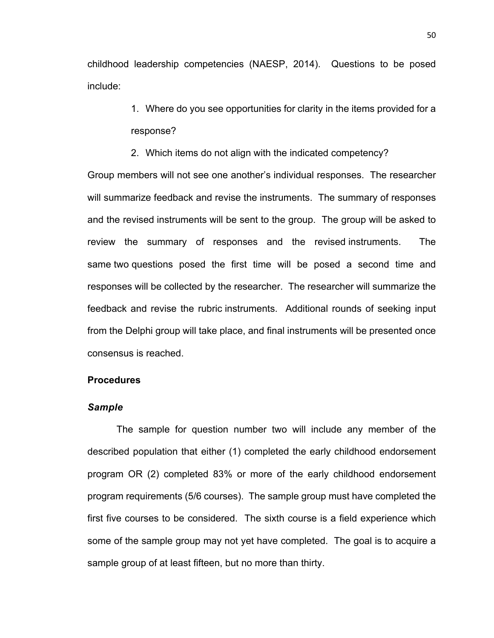childhood leadership competencies (NAESP, 2014). Questions to be posed include:

> 1. Where do you see opportunities for clarity in the items provided for a response?

2. Which items do not align with the indicated competency?

Group members will not see one another's individual responses. The researcher will summarize feedback and revise the instruments. The summary of responses and the revised instruments will be sent to the group. The group will be asked to review the summary of responses and the revised instruments. The same two questions posed the first time will be posed a second time and responses will be collected by the researcher. The researcher will summarize the feedback and revise the rubric instruments. Additional rounds of seeking input from the Delphi group will take place, and final instruments will be presented once consensus is reached.

#### **Procedures**

# *Sample*

The sample for question number two will include any member of the described population that either (1) completed the early childhood endorsement program OR (2) completed 83% or more of the early childhood endorsement program requirements (5/6 courses). The sample group must have completed the first five courses to be considered. The sixth course is a field experience which some of the sample group may not yet have completed. The goal is to acquire a sample group of at least fifteen, but no more than thirty.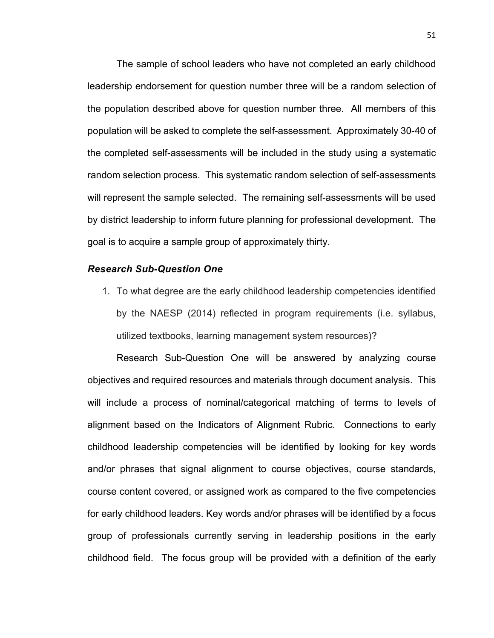The sample of school leaders who have not completed an early childhood leadership endorsement for question number three will be a random selection of the population described above for question number three. All members of this population will be asked to complete the self-assessment. Approximately 30-40 of the completed self-assessments will be included in the study using a systematic random selection process. This systematic random selection of self-assessments will represent the sample selected. The remaining self-assessments will be used by district leadership to inform future planning for professional development. The goal is to acquire a sample group of approximately thirty.

#### *Research Sub-Question One*

1. To what degree are the early childhood leadership competencies identified by the NAESP (2014) reflected in program requirements (i.e. syllabus, utilized textbooks, learning management system resources)?

Research Sub-Question One will be answered by analyzing course objectives and required resources and materials through document analysis. This will include a process of nominal/categorical matching of terms to levels of alignment based on the Indicators of Alignment Rubric. Connections to early childhood leadership competencies will be identified by looking for key words and/or phrases that signal alignment to course objectives, course standards, course content covered, or assigned work as compared to the five competencies for early childhood leaders. Key words and/or phrases will be identified by a focus group of professionals currently serving in leadership positions in the early childhood field. The focus group will be provided with a definition of the early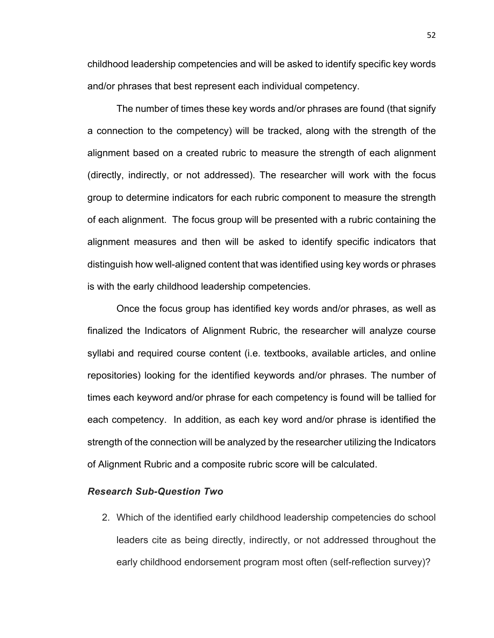childhood leadership competencies and will be asked to identify specific key words and/or phrases that best represent each individual competency.

The number of times these key words and/or phrases are found (that signify a connection to the competency) will be tracked, along with the strength of the alignment based on a created rubric to measure the strength of each alignment (directly, indirectly, or not addressed). The researcher will work with the focus group to determine indicators for each rubric component to measure the strength of each alignment. The focus group will be presented with a rubric containing the alignment measures and then will be asked to identify specific indicators that distinguish how well-aligned content that was identified using key words or phrases is with the early childhood leadership competencies.

Once the focus group has identified key words and/or phrases, as well as finalized the Indicators of Alignment Rubric, the researcher will analyze course syllabi and required course content (i.e. textbooks, available articles, and online repositories) looking for the identified keywords and/or phrases. The number of times each keyword and/or phrase for each competency is found will be tallied for each competency. In addition, as each key word and/or phrase is identified the strength of the connection will be analyzed by the researcher utilizing the Indicators of Alignment Rubric and a composite rubric score will be calculated.

# *Research Sub-Question Two*

2. Which of the identified early childhood leadership competencies do school leaders cite as being directly, indirectly, or not addressed throughout the early childhood endorsement program most often (self-reflection survey)?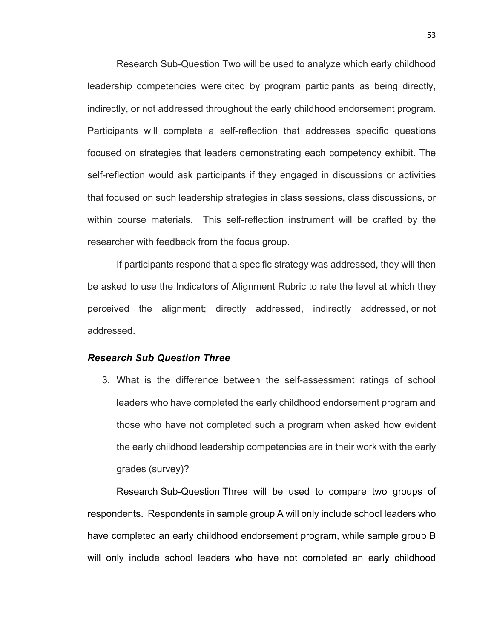Research Sub-Question Two will be used to analyze which early childhood leadership competencies were cited by program participants as being directly, indirectly, or not addressed throughout the early childhood endorsement program. Participants will complete a self-reflection that addresses specific questions focused on strategies that leaders demonstrating each competency exhibit. The self-reflection would ask participants if they engaged in discussions or activities that focused on such leadership strategies in class sessions, class discussions, or within course materials. This self-reflection instrument will be crafted by the researcher with feedback from the focus group.

If participants respond that a specific strategy was addressed, they will then be asked to use the Indicators of Alignment Rubric to rate the level at which they perceived the alignment; directly addressed, indirectly addressed, or not addressed.

#### *Research Sub Question Three*

3. What is the difference between the self-assessment ratings of school leaders who have completed the early childhood endorsement program and those who have not completed such a program when asked how evident the early childhood leadership competencies are in their work with the early grades (survey)?

Research Sub-Question Three will be used to compare two groups of respondents. Respondents in sample group A will only include school leaders who have completed an early childhood endorsement program, while sample group B will only include school leaders who have not completed an early childhood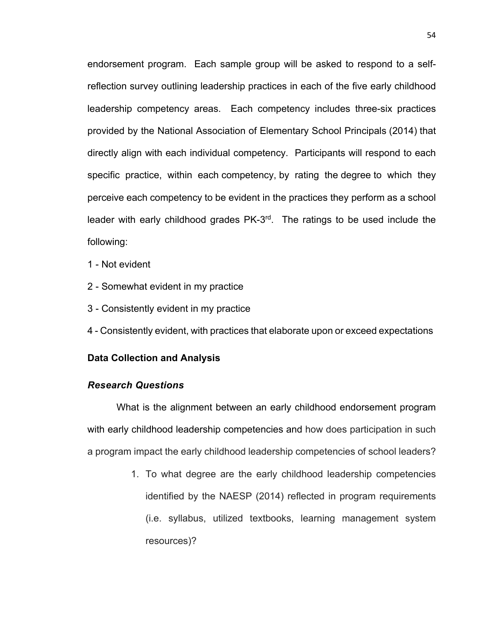endorsement program. Each sample group will be asked to respond to a selfreflection survey outlining leadership practices in each of the five early childhood leadership competency areas. Each competency includes three-six practices provided by the National Association of Elementary School Principals (2014) that directly align with each individual competency. Participants will respond to each specific practice, within each competency, by rating the degree to which they perceive each competency to be evident in the practices they perform as a school leader with early childhood grades PK-3rd. The ratings to be used include the following:

- 1 Not evident
- 2 Somewhat evident in my practice
- 3 Consistently evident in my practice
- 4 Consistently evident, with practices that elaborate upon or exceed expectations

#### **Data Collection and Analysis**

# *Research Questions*

What is the alignment between an early childhood endorsement program with early childhood leadership competencies and how does participation in such a program impact the early childhood leadership competencies of school leaders?

> 1. To what degree are the early childhood leadership competencies identified by the NAESP (2014) reflected in program requirements (i.e. syllabus, utilized textbooks, learning management system resources)?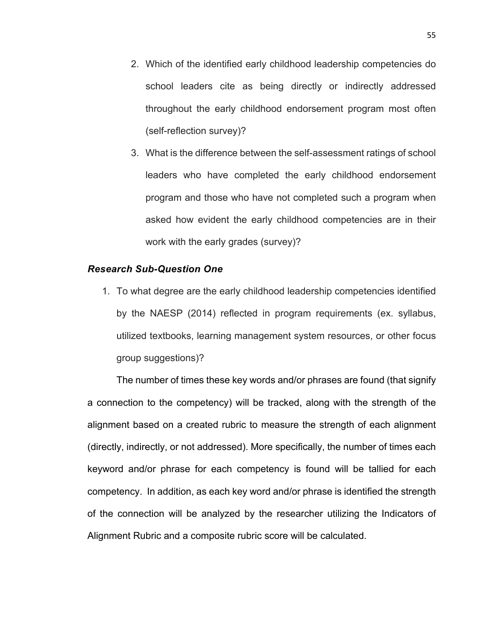- 2. Which of the identified early childhood leadership competencies do school leaders cite as being directly or indirectly addressed throughout the early childhood endorsement program most often (self-reflection survey)?
- 3. What is the difference between the self-assessment ratings of school leaders who have completed the early childhood endorsement program and those who have not completed such a program when asked how evident the early childhood competencies are in their work with the early grades (survey)?

# *Research Sub-Question One*

1. To what degree are the early childhood leadership competencies identified by the NAESP (2014) reflected in program requirements (ex. syllabus, utilized textbooks, learning management system resources, or other focus group suggestions)?

The number of times these key words and/or phrases are found (that signify a connection to the competency) will be tracked, along with the strength of the alignment based on a created rubric to measure the strength of each alignment (directly, indirectly, or not addressed). More specifically, the number of times each keyword and/or phrase for each competency is found will be tallied for each competency. In addition, as each key word and/or phrase is identified the strength of the connection will be analyzed by the researcher utilizing the Indicators of Alignment Rubric and a composite rubric score will be calculated.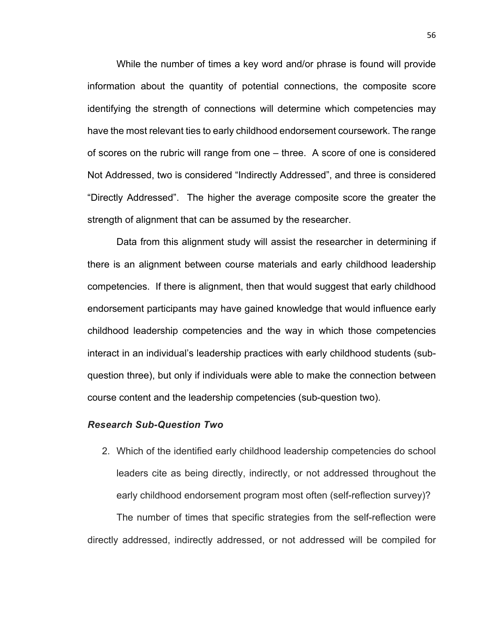While the number of times a key word and/or phrase is found will provide information about the quantity of potential connections, the composite score identifying the strength of connections will determine which competencies may have the most relevant ties to early childhood endorsement coursework. The range of scores on the rubric will range from one – three. A score of one is considered Not Addressed, two is considered "Indirectly Addressed", and three is considered "Directly Addressed". The higher the average composite score the greater the strength of alignment that can be assumed by the researcher.

Data from this alignment study will assist the researcher in determining if there is an alignment between course materials and early childhood leadership competencies. If there is alignment, then that would suggest that early childhood endorsement participants may have gained knowledge that would influence early childhood leadership competencies and the way in which those competencies interact in an individual's leadership practices with early childhood students (subquestion three), but only if individuals were able to make the connection between course content and the leadership competencies (sub-question two).

# *Research Sub-Question Two*

2. Which of the identified early childhood leadership competencies do school leaders cite as being directly, indirectly, or not addressed throughout the early childhood endorsement program most often (self-reflection survey)?

The number of times that specific strategies from the self-reflection were directly addressed, indirectly addressed, or not addressed will be compiled for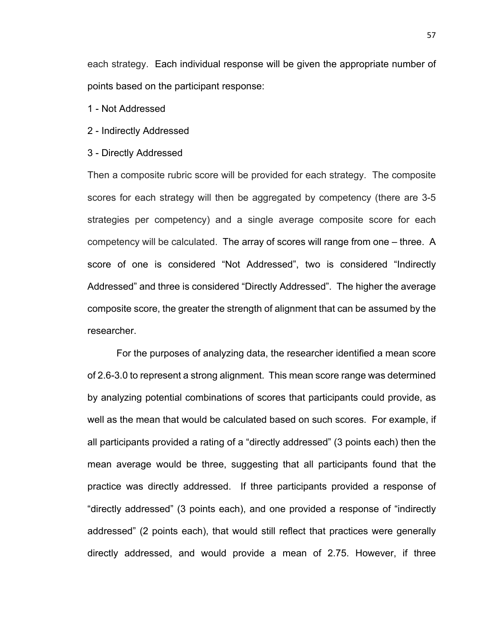each strategy. Each individual response will be given the appropriate number of points based on the participant response:

- 1 Not Addressed
- 2 Indirectly Addressed
- 3 Directly Addressed

Then a composite rubric score will be provided for each strategy. The composite scores for each strategy will then be aggregated by competency (there are 3-5 strategies per competency) and a single average composite score for each competency will be calculated. The array of scores will range from one – three. A score of one is considered "Not Addressed", two is considered "Indirectly Addressed" and three is considered "Directly Addressed". The higher the average composite score, the greater the strength of alignment that can be assumed by the researcher.

For the purposes of analyzing data, the researcher identified a mean score of 2.6-3.0 to represent a strong alignment. This mean score range was determined by analyzing potential combinations of scores that participants could provide, as well as the mean that would be calculated based on such scores. For example, if all participants provided a rating of a "directly addressed" (3 points each) then the mean average would be three, suggesting that all participants found that the practice was directly addressed. If three participants provided a response of "directly addressed" (3 points each), and one provided a response of "indirectly addressed" (2 points each), that would still reflect that practices were generally directly addressed, and would provide a mean of 2.75. However, if three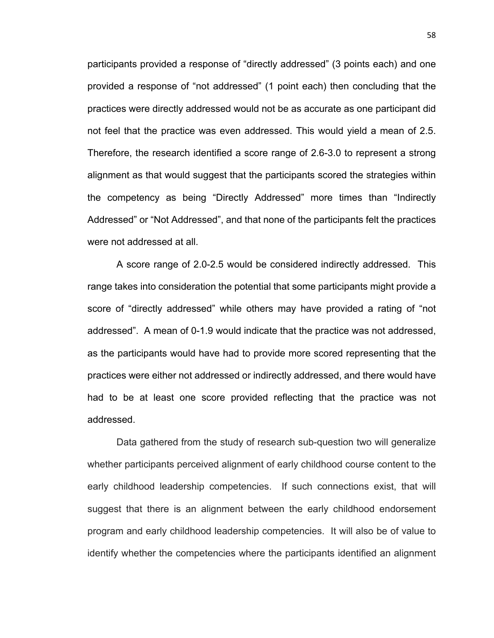participants provided a response of "directly addressed" (3 points each) and one provided a response of "not addressed" (1 point each) then concluding that the practices were directly addressed would not be as accurate as one participant did not feel that the practice was even addressed. This would yield a mean of 2.5. Therefore, the research identified a score range of 2.6-3.0 to represent a strong alignment as that would suggest that the participants scored the strategies within the competency as being "Directly Addressed" more times than "Indirectly Addressed" or "Not Addressed", and that none of the participants felt the practices were not addressed at all.

A score range of 2.0-2.5 would be considered indirectly addressed. This range takes into consideration the potential that some participants might provide a score of "directly addressed" while others may have provided a rating of "not addressed". A mean of 0-1.9 would indicate that the practice was not addressed, as the participants would have had to provide more scored representing that the practices were either not addressed or indirectly addressed, and there would have had to be at least one score provided reflecting that the practice was not addressed.

Data gathered from the study of research sub-question two will generalize whether participants perceived alignment of early childhood course content to the early childhood leadership competencies. If such connections exist, that will suggest that there is an alignment between the early childhood endorsement program and early childhood leadership competencies. It will also be of value to identify whether the competencies where the participants identified an alignment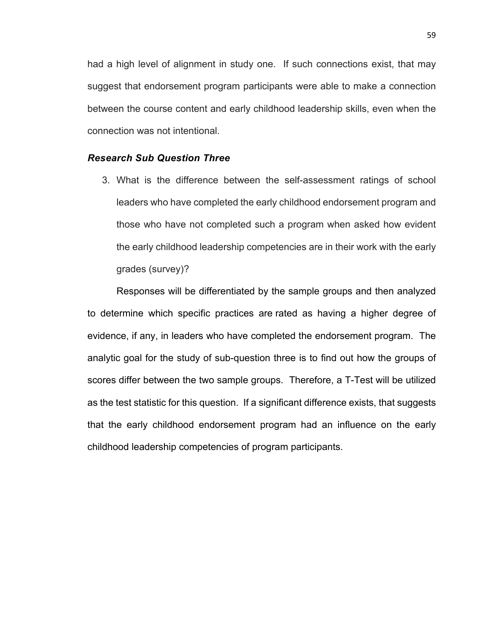had a high level of alignment in study one. If such connections exist, that may suggest that endorsement program participants were able to make a connection between the course content and early childhood leadership skills, even when the connection was not intentional.

# *Research Sub Question Three*

3. What is the difference between the self-assessment ratings of school leaders who have completed the early childhood endorsement program and those who have not completed such a program when asked how evident the early childhood leadership competencies are in their work with the early grades (survey)?

Responses will be differentiated by the sample groups and then analyzed to determine which specific practices are rated as having a higher degree of evidence, if any, in leaders who have completed the endorsement program. The analytic goal for the study of sub-question three is to find out how the groups of scores differ between the two sample groups. Therefore, a T-Test will be utilized as the test statistic for this question. If a significant difference exists, that suggests that the early childhood endorsement program had an influence on the early childhood leadership competencies of program participants.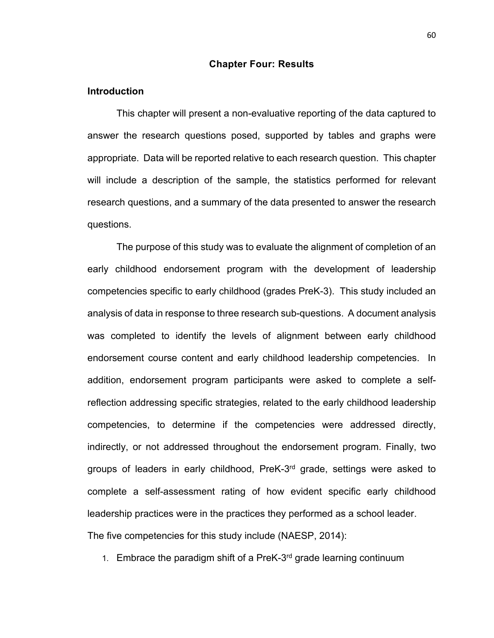#### **Chapter Four: Results**

# **Introduction**

This chapter will present a non-evaluative reporting of the data captured to answer the research questions posed, supported by tables and graphs were appropriate. Data will be reported relative to each research question. This chapter will include a description of the sample, the statistics performed for relevant research questions, and a summary of the data presented to answer the research questions.

The purpose of this study was to evaluate the alignment of completion of an early childhood endorsement program with the development of leadership competencies specific to early childhood (grades PreK-3). This study included an analysis of data in response to three research sub-questions. A document analysis was completed to identify the levels of alignment between early childhood endorsement course content and early childhood leadership competencies. In addition, endorsement program participants were asked to complete a selfreflection addressing specific strategies, related to the early childhood leadership competencies, to determine if the competencies were addressed directly, indirectly, or not addressed throughout the endorsement program. Finally, two groups of leaders in early childhood, PreK-3<sup>rd</sup> grade, settings were asked to complete a self-assessment rating of how evident specific early childhood leadership practices were in the practices they performed as a school leader. The five competencies for this study include (NAESP, 2014):

1. Embrace the paradigm shift of a PreK- $3<sup>rd</sup>$  grade learning continuum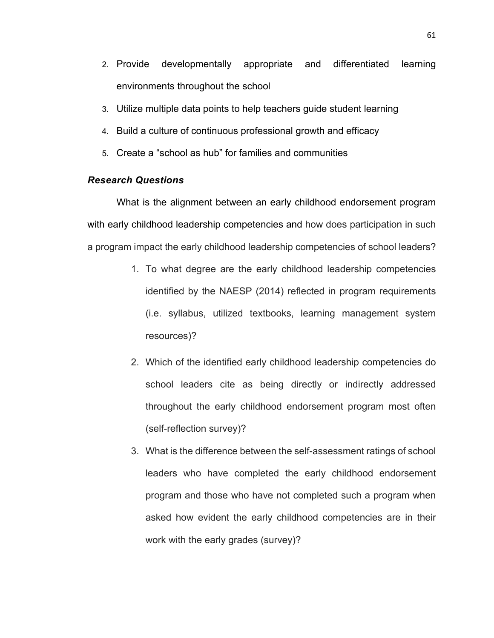- 2. Provide developmentally appropriate and differentiated learning environments throughout the school
- 3. Utilize multiple data points to help teachers guide student learning
- 4. Build a culture of continuous professional growth and efficacy
- 5. Create a "school as hub" for families and communities

# *Research Questions*

What is the alignment between an early childhood endorsement program with early childhood leadership competencies and how does participation in such a program impact the early childhood leadership competencies of school leaders?

- 1. To what degree are the early childhood leadership competencies identified by the NAESP (2014) reflected in program requirements (i.e. syllabus, utilized textbooks, learning management system resources)?
- 2. Which of the identified early childhood leadership competencies do school leaders cite as being directly or indirectly addressed throughout the early childhood endorsement program most often (self-reflection survey)?
- 3. What is the difference between the self-assessment ratings of school leaders who have completed the early childhood endorsement program and those who have not completed such a program when asked how evident the early childhood competencies are in their work with the early grades (survey)?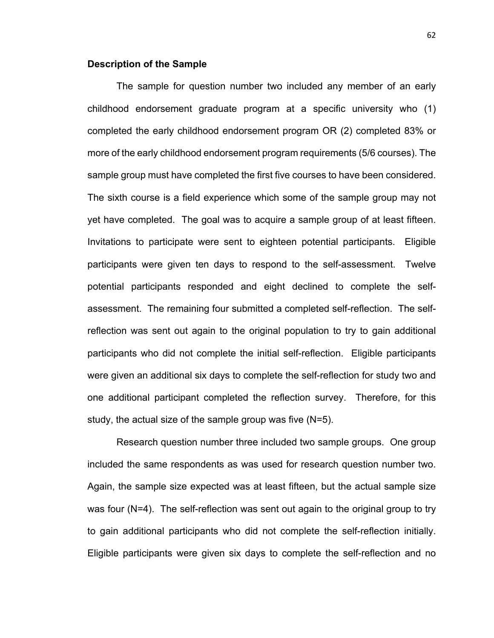#### **Description of the Sample**

The sample for question number two included any member of an early childhood endorsement graduate program at a specific university who (1) completed the early childhood endorsement program OR (2) completed 83% or more of the early childhood endorsement program requirements (5/6 courses). The sample group must have completed the first five courses to have been considered. The sixth course is a field experience which some of the sample group may not yet have completed. The goal was to acquire a sample group of at least fifteen. Invitations to participate were sent to eighteen potential participants. Eligible participants were given ten days to respond to the self-assessment. Twelve potential participants responded and eight declined to complete the selfassessment. The remaining four submitted a completed self-reflection. The selfreflection was sent out again to the original population to try to gain additional participants who did not complete the initial self-reflection. Eligible participants were given an additional six days to complete the self-reflection for study two and one additional participant completed the reflection survey. Therefore, for this study, the actual size of the sample group was five (N=5).

Research question number three included two sample groups. One group included the same respondents as was used for research question number two. Again, the sample size expected was at least fifteen, but the actual sample size was four (N=4). The self-reflection was sent out again to the original group to try to gain additional participants who did not complete the self-reflection initially. Eligible participants were given six days to complete the self-reflection and no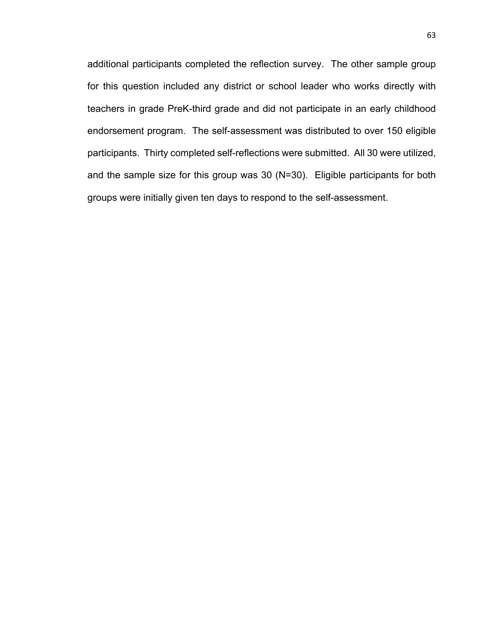additional participants completed the reflection survey. The other sample group for this question included any district or school leader who works directly with teachers in grade PreK-third grade and did not participate in an early childhood endorsement program. The self-assessment was distributed to over 150 eligible participants. Thirty completed self-reflections were submitted. All 30 were utilized, and the sample size for this group was 30 (N=30). Eligible participants for both groups were initially given ten days to respond to the self-assessment.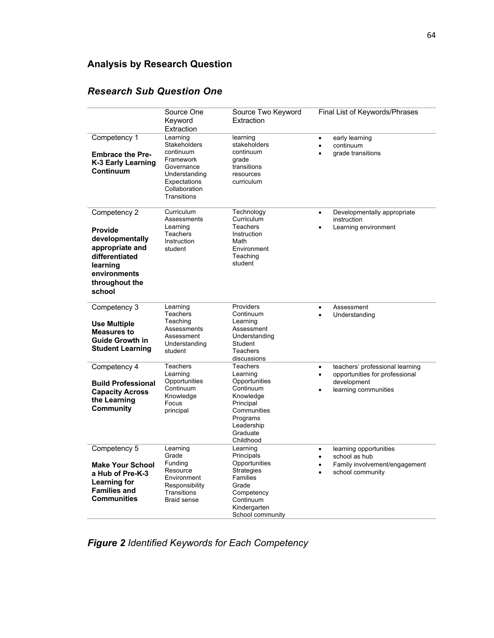# **Analysis by Research Question**

|                                                                                                                                                | Source One<br>Keyword<br>Extraction                                                                                                      | Source Two Keyword<br>Extraction                                                                                                                 | Final List of Keywords/Phrases                                                                                                      |
|------------------------------------------------------------------------------------------------------------------------------------------------|------------------------------------------------------------------------------------------------------------------------------------------|--------------------------------------------------------------------------------------------------------------------------------------------------|-------------------------------------------------------------------------------------------------------------------------------------|
| Competency 1<br><b>Embrace the Pre-</b><br>K-3 Early Learning<br>Continuum                                                                     | Learning<br><b>Stakeholders</b><br>continuum<br>Framework<br>Governance<br>Understanding<br>Expectations<br>Collaboration<br>Transitions | learning<br>stakeholders<br>continuum<br>grade<br>transitions<br>resources<br>curriculum                                                         | early learning<br>$\bullet$<br>continuum<br>$\bullet$<br>grade transitions                                                          |
| Competency 2<br><b>Provide</b><br>developmentally<br>appropriate and<br>differentiated<br>learning<br>environments<br>throughout the<br>school | Curriculum<br>Assessments<br>Learning<br><b>Teachers</b><br>Instruction<br>student                                                       | Technology<br>Curriculum<br>Teachers<br>Instruction<br>Math<br>Environment<br>Teaching<br>student                                                | Developmentally appropriate<br>$\bullet$<br>instruction<br>Learning environment<br>$\bullet$                                        |
| Competency 3<br><b>Use Multiple</b><br><b>Measures to</b><br><b>Guide Growth in</b><br><b>Student Learning</b>                                 | Learning<br><b>Teachers</b><br>Teaching<br>Assessments<br>Assessment<br>Understanding<br>student                                         | Providers<br>Continuum<br>Learning<br>Assessment<br>Understanding<br>Student<br><b>Teachers</b><br>discussions                                   | Assessment<br>$\bullet$<br>Understanding<br>$\bullet$                                                                               |
| Competency 4<br><b>Build Professional</b><br><b>Capacity Across</b><br>the Learning<br>Community                                               | <b>Teachers</b><br>Learning<br>Opportunities<br>Continuum<br>Knowledge<br>Focus<br>principal                                             | Teachers<br>Learning<br>Opportunities<br>Continuum<br>Knowledge<br>Principal<br>Communities<br>Programs<br>Leadership<br>Graduate<br>Childhood   | teachers' professional learning<br>$\bullet$<br>opportunities for professional<br>$\bullet$<br>development<br>learning communities  |
| Competency 5<br><b>Make Your School</b><br>a Hub of Pre-K-3<br><b>Learning for</b><br><b>Families and</b><br><b>Communities</b>                | Learning<br>Grade<br>Funding<br>Resource<br>Environment<br>Responsibility<br>Transitions<br><b>Braid sense</b>                           | Learning<br>Principals<br>Opportunities<br><b>Strategies</b><br>Families<br>Grade<br>Competency<br>Continuum<br>Kindergarten<br>School community | learning opportunities<br>$\bullet$<br>school as hub<br>$\bullet$<br>Family involvement/engagement<br>$\bullet$<br>school community |

## *Research Sub Question One*

*Figure 2 Identified Keywords for Each Competency*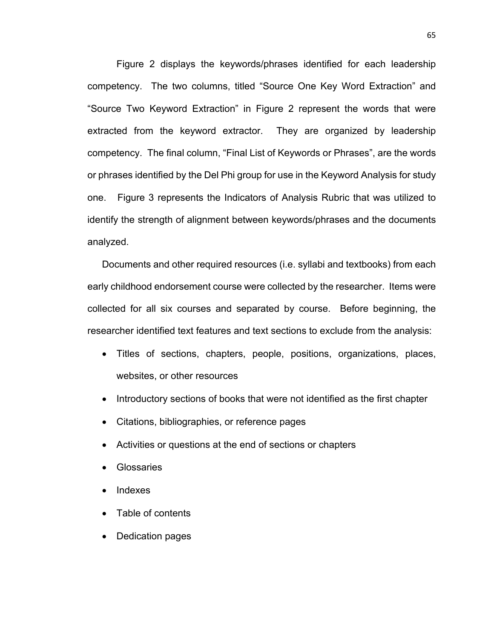Figure 2 displays the keywords/phrases identified for each leadership competency. The two columns, titled "Source One Key Word Extraction" and "Source Two Keyword Extraction" in Figure 2 represent the words that were extracted from the keyword extractor. They are organized by leadership competency. The final column, "Final List of Keywords or Phrases", are the words or phrases identified by the Del Phi group for use in the Keyword Analysis for study one. Figure 3 represents the Indicators of Analysis Rubric that was utilized to identify the strength of alignment between keywords/phrases and the documents analyzed.

Documents and other required resources (i.e. syllabi and textbooks) from each early childhood endorsement course were collected by the researcher. Items were collected for all six courses and separated by course. Before beginning, the researcher identified text features and text sections to exclude from the analysis:

- Titles of sections, chapters, people, positions, organizations, places, websites, or other resources
- Introductory sections of books that were not identified as the first chapter
- Citations, bibliographies, or reference pages
- Activities or questions at the end of sections or chapters
- **Glossaries**
- Indexes
- Table of contents
- Dedication pages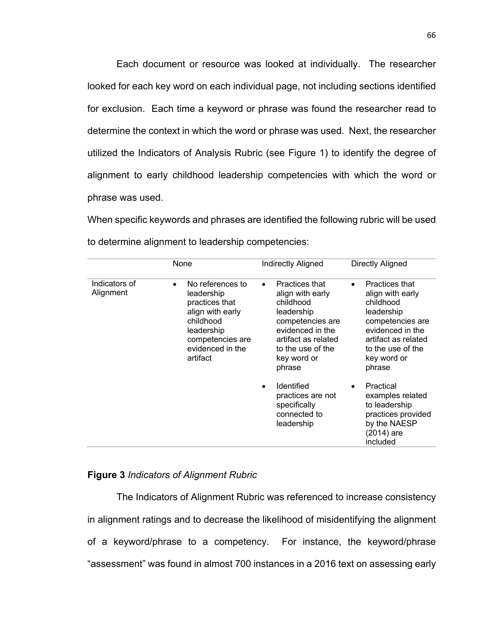Each document or resource was looked at individually. The researcher looked for each key word on each individual page, not including sections identified for exclusion. Each time a keyword or phrase was found the researcher read to determine the context in which the word or phrase was used. Next, the researcher utilized the Indicators of Analysis Rubric (see Figure 1) to identify the degree of alignment to early childhood leadership competencies with which the word or phrase was used.

When specific keywords and phrases are identified the following rubric will be used to determine alignment to leadership competencies:

|                            | None                                                                                                                                                             | <b>Indirectly Aligned</b>                                                                                                                                                               | Directly Aligned                                                                                                                                                                               |
|----------------------------|------------------------------------------------------------------------------------------------------------------------------------------------------------------|-----------------------------------------------------------------------------------------------------------------------------------------------------------------------------------------|------------------------------------------------------------------------------------------------------------------------------------------------------------------------------------------------|
| Indicators of<br>Alignment | No references to<br>$\bullet$<br>leadership<br>practices that<br>align with early<br>childhood<br>leadership<br>competencies are<br>evidenced in the<br>artifact | Practices that<br>$\bullet$<br>align with early<br>childhood<br>leadership<br>competencies are<br>evidenced in the<br>artifact as related<br>to the use of the<br>key word or<br>phrase | <b>Practices that</b><br>$\bullet$<br>align with early<br>childhood<br>leadership<br>competencies are<br>evidenced in the<br>artifact as related<br>to the use of the<br>key word or<br>phrase |
|                            |                                                                                                                                                                  | <b>Identified</b><br>$\bullet$<br>practices are not<br>specifically<br>connected to<br>leadership                                                                                       | Practical<br>examples related<br>to leadership<br>practices provided<br>by the NAESP<br>$(2014)$ are<br>included                                                                               |

## **Figure 3** *Indicators of Alignment Rubric*

The Indicators of Alignment Rubric was referenced to increase consistency in alignment ratings and to decrease the likelihood of misidentifying the alignment of a keyword/phrase to a competency. For instance, the keyword/phrase "assessment" was found in almost 700 instances in a 2016 text on assessing early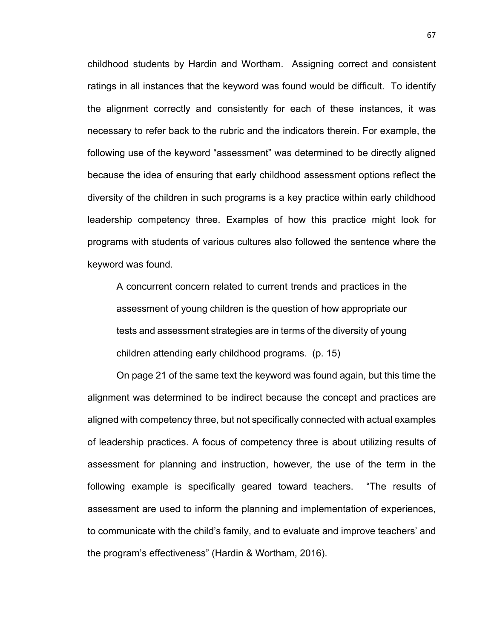childhood students by Hardin and Wortham. Assigning correct and consistent ratings in all instances that the keyword was found would be difficult. To identify the alignment correctly and consistently for each of these instances, it was necessary to refer back to the rubric and the indicators therein. For example, the following use of the keyword "assessment" was determined to be directly aligned because the idea of ensuring that early childhood assessment options reflect the diversity of the children in such programs is a key practice within early childhood leadership competency three. Examples of how this practice might look for programs with students of various cultures also followed the sentence where the keyword was found.

A concurrent concern related to current trends and practices in the assessment of young children is the question of how appropriate our tests and assessment strategies are in terms of the diversity of young children attending early childhood programs. (p. 15)

On page 21 of the same text the keyword was found again, but this time the alignment was determined to be indirect because the concept and practices are aligned with competency three, but not specifically connected with actual examples of leadership practices. A focus of competency three is about utilizing results of assessment for planning and instruction, however, the use of the term in the following example is specifically geared toward teachers. "The results of assessment are used to inform the planning and implementation of experiences, to communicate with the child's family, and to evaluate and improve teachers' and the program's effectiveness" (Hardin & Wortham, 2016).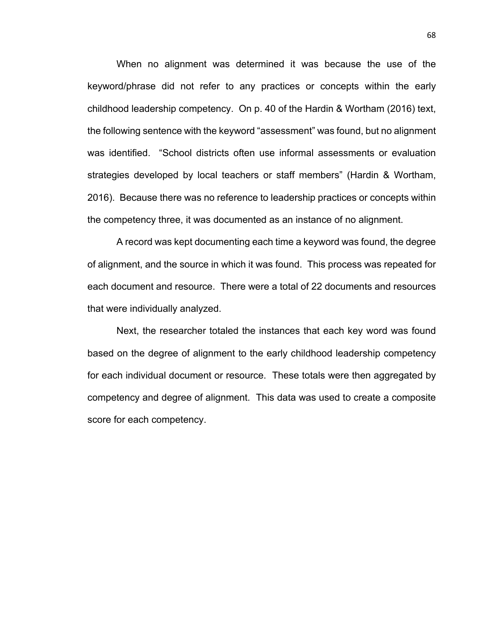When no alignment was determined it was because the use of the keyword/phrase did not refer to any practices or concepts within the early childhood leadership competency. On p. 40 of the Hardin & Wortham (2016) text, the following sentence with the keyword "assessment" was found, but no alignment was identified. "School districts often use informal assessments or evaluation strategies developed by local teachers or staff members" (Hardin & Wortham, 2016). Because there was no reference to leadership practices or concepts within the competency three, it was documented as an instance of no alignment.

A record was kept documenting each time a keyword was found, the degree of alignment, and the source in which it was found. This process was repeated for each document and resource. There were a total of 22 documents and resources that were individually analyzed.

Next, the researcher totaled the instances that each key word was found based on the degree of alignment to the early childhood leadership competency for each individual document or resource. These totals were then aggregated by competency and degree of alignment. This data was used to create a composite score for each competency.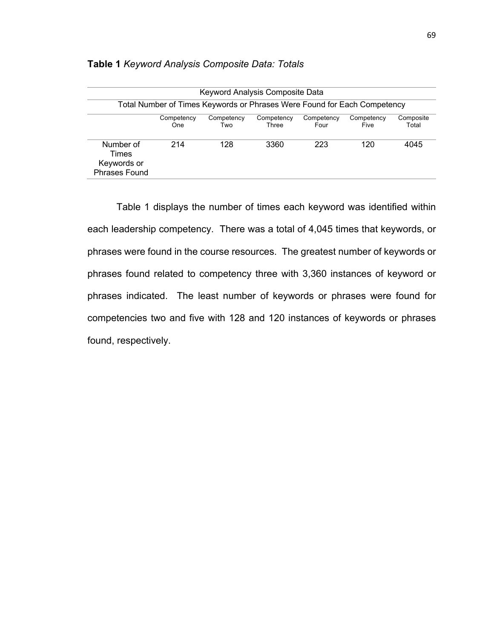|                                                           | Keyword Analysis Composite Data                                          |                   |                     |                    |                    |                    |  |
|-----------------------------------------------------------|--------------------------------------------------------------------------|-------------------|---------------------|--------------------|--------------------|--------------------|--|
|                                                           | Total Number of Times Keywords or Phrases Were Found for Each Competency |                   |                     |                    |                    |                    |  |
|                                                           | Competency<br>One                                                        | Competency<br>Two | Competency<br>Three | Competency<br>Four | Competency<br>Five | Composite<br>Total |  |
| Number of<br>Times<br>Keywords or<br><b>Phrases Found</b> | 214                                                                      | 128               | 3360                | 223                | 120                | 4045               |  |

### **Table 1** *Keyword Analysis Composite Data: Totals*

Table 1 displays the number of times each keyword was identified within each leadership competency. There was a total of 4,045 times that keywords, or phrases were found in the course resources. The greatest number of keywords or phrases found related to competency three with 3,360 instances of keyword or phrases indicated. The least number of keywords or phrases were found for competencies two and five with 128 and 120 instances of keywords or phrases found, respectively.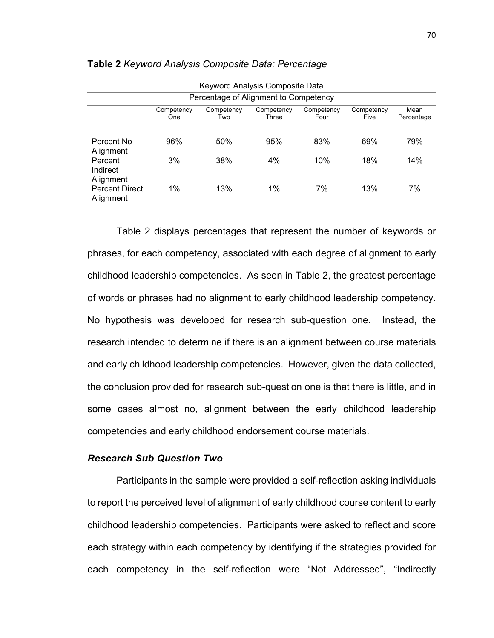|                                                                                                                                 | Keyword Analysis Composite Data |                                       |     |     |     |     |  |
|---------------------------------------------------------------------------------------------------------------------------------|---------------------------------|---------------------------------------|-----|-----|-----|-----|--|
|                                                                                                                                 |                                 | Percentage of Alignment to Competency |     |     |     |     |  |
| Mean<br>Competency<br>Competency<br>Competency<br>Competency<br>Competency<br>Three<br>Five<br>Four<br>Percentage<br>One<br>Two |                                 |                                       |     |     |     |     |  |
| Percent No<br>Alignment                                                                                                         | 96%                             | 50%                                   | 95% | 83% | 69% | 79% |  |
| Percent<br>Indirect<br>Alignment                                                                                                | 3%                              | 38%                                   | 4%  | 10% | 18% | 14% |  |
| <b>Percent Direct</b><br>Alignment                                                                                              | $1\%$                           | 13%                                   | 1%  | 7%  | 13% | 7%  |  |

#### **Table 2** *Keyword Analysis Composite Data: Percentage*

Table 2 displays percentages that represent the number of keywords or phrases, for each competency, associated with each degree of alignment to early childhood leadership competencies. As seen in Table 2, the greatest percentage of words or phrases had no alignment to early childhood leadership competency. No hypothesis was developed for research sub-question one. Instead, the research intended to determine if there is an alignment between course materials and early childhood leadership competencies. However, given the data collected, the conclusion provided for research sub-question one is that there is little, and in some cases almost no, alignment between the early childhood leadership competencies and early childhood endorsement course materials.

## *Research Sub Question Two*

Participants in the sample were provided a self-reflection asking individuals to report the perceived level of alignment of early childhood course content to early childhood leadership competencies. Participants were asked to reflect and score each strategy within each competency by identifying if the strategies provided for each competency in the self-reflection were "Not Addressed", "Indirectly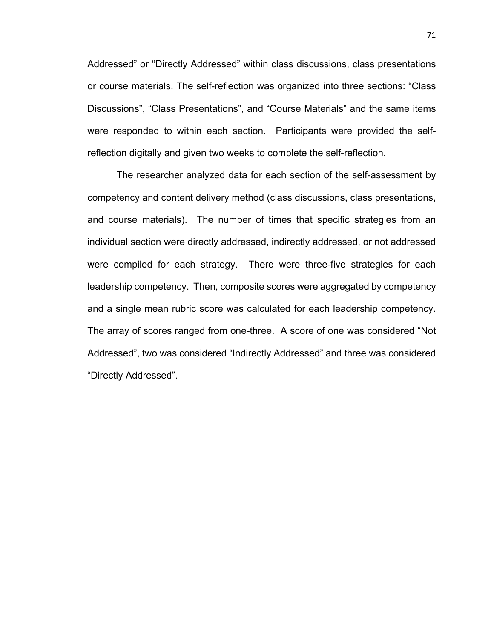Addressed" or "Directly Addressed" within class discussions, class presentations or course materials. The self-reflection was organized into three sections: "Class Discussions", "Class Presentations", and "Course Materials" and the same items were responded to within each section. Participants were provided the selfreflection digitally and given two weeks to complete the self-reflection.

The researcher analyzed data for each section of the self-assessment by competency and content delivery method (class discussions, class presentations, and course materials). The number of times that specific strategies from an individual section were directly addressed, indirectly addressed, or not addressed were compiled for each strategy. There were three-five strategies for each leadership competency. Then, composite scores were aggregated by competency and a single mean rubric score was calculated for each leadership competency. The array of scores ranged from one-three. A score of one was considered "Not Addressed", two was considered "Indirectly Addressed" and three was considered "Directly Addressed".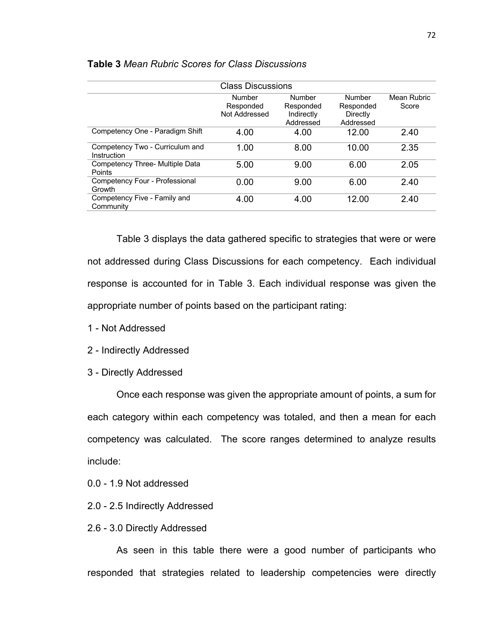| <b>Class Discussions</b>                       |                                      |                                                |                                              |                      |  |  |
|------------------------------------------------|--------------------------------------|------------------------------------------------|----------------------------------------------|----------------------|--|--|
|                                                | Number<br>Responded<br>Not Addressed | Number<br>Responded<br>Indirectly<br>Addressed | Number<br>Responded<br>Directly<br>Addressed | Mean Rubric<br>Score |  |  |
| Competency One - Paradigm Shift                | 4.00                                 | 4.00                                           | 12.00                                        | 2.40                 |  |  |
| Competency Two - Curriculum and<br>Instruction | 1.00                                 | 8.00                                           | 10.00                                        | 2.35                 |  |  |
| Competency Three- Multiple Data<br>Points      | 5.00                                 | 9.00                                           | 6.00                                         | 2.05                 |  |  |
| Competency Four - Professional<br>Growth       | 0.00                                 | 9.00                                           | 6.00                                         | 2.40                 |  |  |
| Competency Five - Family and<br>Community      | 4.00                                 | 4.00                                           | 12.00                                        | 2.40                 |  |  |

#### **Table 3** *Mean Rubric Scores for Class Discussions*

Table 3 displays the data gathered specific to strategies that were or were not addressed during Class Discussions for each competency. Each individual response is accounted for in Table 3. Each individual response was given the appropriate number of points based on the participant rating:

- 1 Not Addressed
- 2 Indirectly Addressed
- 3 Directly Addressed

Once each response was given the appropriate amount of points, a sum for each category within each competency was totaled, and then a mean for each competency was calculated. The score ranges determined to analyze results include:

0.0 - 1.9 Not addressed

- 2.0 2.5 Indirectly Addressed
- 2.6 3.0 Directly Addressed

As seen in this table there were a good number of participants who responded that strategies related to leadership competencies were directly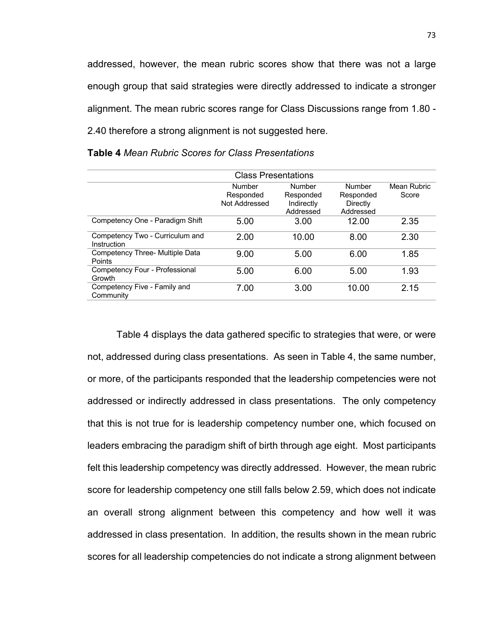addressed, however, the mean rubric scores show that there was not a large enough group that said strategies were directly addressed to indicate a stronger alignment. The mean rubric scores range for Class Discussions range from 1.80 - 2.40 therefore a strong alignment is not suggested here.

| <b>Class Presentations</b>                       |                                      |                                                       |                                                     |                      |  |  |
|--------------------------------------------------|--------------------------------------|-------------------------------------------------------|-----------------------------------------------------|----------------------|--|--|
|                                                  | Number<br>Responded<br>Not Addressed | <b>Number</b><br>Responded<br>Indirectly<br>Addressed | <b>Number</b><br>Responded<br>Directly<br>Addressed | Mean Rubric<br>Score |  |  |
| Competency One - Paradigm Shift                  | 5.00                                 | 3.00                                                  | 12.00                                               | 2.35                 |  |  |
| Competency Two - Curriculum and<br>Instruction   | 2.00                                 | 10.00                                                 | 8.00                                                | 2.30                 |  |  |
| Competency Three- Multiple Data<br><b>Points</b> | 9.00                                 | 5.00                                                  | 6.00                                                | 1.85                 |  |  |
| Competency Four - Professional<br>Growth         | 5.00                                 | 6.00                                                  | 5.00                                                | 1.93                 |  |  |
| Competency Five - Family and<br>Community        | 7.00                                 | 3.00                                                  | 10.00                                               | 2.15                 |  |  |

**Table 4** *Mean Rubric Scores for Class Presentations*

Table 4 displays the data gathered specific to strategies that were, or were not, addressed during class presentations. As seen in Table 4, the same number, or more, of the participants responded that the leadership competencies were not addressed or indirectly addressed in class presentations. The only competency that this is not true for is leadership competency number one, which focused on leaders embracing the paradigm shift of birth through age eight. Most participants felt this leadership competency was directly addressed. However, the mean rubric score for leadership competency one still falls below 2.59, which does not indicate an overall strong alignment between this competency and how well it was addressed in class presentation. In addition, the results shown in the mean rubric scores for all leadership competencies do not indicate a strong alignment between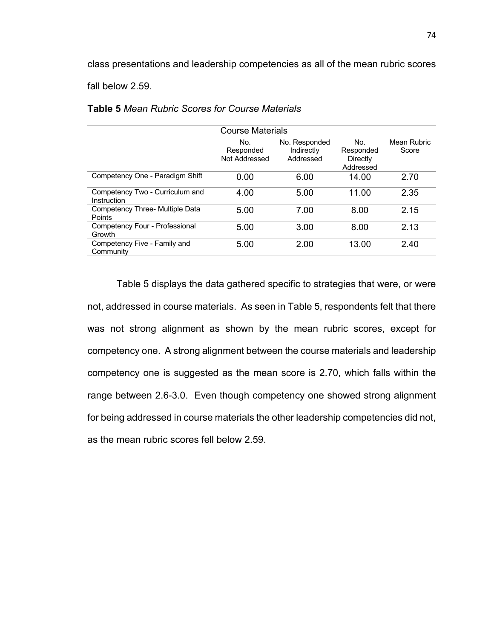class presentations and leadership competencies as all of the mean rubric scores fall below 2.59.

**Table 5** *Mean Rubric Scores for Course Materials*

| <b>Course Materials</b>                        |                                   |                                          |                                           |                      |  |  |  |
|------------------------------------------------|-----------------------------------|------------------------------------------|-------------------------------------------|----------------------|--|--|--|
|                                                | No.<br>Responded<br>Not Addressed | No. Responded<br>Indirectly<br>Addressed | No.<br>Responded<br>Directly<br>Addressed | Mean Rubric<br>Score |  |  |  |
| Competency One - Paradigm Shift                | 0.00                              | 6.00                                     | 14.00                                     | 2.70                 |  |  |  |
| Competency Two - Curriculum and<br>Instruction | 4.00                              | 5.00                                     | 11.00                                     | 2.35                 |  |  |  |
| Competency Three- Multiple Data<br>Points      | 5.00                              | 7.00                                     | 8.00                                      | 2.15                 |  |  |  |
| Competency Four - Professional<br>Growth       | 5.00                              | 3.00                                     | 8.00                                      | 2.13                 |  |  |  |
| Competency Five - Family and<br>Community      | 5.00                              | 2.00                                     | 13.00                                     | 2.40                 |  |  |  |

Table 5 displays the data gathered specific to strategies that were, or were not, addressed in course materials. As seen in Table 5, respondents felt that there was not strong alignment as shown by the mean rubric scores, except for competency one. A strong alignment between the course materials and leadership competency one is suggested as the mean score is 2.70, which falls within the range between 2.6-3.0. Even though competency one showed strong alignment for being addressed in course materials the other leadership competencies did not, as the mean rubric scores fell below 2.59.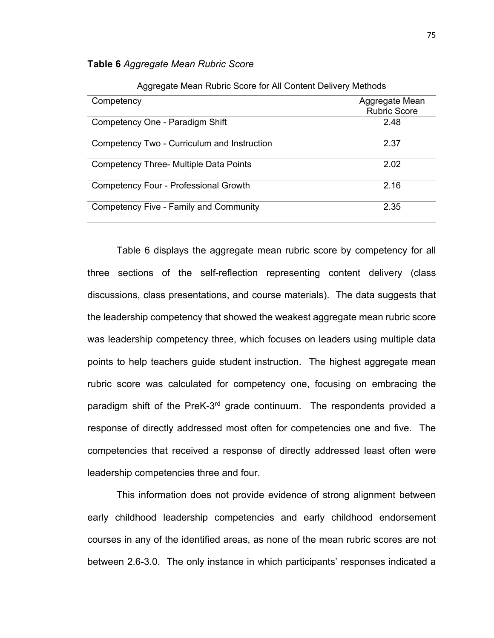|  | Table 6 Aggregate Mean Rubric Score |  |  |  |
|--|-------------------------------------|--|--|--|
|--|-------------------------------------|--|--|--|

| Aggregate Mean Rubric Score for All Content Delivery Methods |                                       |  |  |  |  |
|--------------------------------------------------------------|---------------------------------------|--|--|--|--|
| Competency                                                   | Aggregate Mean<br><b>Rubric Score</b> |  |  |  |  |
| Competency One - Paradigm Shift                              | 2.48                                  |  |  |  |  |
| Competency Two - Curriculum and Instruction                  | 2.37                                  |  |  |  |  |
| <b>Competency Three- Multiple Data Points</b>                | 2.02                                  |  |  |  |  |
| Competency Four - Professional Growth                        | 2.16                                  |  |  |  |  |
| Competency Five - Family and Community                       | 2.35                                  |  |  |  |  |

Table 6 displays the aggregate mean rubric score by competency for all three sections of the self-reflection representing content delivery (class discussions, class presentations, and course materials). The data suggests that the leadership competency that showed the weakest aggregate mean rubric score was leadership competency three, which focuses on leaders using multiple data points to help teachers guide student instruction. The highest aggregate mean rubric score was calculated for competency one, focusing on embracing the paradigm shift of the PreK-3<sup>rd</sup> grade continuum. The respondents provided a response of directly addressed most often for competencies one and five. The competencies that received a response of directly addressed least often were leadership competencies three and four.

This information does not provide evidence of strong alignment between early childhood leadership competencies and early childhood endorsement courses in any of the identified areas, as none of the mean rubric scores are not between 2.6-3.0. The only instance in which participants' responses indicated a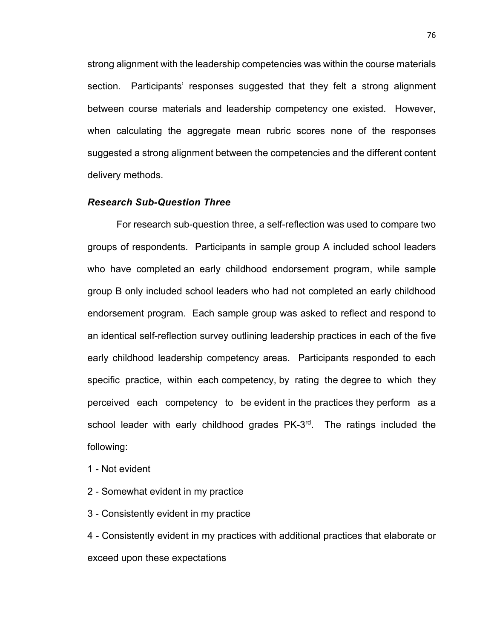strong alignment with the leadership competencies was within the course materials section. Participants' responses suggested that they felt a strong alignment between course materials and leadership competency one existed. However, when calculating the aggregate mean rubric scores none of the responses suggested a strong alignment between the competencies and the different content delivery methods.

#### *Research Sub-Question Three*

For research sub-question three, a self-reflection was used to compare two groups of respondents. Participants in sample group A included school leaders who have completed an early childhood endorsement program, while sample group B only included school leaders who had not completed an early childhood endorsement program. Each sample group was asked to reflect and respond to an identical self-reflection survey outlining leadership practices in each of the five early childhood leadership competency areas. Participants responded to each specific practice, within each competency, by rating the degree to which they perceived each competency to be evident in the practices they perform as a school leader with early childhood grades PK-3<sup>rd</sup>. The ratings included the following:

- 1 Not evident
- 2 Somewhat evident in my practice
- 3 Consistently evident in my practice

4 - Consistently evident in my practices with additional practices that elaborate or exceed upon these expectations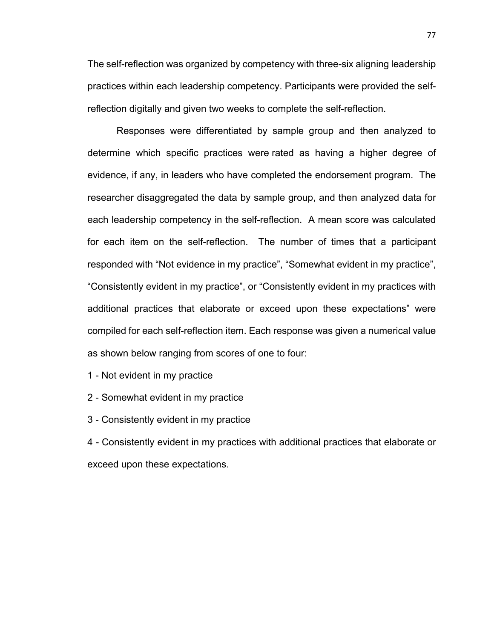The self-reflection was organized by competency with three-six aligning leadership practices within each leadership competency. Participants were provided the selfreflection digitally and given two weeks to complete the self-reflection.

Responses were differentiated by sample group and then analyzed to determine which specific practices were rated as having a higher degree of evidence, if any, in leaders who have completed the endorsement program. The researcher disaggregated the data by sample group, and then analyzed data for each leadership competency in the self-reflection. A mean score was calculated for each item on the self-reflection. The number of times that a participant responded with "Not evidence in my practice", "Somewhat evident in my practice", "Consistently evident in my practice", or "Consistently evident in my practices with additional practices that elaborate or exceed upon these expectations" were compiled for each self-reflection item. Each response was given a numerical value as shown below ranging from scores of one to four:

1 - Not evident in my practice

2 - Somewhat evident in my practice

3 - Consistently evident in my practice

4 - Consistently evident in my practices with additional practices that elaborate or exceed upon these expectations.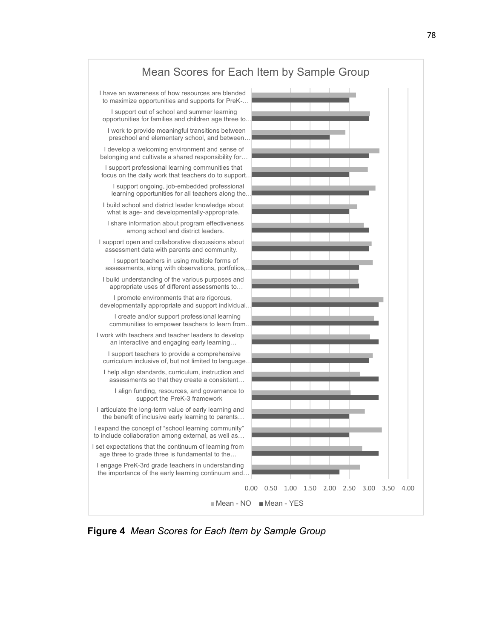

**Figure 4** *Mean Scores for Each Item by Sample Group*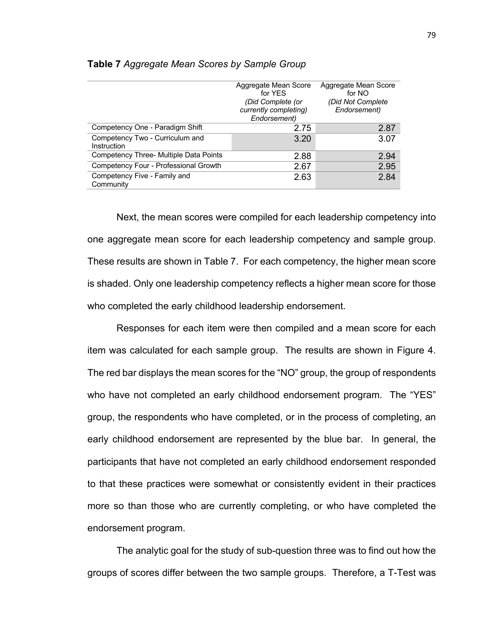|                                                       | Aggregate Mean Score<br>for YES       | Aggregate Mean Score<br>for NO |
|-------------------------------------------------------|---------------------------------------|--------------------------------|
|                                                       | (Did Complete (or                     | (Did Not Complete              |
|                                                       | currently completing)<br>Endorsement) | Endorsement)                   |
| Competency One - Paradigm Shift                       | 2.75                                  | 2.87                           |
| Competency Two - Curriculum and<br><b>Instruction</b> | 3.20                                  | 3.07                           |
| Competency Three- Multiple Data Points                | 2.88                                  | 2.94                           |
| Competency Four - Professional Growth                 | 2.67                                  | 2.95                           |
| Competency Five - Family and<br>Community             | 2.63                                  | 2.84                           |

#### **Table 7** *Aggregate Mean Scores by Sample Group*

Next, the mean scores were compiled for each leadership competency into one aggregate mean score for each leadership competency and sample group. These results are shown in Table 7. For each competency, the higher mean score is shaded. Only one leadership competency reflects a higher mean score for those who completed the early childhood leadership endorsement.

Responses for each item were then compiled and a mean score for each item was calculated for each sample group. The results are shown in Figure 4. The red bar displays the mean scores for the "NO" group, the group of respondents who have not completed an early childhood endorsement program. The "YES" group, the respondents who have completed, or in the process of completing, an early childhood endorsement are represented by the blue bar. In general, the participants that have not completed an early childhood endorsement responded to that these practices were somewhat or consistently evident in their practices more so than those who are currently completing, or who have completed the endorsement program.

The analytic goal for the study of sub-question three was to find out how the groups of scores differ between the two sample groups. Therefore, a T-Test was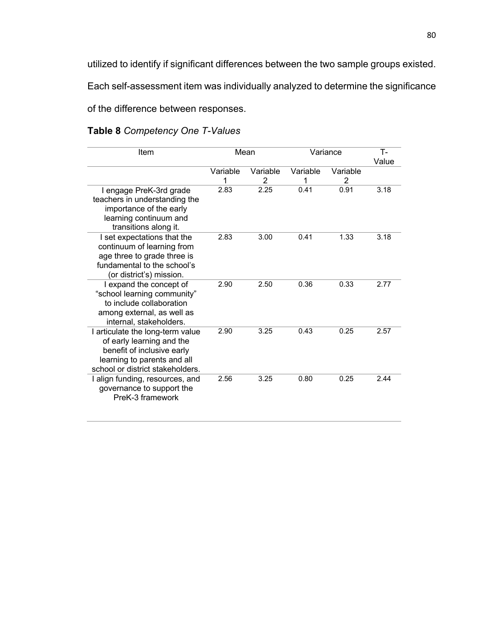utilized to identify if significant differences between the two sample groups existed.

Each self-assessment item was individually analyzed to determine the significance

of the difference between responses.

## **Table 8** *Competency One T-Values*

| Item                                                                                                                                                           |               | Mean          | Variance      |               | $T -$<br>Value |
|----------------------------------------------------------------------------------------------------------------------------------------------------------------|---------------|---------------|---------------|---------------|----------------|
|                                                                                                                                                                | Variable<br>1 | Variable<br>2 | Variable<br>1 | Variable<br>2 |                |
| I engage PreK-3rd grade<br>teachers in understanding the<br>importance of the early<br>learning continuum and<br>transitions along it.                         | 2.83          | 2.25          | 0.41          | 0.91          | 3.18           |
| I set expectations that the<br>continuum of learning from<br>age three to grade three is<br>fundamental to the school's<br>(or district's) mission.            | 2.83          | 3.00          | 0.41          | 1.33          | 3.18           |
| I expand the concept of<br>"school learning community"<br>to include collaboration<br>among external, as well as<br>internal, stakeholders.                    | 2.90          | 2.50          | 0.36          | 0.33          | 2.77           |
| I articulate the long-term value<br>of early learning and the<br>benefit of inclusive early<br>learning to parents and all<br>school or district stakeholders. | 2.90          | 3.25          | 0.43          | 0.25          | 2.57           |
| I align funding, resources, and<br>governance to support the<br>PreK-3 framework                                                                               | 2.56          | 3.25          | 0.80          | 0.25          | 2.44           |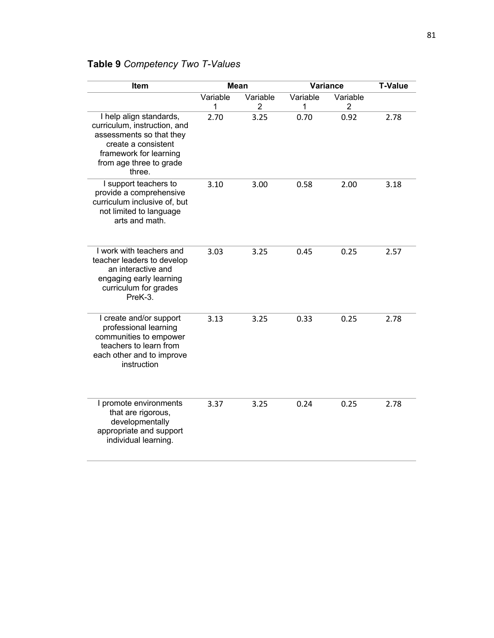# **Table 9** *Competency Two T-Values*

| Item                                                                                                                                                                      |               | <b>Mean</b>                | <b>Variance</b> | <b>T-Value</b>             |      |
|---------------------------------------------------------------------------------------------------------------------------------------------------------------------------|---------------|----------------------------|-----------------|----------------------------|------|
|                                                                                                                                                                           | Variable<br>1 | Variable<br>$\overline{2}$ | Variable<br>1   | Variable<br>$\overline{2}$ |      |
| I help align standards,<br>curriculum, instruction, and<br>assessments so that they<br>create a consistent<br>framework for learning<br>from age three to grade<br>three. | 2.70          | 3.25                       | 0.70            | 0.92                       | 2.78 |
| I support teachers to<br>provide a comprehensive<br>curriculum inclusive of, but<br>not limited to language<br>arts and math.                                             | 3.10          | 3.00                       | 0.58            | 2.00                       | 3.18 |
| I work with teachers and<br>teacher leaders to develop<br>an interactive and<br>engaging early learning<br>curriculum for grades<br>PreK-3.                               | 3.03          | 3.25                       | 0.45            | 0.25                       | 2.57 |
| I create and/or support<br>professional learning<br>communities to empower<br>teachers to learn from<br>each other and to improve<br>instruction                          | 3.13          | 3.25                       | 0.33            | 0.25                       | 2.78 |
| I promote environments<br>that are rigorous,<br>developmentally<br>appropriate and support<br>individual learning.                                                        | 3.37          | 3.25                       | 0.24            | 0.25                       | 2.78 |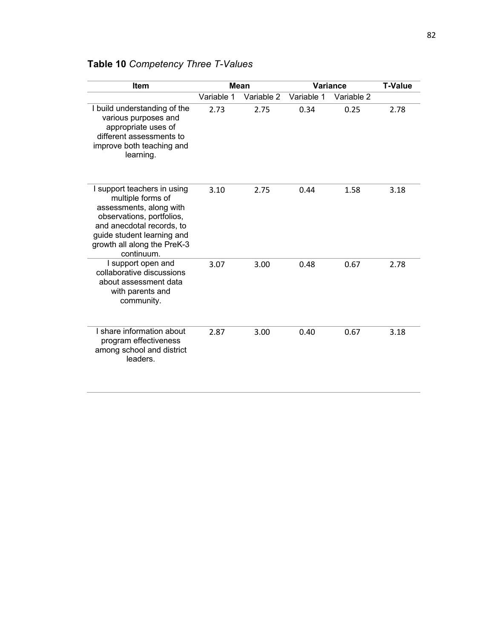| <b>Item</b>                                                                                                                                                                                                      | <b>Mean</b> |            | <b>Variance</b> |            | <b>T-Value</b> |
|------------------------------------------------------------------------------------------------------------------------------------------------------------------------------------------------------------------|-------------|------------|-----------------|------------|----------------|
|                                                                                                                                                                                                                  | Variable 1  | Variable 2 | Variable 1      | Variable 2 |                |
| I build understanding of the<br>various purposes and<br>appropriate uses of<br>different assessments to<br>improve both teaching and<br>learning.                                                                | 2.73        | 2.75       | 0.34            | 0.25       | 2.78           |
| I support teachers in using<br>multiple forms of<br>assessments, along with<br>observations, portfolios,<br>and anecdotal records, to<br>guide student learning and<br>growth all along the PreK-3<br>continuum. | 3.10        | 2.75       | 0.44            | 1.58       | 3.18           |
| I support open and<br>collaborative discussions<br>about assessment data<br>with parents and<br>community.                                                                                                       | 3.07        | 3.00       | 0.48            | 0.67       | 2.78           |
| I share information about<br>program effectiveness<br>among school and district<br>leaders.                                                                                                                      | 2.87        | 3.00       | 0.40            | 0.67       | 3.18           |

# **Table 10** *Competency Three T-Values*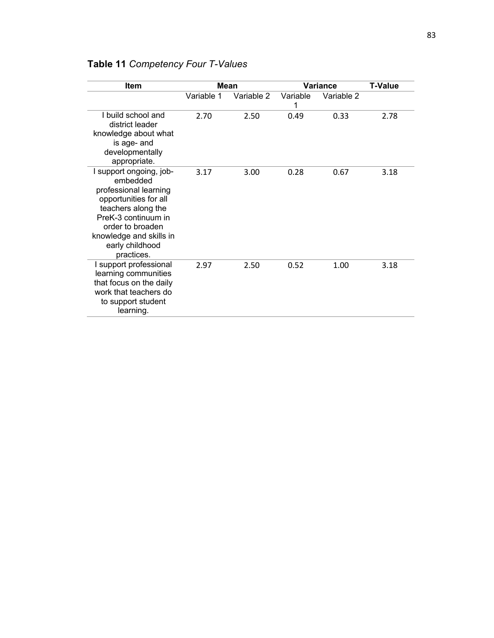| <b>Item</b>                                                                                                                                                                                                        |            | <b>Mean</b> | <b>Variance</b> |            | <b>T-Value</b> |
|--------------------------------------------------------------------------------------------------------------------------------------------------------------------------------------------------------------------|------------|-------------|-----------------|------------|----------------|
|                                                                                                                                                                                                                    | Variable 1 | Variable 2  | Variable<br>1   | Variable 2 |                |
| I build school and<br>district leader<br>knowledge about what<br>is age- and<br>developmentally<br>appropriate.                                                                                                    | 2.70       | 2.50        | 0.49            | 0.33       | 2.78           |
| I support ongoing, job-<br>embedded<br>professional learning<br>opportunities for all<br>teachers along the<br>PreK-3 continuum in<br>order to broaden<br>knowledge and skills in<br>early childhood<br>practices. | 3.17       | 3.00        | 0.28            | 0.67       | 3.18           |
| I support professional<br>learning communities<br>that focus on the daily<br>work that teachers do<br>to support student<br>learning.                                                                              | 2.97       | 2.50        | 0.52            | 1.00       | 3.18           |

# **Table 11** *Competency Four T-Values*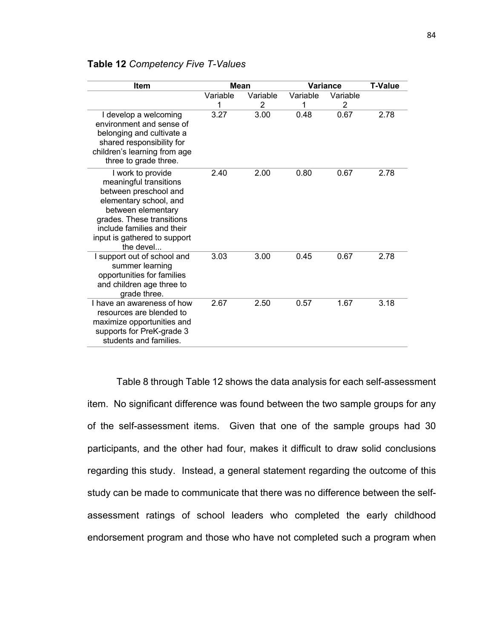## **Table 12** *Competency Five T-Values*

| Item                                                                                                                                                                                                                         | <b>Mean</b>   |               |               | <b>Variance</b> | T-Value |
|------------------------------------------------------------------------------------------------------------------------------------------------------------------------------------------------------------------------------|---------------|---------------|---------------|-----------------|---------|
|                                                                                                                                                                                                                              | Variable<br>1 | Variable<br>2 | Variable<br>1 | Variable<br>2   |         |
| I develop a welcoming<br>environment and sense of<br>belonging and cultivate a<br>shared responsibility for<br>children's learning from age<br>three to grade three.                                                         | 3.27          | 3.00          | 0.48          | 0.67            | 2.78    |
| I work to provide<br>meaningful transitions<br>between preschool and<br>elementary school, and<br>between elementary<br>grades. These transitions<br>include families and their<br>input is gathered to support<br>the devel | 2.40          | 2.00          | 0.80          | 0.67            | 2.78    |
| I support out of school and<br>summer learning<br>opportunities for families<br>and children age three to<br>grade three.                                                                                                    | 3.03          | 3.00          | 0.45          | 0.67            | 2.78    |
| I have an awareness of how<br>resources are blended to<br>maximize opportunities and<br>supports for PreK-grade 3<br>students and families.                                                                                  | 2.67          | 2.50          | 0.57          | 1.67            | 3.18    |

Table 8 through Table 12 shows the data analysis for each self-assessment item. No significant difference was found between the two sample groups for any of the self-assessment items. Given that one of the sample groups had 30 participants, and the other had four, makes it difficult to draw solid conclusions regarding this study. Instead, a general statement regarding the outcome of this study can be made to communicate that there was no difference between the selfassessment ratings of school leaders who completed the early childhood endorsement program and those who have not completed such a program when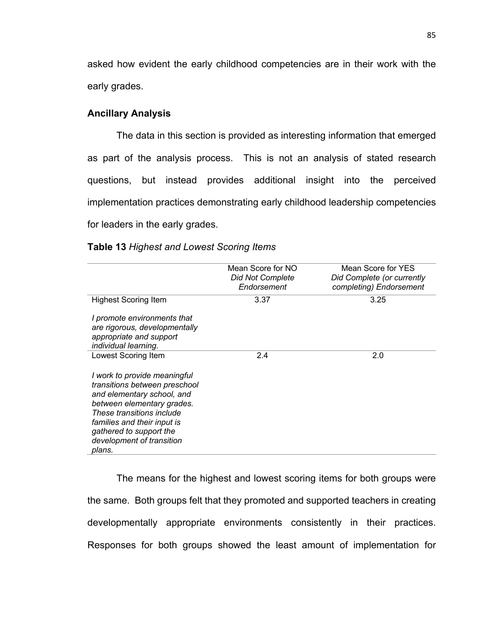asked how evident the early childhood competencies are in their work with the early grades.

### **Ancillary Analysis**

The data in this section is provided as interesting information that emerged as part of the analysis process. This is not an analysis of stated research questions, but instead provides additional insight into the perceived implementation practices demonstrating early childhood leadership competencies for leaders in the early grades.

|                                                                                                                                                                                                                                                         | Mean Score for NO<br><b>Did Not Complete</b><br>Endorsement | Mean Score for YES<br>Did Complete (or currently<br>completing) Endorsement |
|---------------------------------------------------------------------------------------------------------------------------------------------------------------------------------------------------------------------------------------------------------|-------------------------------------------------------------|-----------------------------------------------------------------------------|
| <b>Highest Scoring Item</b>                                                                                                                                                                                                                             | 3.37                                                        | 3.25                                                                        |
| I promote environments that<br>are rigorous, developmentally<br>appropriate and support<br>individual learning.                                                                                                                                         |                                                             |                                                                             |
| Lowest Scoring Item                                                                                                                                                                                                                                     | 2.4                                                         | 2.0                                                                         |
| I work to provide meaningful<br>transitions between preschool<br>and elementary school, and<br>between elementary grades.<br>These transitions include<br>families and their input is<br>gathered to support the<br>development of transition<br>plans. |                                                             |                                                                             |

#### **Table 13** *Highest and Lowest Scoring Items*

The means for the highest and lowest scoring items for both groups were the same. Both groups felt that they promoted and supported teachers in creating developmentally appropriate environments consistently in their practices. Responses for both groups showed the least amount of implementation for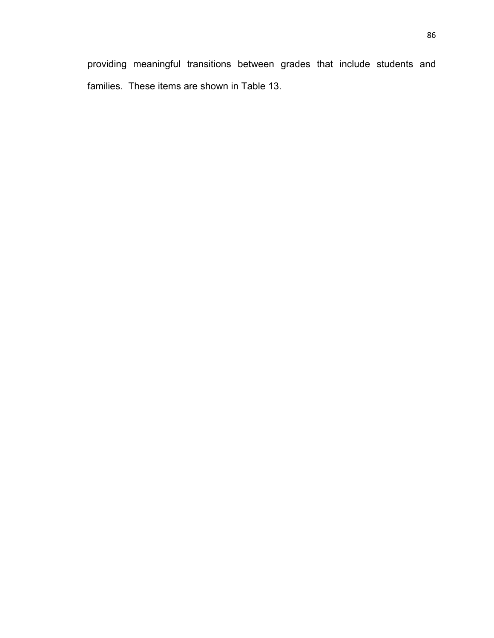providing meaningful transitions between grades that include students and families. These items are shown in Table 13.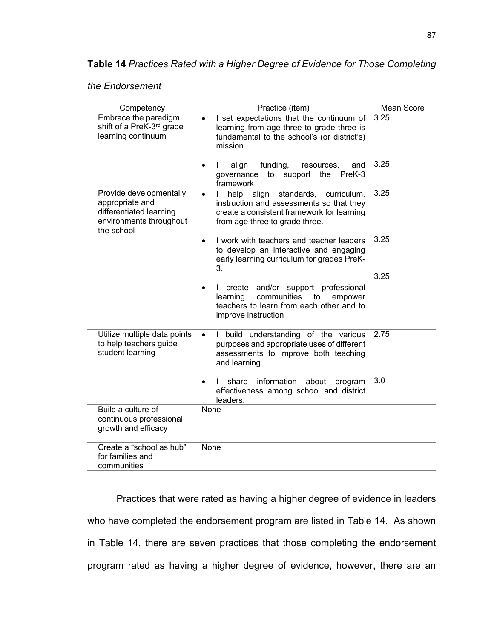**Table 14** *Practices Rated with a Higher Degree of Evidence for Those Completing* 

|  |  | the Endorsement |  |
|--|--|-----------------|--|
|--|--|-----------------|--|

| Competency                                                                                                     | Practice (item)                                                                                                                                                        | Mean Score |
|----------------------------------------------------------------------------------------------------------------|------------------------------------------------------------------------------------------------------------------------------------------------------------------------|------------|
| Embrace the paradigm<br>shift of a PreK-3 <sup>rd</sup> grade<br>learning continuum                            | I set expectations that the continuum of<br>learning from age three to grade three is<br>fundamental to the school's (or district's)<br>mission.                       | 3.25       |
|                                                                                                                | funding,<br>align<br>resources,<br>and<br>L<br>to<br>support<br>the<br>PreK-3<br>governance<br>framework                                                               | 3.25       |
| Provide developmentally<br>appropriate and<br>differentiated learning<br>environments throughout<br>the school | standards,<br>help<br>align<br>curriculum.<br>instruction and assessments so that they<br>create a consistent framework for learning<br>from age three to grade three. | 3.25       |
|                                                                                                                | I work with teachers and teacher leaders<br>to develop an interactive and engaging<br>early learning curriculum for grades PreK-<br>3.                                 | 3.25       |
|                                                                                                                | create and/or support professional<br>communities<br>learning<br>to<br>empower<br>teachers to learn from each other and to<br>improve instruction                      | 3.25       |
| Utilize multiple data points<br>to help teachers guide<br>student learning                                     | I build understanding of the various<br>purposes and appropriate uses of different<br>assessments to improve both teaching<br>and learning.                            | 2.75       |
|                                                                                                                | information<br>share<br>about<br>I.<br>program<br>effectiveness among school and district<br>leaders.                                                                  | 3.0        |
| Build a culture of<br>continuous professional<br>growth and efficacy                                           | None                                                                                                                                                                   |            |
| Create a "school as hub"<br>for families and<br>communities                                                    | <b>None</b>                                                                                                                                                            |            |

Practices that were rated as having a higher degree of evidence in leaders who have completed the endorsement program are listed in Table 14. As shown in Table 14, there are seven practices that those completing the endorsement program rated as having a higher degree of evidence, however, there are an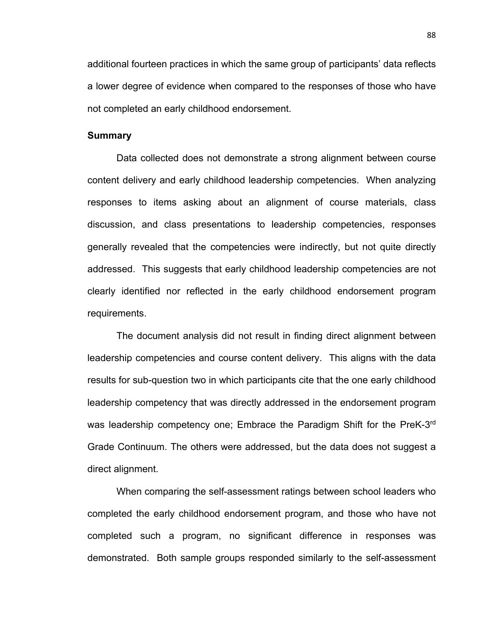additional fourteen practices in which the same group of participants' data reflects a lower degree of evidence when compared to the responses of those who have not completed an early childhood endorsement.

#### **Summary**

Data collected does not demonstrate a strong alignment between course content delivery and early childhood leadership competencies. When analyzing responses to items asking about an alignment of course materials, class discussion, and class presentations to leadership competencies, responses generally revealed that the competencies were indirectly, but not quite directly addressed. This suggests that early childhood leadership competencies are not clearly identified nor reflected in the early childhood endorsement program requirements.

The document analysis did not result in finding direct alignment between leadership competencies and course content delivery. This aligns with the data results for sub-question two in which participants cite that the one early childhood leadership competency that was directly addressed in the endorsement program was leadership competency one; Embrace the Paradigm Shift for the PreK-3rd Grade Continuum. The others were addressed, but the data does not suggest a direct alignment.

When comparing the self-assessment ratings between school leaders who completed the early childhood endorsement program, and those who have not completed such a program, no significant difference in responses was demonstrated. Both sample groups responded similarly to the self-assessment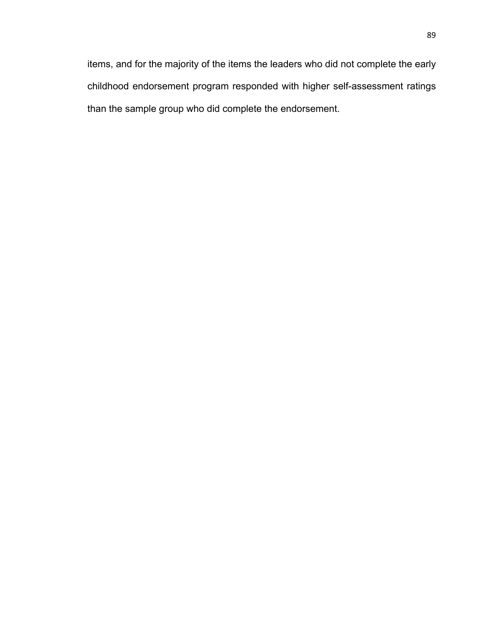items, and for the majority of the items the leaders who did not complete the early childhood endorsement program responded with higher self-assessment ratings than the sample group who did complete the endorsement.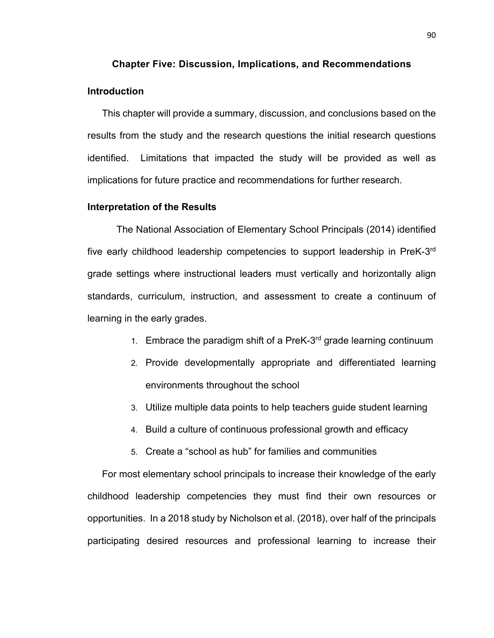# **Chapter Five: Discussion, Implications, and Recommendations Introduction**

This chapter will provide a summary, discussion, and conclusions based on the results from the study and the research questions the initial research questions identified. Limitations that impacted the study will be provided as well as implications for future practice and recommendations for further research.

#### **Interpretation of the Results**

The National Association of Elementary School Principals (2014) identified five early childhood leadership competencies to support leadership in PreK-3rd grade settings where instructional leaders must vertically and horizontally align standards, curriculum, instruction, and assessment to create a continuum of learning in the early grades.

- 1. Embrace the paradigm shift of a PreK- $3<sup>rd</sup>$  grade learning continuum
- 2. Provide developmentally appropriate and differentiated learning environments throughout the school
- 3. Utilize multiple data points to help teachers guide student learning
- 4. Build a culture of continuous professional growth and efficacy
- 5. Create a "school as hub" for families and communities

For most elementary school principals to increase their knowledge of the early childhood leadership competencies they must find their own resources or opportunities. In a 2018 study by Nicholson et al. (2018), over half of the principals participating desired resources and professional learning to increase their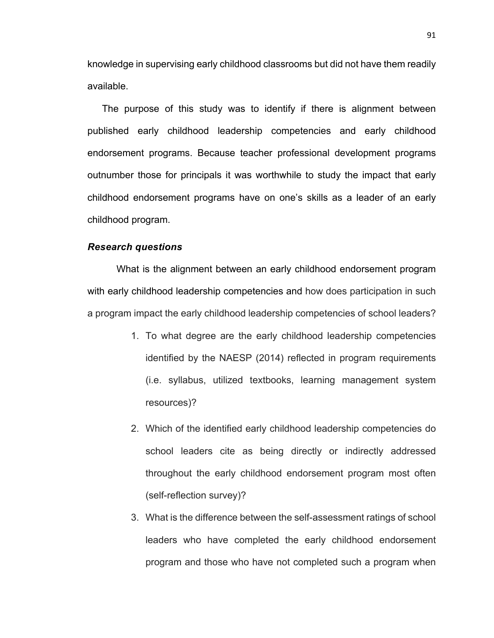knowledge in supervising early childhood classrooms but did not have them readily available.

The purpose of this study was to identify if there is alignment between published early childhood leadership competencies and early childhood endorsement programs. Because teacher professional development programs outnumber those for principals it was worthwhile to study the impact that early childhood endorsement programs have on one's skills as a leader of an early childhood program.

### *Research questions*

What is the alignment between an early childhood endorsement program with early childhood leadership competencies and how does participation in such a program impact the early childhood leadership competencies of school leaders?

- 1. To what degree are the early childhood leadership competencies identified by the NAESP (2014) reflected in program requirements (i.e. syllabus, utilized textbooks, learning management system resources)?
- 2. Which of the identified early childhood leadership competencies do school leaders cite as being directly or indirectly addressed throughout the early childhood endorsement program most often (self-reflection survey)?
- 3. What is the difference between the self-assessment ratings of school leaders who have completed the early childhood endorsement program and those who have not completed such a program when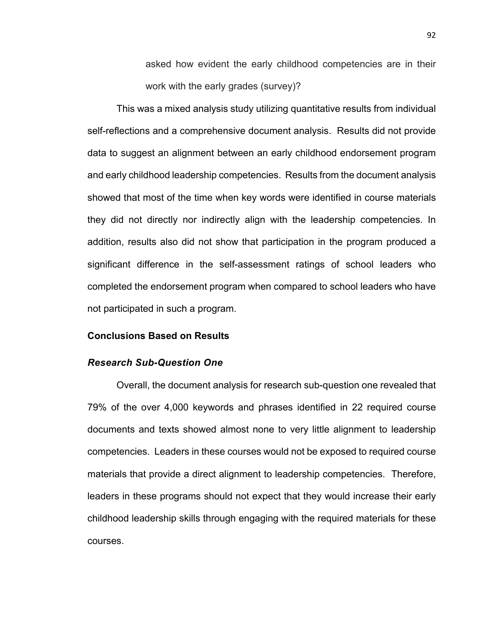asked how evident the early childhood competencies are in their work with the early grades (survey)?

This was a mixed analysis study utilizing quantitative results from individual self-reflections and a comprehensive document analysis. Results did not provide data to suggest an alignment between an early childhood endorsement program and early childhood leadership competencies. Results from the document analysis showed that most of the time when key words were identified in course materials they did not directly nor indirectly align with the leadership competencies. In addition, results also did not show that participation in the program produced a significant difference in the self-assessment ratings of school leaders who completed the endorsement program when compared to school leaders who have not participated in such a program.

### **Conclusions Based on Results**

### *Research Sub-Question One*

Overall, the document analysis for research sub-question one revealed that 79% of the over 4,000 keywords and phrases identified in 22 required course documents and texts showed almost none to very little alignment to leadership competencies. Leaders in these courses would not be exposed to required course materials that provide a direct alignment to leadership competencies. Therefore, leaders in these programs should not expect that they would increase their early childhood leadership skills through engaging with the required materials for these courses.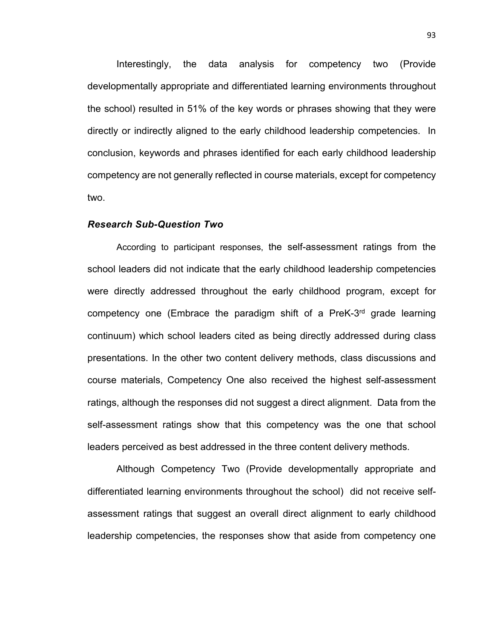Interestingly, the data analysis for competency two (Provide developmentally appropriate and differentiated learning environments throughout the school) resulted in 51% of the key words or phrases showing that they were directly or indirectly aligned to the early childhood leadership competencies. In conclusion, keywords and phrases identified for each early childhood leadership competency are not generally reflected in course materials, except for competency two.

#### *Research Sub-Question Two*

According to participant responses, the self-assessment ratings from the school leaders did not indicate that the early childhood leadership competencies were directly addressed throughout the early childhood program, except for competency one (Embrace the paradigm shift of a PreK-3rd grade learning continuum) which school leaders cited as being directly addressed during class presentations. In the other two content delivery methods, class discussions and course materials, Competency One also received the highest self-assessment ratings, although the responses did not suggest a direct alignment. Data from the self-assessment ratings show that this competency was the one that school leaders perceived as best addressed in the three content delivery methods.

Although Competency Two (Provide developmentally appropriate and differentiated learning environments throughout the school) did not receive selfassessment ratings that suggest an overall direct alignment to early childhood leadership competencies, the responses show that aside from competency one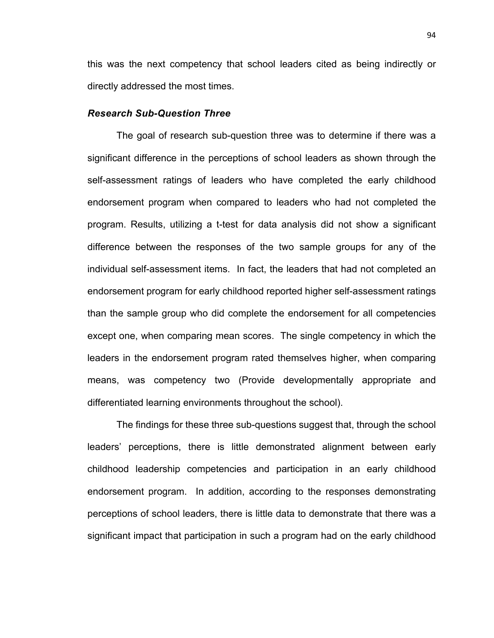this was the next competency that school leaders cited as being indirectly or directly addressed the most times.

#### *Research Sub-Question Three*

The goal of research sub-question three was to determine if there was a significant difference in the perceptions of school leaders as shown through the self-assessment ratings of leaders who have completed the early childhood endorsement program when compared to leaders who had not completed the program. Results, utilizing a t-test for data analysis did not show a significant difference between the responses of the two sample groups for any of the individual self-assessment items. In fact, the leaders that had not completed an endorsement program for early childhood reported higher self-assessment ratings than the sample group who did complete the endorsement for all competencies except one, when comparing mean scores. The single competency in which the leaders in the endorsement program rated themselves higher, when comparing means, was competency two (Provide developmentally appropriate and differentiated learning environments throughout the school).

The findings for these three sub-questions suggest that, through the school leaders' perceptions, there is little demonstrated alignment between early childhood leadership competencies and participation in an early childhood endorsement program. In addition, according to the responses demonstrating perceptions of school leaders, there is little data to demonstrate that there was a significant impact that participation in such a program had on the early childhood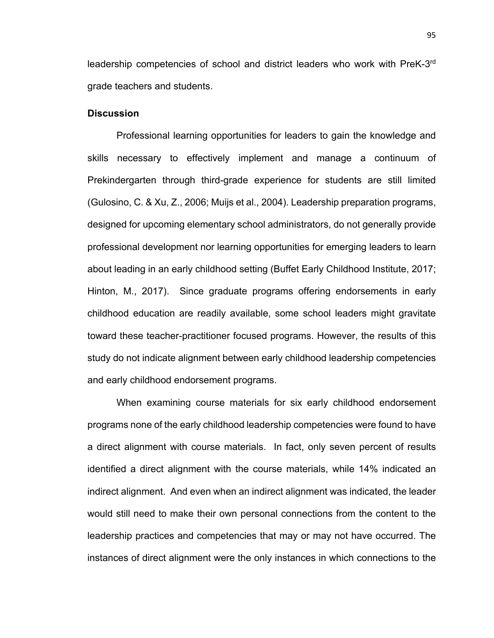leadership competencies of school and district leaders who work with PreK-3rd grade teachers and students.

### **Discussion**

Professional learning opportunities for leaders to gain the knowledge and skills necessary to effectively implement and manage a continuum of Prekindergarten through third-grade experience for students are still limited (Gulosino, C. & Xu, Z., 2006; Muijs et al., 2004). Leadership preparation programs, designed for upcoming elementary school administrators, do not generally provide professional development nor learning opportunities for emerging leaders to learn about leading in an early childhood setting (Buffet Early Childhood Institute, 2017; Hinton, M., 2017). Since graduate programs offering endorsements in early childhood education are readily available, some school leaders might gravitate toward these teacher-practitioner focused programs. However, the results of this study do not indicate alignment between early childhood leadership competencies and early childhood endorsement programs.

When examining course materials for six early childhood endorsement programs none of the early childhood leadership competencies were found to have a direct alignment with course materials. In fact, only seven percent of results identified a direct alignment with the course materials, while 14% indicated an indirect alignment. And even when an indirect alignment was indicated, the leader would still need to make their own personal connections from the content to the leadership practices and competencies that may or may not have occurred. The instances of direct alignment were the only instances in which connections to the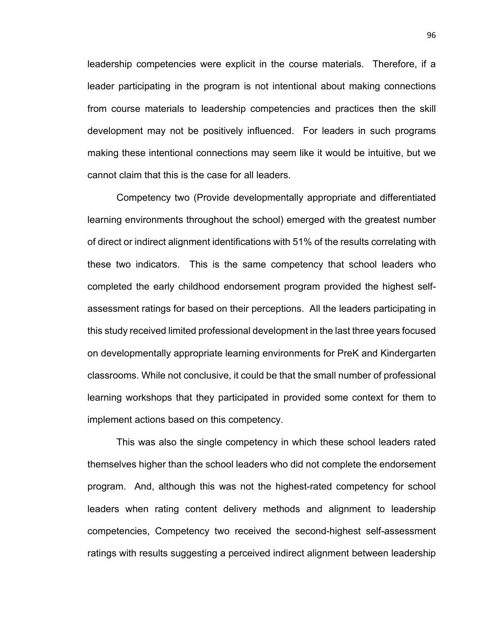leadership competencies were explicit in the course materials. Therefore, if a leader participating in the program is not intentional about making connections from course materials to leadership competencies and practices then the skill development may not be positively influenced. For leaders in such programs making these intentional connections may seem like it would be intuitive, but we cannot claim that this is the case for all leaders.

Competency two (Provide developmentally appropriate and differentiated learning environments throughout the school) emerged with the greatest number of direct or indirect alignment identifications with 51% of the results correlating with these two indicators. This is the same competency that school leaders who completed the early childhood endorsement program provided the highest selfassessment ratings for based on their perceptions. All the leaders participating in this study received limited professional development in the last three years focused on developmentally appropriate learning environments for PreK and Kindergarten classrooms. While not conclusive, it could be that the small number of professional learning workshops that they participated in provided some context for them to implement actions based on this competency.

This was also the single competency in which these school leaders rated themselves higher than the school leaders who did not complete the endorsement program. And, although this was not the highest-rated competency for school leaders when rating content delivery methods and alignment to leadership competencies, Competency two received the second-highest self-assessment ratings with results suggesting a perceived indirect alignment between leadership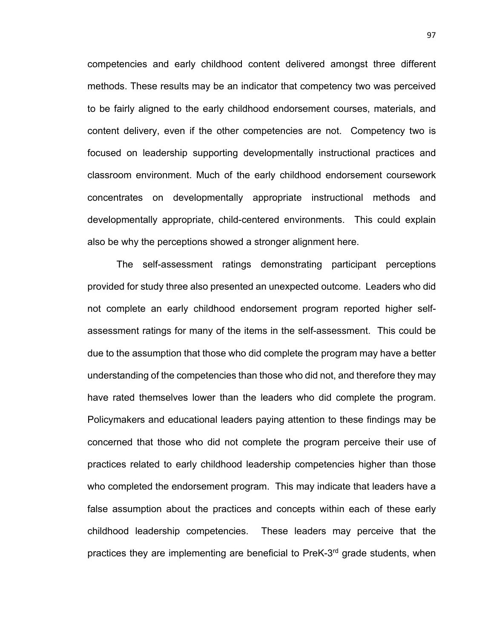competencies and early childhood content delivered amongst three different methods. These results may be an indicator that competency two was perceived to be fairly aligned to the early childhood endorsement courses, materials, and content delivery, even if the other competencies are not. Competency two is focused on leadership supporting developmentally instructional practices and classroom environment. Much of the early childhood endorsement coursework concentrates on developmentally appropriate instructional methods and developmentally appropriate, child-centered environments. This could explain also be why the perceptions showed a stronger alignment here.

The self-assessment ratings demonstrating participant perceptions provided for study three also presented an unexpected outcome. Leaders who did not complete an early childhood endorsement program reported higher selfassessment ratings for many of the items in the self-assessment. This could be due to the assumption that those who did complete the program may have a better understanding of the competencies than those who did not, and therefore they may have rated themselves lower than the leaders who did complete the program. Policymakers and educational leaders paying attention to these findings may be concerned that those who did not complete the program perceive their use of practices related to early childhood leadership competencies higher than those who completed the endorsement program. This may indicate that leaders have a false assumption about the practices and concepts within each of these early childhood leadership competencies. These leaders may perceive that the practices they are implementing are beneficial to  $PreK-3<sup>rd</sup>$  grade students, when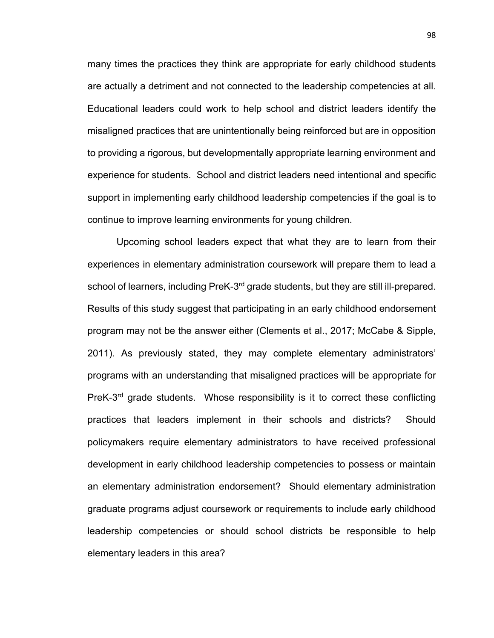many times the practices they think are appropriate for early childhood students are actually a detriment and not connected to the leadership competencies at all. Educational leaders could work to help school and district leaders identify the misaligned practices that are unintentionally being reinforced but are in opposition to providing a rigorous, but developmentally appropriate learning environment and experience for students. School and district leaders need intentional and specific support in implementing early childhood leadership competencies if the goal is to continue to improve learning environments for young children.

Upcoming school leaders expect that what they are to learn from their experiences in elementary administration coursework will prepare them to lead a school of learners, including PreK-3<sup>rd</sup> grade students, but they are still ill-prepared. Results of this study suggest that participating in an early childhood endorsement program may not be the answer either (Clements et al., 2017; McCabe & Sipple, 2011). As previously stated, they may complete elementary administrators' programs with an understanding that misaligned practices will be appropriate for PreK-3<sup>rd</sup> grade students. Whose responsibility is it to correct these conflicting practices that leaders implement in their schools and districts? Should policymakers require elementary administrators to have received professional development in early childhood leadership competencies to possess or maintain an elementary administration endorsement? Should elementary administration graduate programs adjust coursework or requirements to include early childhood leadership competencies or should school districts be responsible to help elementary leaders in this area?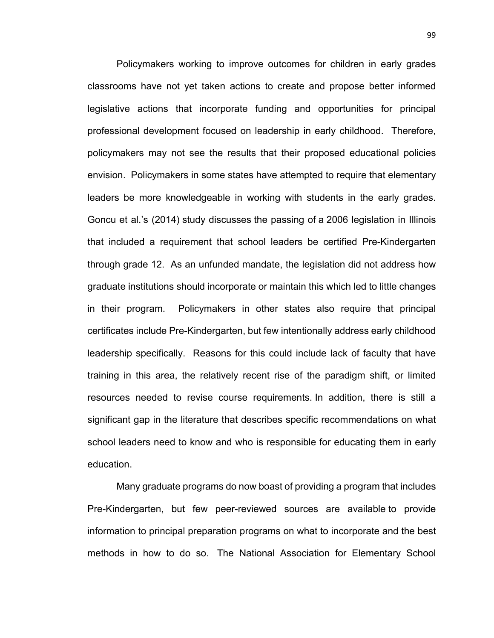Policymakers working to improve outcomes for children in early grades classrooms have not yet taken actions to create and propose better informed legislative actions that incorporate funding and opportunities for principal professional development focused on leadership in early childhood. Therefore, policymakers may not see the results that their proposed educational policies envision. Policymakers in some states have attempted to require that elementary leaders be more knowledgeable in working with students in the early grades. Goncu et al.'s (2014) study discusses the passing of a 2006 legislation in Illinois that included a requirement that school leaders be certified Pre-Kindergarten through grade 12. As an unfunded mandate, the legislation did not address how graduate institutions should incorporate or maintain this which led to little changes in their program. Policymakers in other states also require that principal certificates include Pre-Kindergarten, but few intentionally address early childhood leadership specifically. Reasons for this could include lack of faculty that have training in this area, the relatively recent rise of the paradigm shift, or limited resources needed to revise course requirements. In addition, there is still a significant gap in the literature that describes specific recommendations on what school leaders need to know and who is responsible for educating them in early education.

Many graduate programs do now boast of providing a program that includes Pre-Kindergarten, but few peer-reviewed sources are available to provide information to principal preparation programs on what to incorporate and the best methods in how to do so. The National Association for Elementary School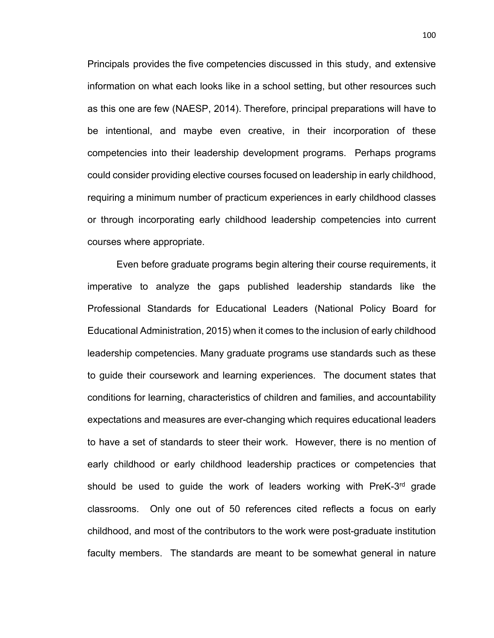Principals provides the five competencies discussed in this study, and extensive information on what each looks like in a school setting, but other resources such as this one are few (NAESP, 2014). Therefore, principal preparations will have to be intentional, and maybe even creative, in their incorporation of these competencies into their leadership development programs. Perhaps programs could consider providing elective courses focused on leadership in early childhood, requiring a minimum number of practicum experiences in early childhood classes or through incorporating early childhood leadership competencies into current courses where appropriate.

Even before graduate programs begin altering their course requirements, it imperative to analyze the gaps published leadership standards like the Professional Standards for Educational Leaders (National Policy Board for Educational Administration, 2015) when it comes to the inclusion of early childhood leadership competencies. Many graduate programs use standards such as these to guide their coursework and learning experiences. The document states that conditions for learning, characteristics of children and families, and accountability expectations and measures are ever-changing which requires educational leaders to have a set of standards to steer their work. However, there is no mention of early childhood or early childhood leadership practices or competencies that should be used to guide the work of leaders working with PreK-3<sup>rd</sup> grade classrooms. Only one out of 50 references cited reflects a focus on early childhood, and most of the contributors to the work were post-graduate institution faculty members. The standards are meant to be somewhat general in nature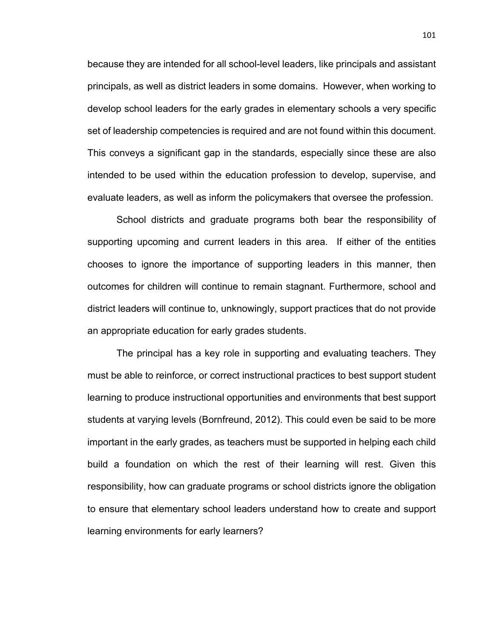because they are intended for all school-level leaders, like principals and assistant principals, as well as district leaders in some domains. However, when working to develop school leaders for the early grades in elementary schools a very specific set of leadership competencies is required and are not found within this document. This conveys a significant gap in the standards, especially since these are also intended to be used within the education profession to develop, supervise, and evaluate leaders, as well as inform the policymakers that oversee the profession.

School districts and graduate programs both bear the responsibility of supporting upcoming and current leaders in this area. If either of the entities chooses to ignore the importance of supporting leaders in this manner, then outcomes for children will continue to remain stagnant. Furthermore, school and district leaders will continue to, unknowingly, support practices that do not provide an appropriate education for early grades students.

The principal has a key role in supporting and evaluating teachers. They must be able to reinforce, or correct instructional practices to best support student learning to produce instructional opportunities and environments that best support students at varying levels (Bornfreund, 2012). This could even be said to be more important in the early grades, as teachers must be supported in helping each child build a foundation on which the rest of their learning will rest. Given this responsibility, how can graduate programs or school districts ignore the obligation to ensure that elementary school leaders understand how to create and support learning environments for early learners?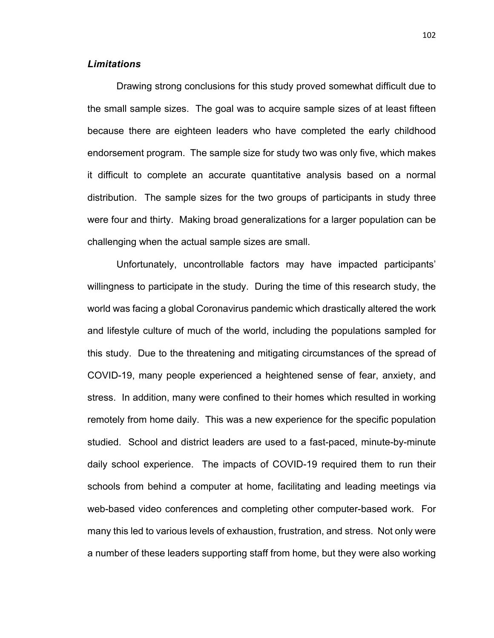## *Limitations*

Drawing strong conclusions for this study proved somewhat difficult due to the small sample sizes. The goal was to acquire sample sizes of at least fifteen because there are eighteen leaders who have completed the early childhood endorsement program. The sample size for study two was only five, which makes it difficult to complete an accurate quantitative analysis based on a normal distribution. The sample sizes for the two groups of participants in study three were four and thirty. Making broad generalizations for a larger population can be challenging when the actual sample sizes are small.

Unfortunately, uncontrollable factors may have impacted participants' willingness to participate in the study. During the time of this research study, the world was facing a global Coronavirus pandemic which drastically altered the work and lifestyle culture of much of the world, including the populations sampled for this study. Due to the threatening and mitigating circumstances of the spread of COVID-19, many people experienced a heightened sense of fear, anxiety, and stress. In addition, many were confined to their homes which resulted in working remotely from home daily. This was a new experience for the specific population studied. School and district leaders are used to a fast-paced, minute-by-minute daily school experience. The impacts of COVID-19 required them to run their schools from behind a computer at home, facilitating and leading meetings via web-based video conferences and completing other computer-based work. For many this led to various levels of exhaustion, frustration, and stress. Not only were a number of these leaders supporting staff from home, but they were also working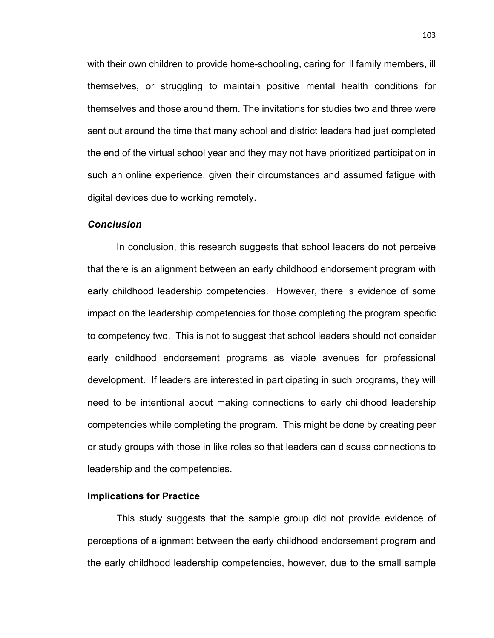with their own children to provide home-schooling, caring for ill family members, ill themselves, or struggling to maintain positive mental health conditions for themselves and those around them. The invitations for studies two and three were sent out around the time that many school and district leaders had just completed the end of the virtual school year and they may not have prioritized participation in such an online experience, given their circumstances and assumed fatigue with digital devices due to working remotely.

#### *Conclusion*

In conclusion, this research suggests that school leaders do not perceive that there is an alignment between an early childhood endorsement program with early childhood leadership competencies. However, there is evidence of some impact on the leadership competencies for those completing the program specific to competency two. This is not to suggest that school leaders should not consider early childhood endorsement programs as viable avenues for professional development. If leaders are interested in participating in such programs, they will need to be intentional about making connections to early childhood leadership competencies while completing the program. This might be done by creating peer or study groups with those in like roles so that leaders can discuss connections to leadership and the competencies.

# **Implications for Practice**

This study suggests that the sample group did not provide evidence of perceptions of alignment between the early childhood endorsement program and the early childhood leadership competencies, however, due to the small sample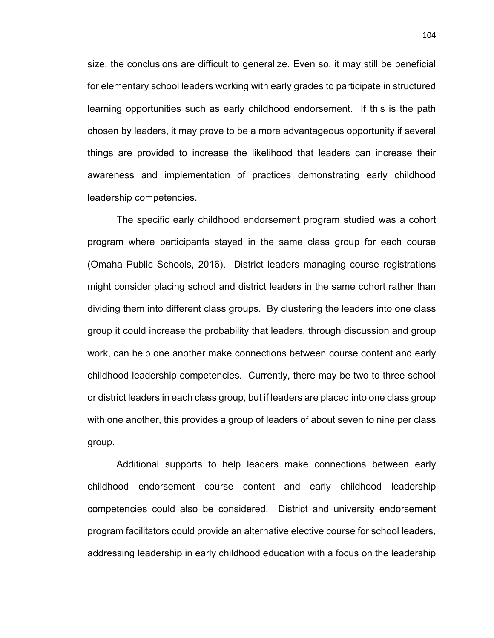size, the conclusions are difficult to generalize. Even so, it may still be beneficial for elementary school leaders working with early grades to participate in structured learning opportunities such as early childhood endorsement. If this is the path chosen by leaders, it may prove to be a more advantageous opportunity if several things are provided to increase the likelihood that leaders can increase their awareness and implementation of practices demonstrating early childhood leadership competencies.

The specific early childhood endorsement program studied was a cohort program where participants stayed in the same class group for each course (Omaha Public Schools, 2016). District leaders managing course registrations might consider placing school and district leaders in the same cohort rather than dividing them into different class groups. By clustering the leaders into one class group it could increase the probability that leaders, through discussion and group work, can help one another make connections between course content and early childhood leadership competencies. Currently, there may be two to three school or district leaders in each class group, but if leaders are placed into one class group with one another, this provides a group of leaders of about seven to nine per class group.

Additional supports to help leaders make connections between early childhood endorsement course content and early childhood leadership competencies could also be considered. District and university endorsement program facilitators could provide an alternative elective course for school leaders, addressing leadership in early childhood education with a focus on the leadership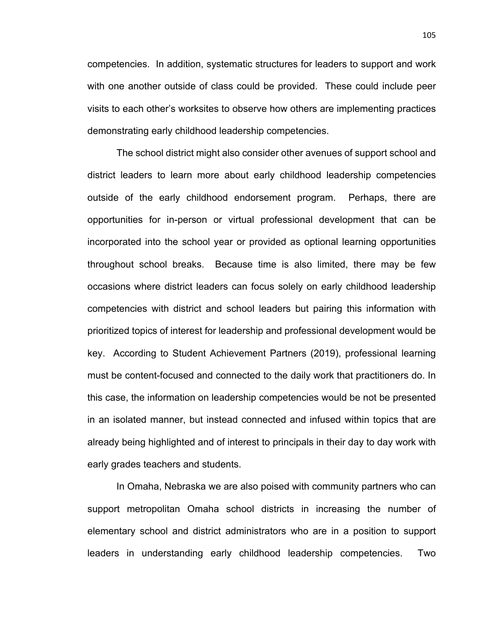competencies. In addition, systematic structures for leaders to support and work with one another outside of class could be provided. These could include peer visits to each other's worksites to observe how others are implementing practices demonstrating early childhood leadership competencies.

The school district might also consider other avenues of support school and district leaders to learn more about early childhood leadership competencies outside of the early childhood endorsement program. Perhaps, there are opportunities for in-person or virtual professional development that can be incorporated into the school year or provided as optional learning opportunities throughout school breaks. Because time is also limited, there may be few occasions where district leaders can focus solely on early childhood leadership competencies with district and school leaders but pairing this information with prioritized topics of interest for leadership and professional development would be key. According to Student Achievement Partners (2019), professional learning must be content-focused and connected to the daily work that practitioners do. In this case, the information on leadership competencies would be not be presented in an isolated manner, but instead connected and infused within topics that are already being highlighted and of interest to principals in their day to day work with early grades teachers and students.

In Omaha, Nebraska we are also poised with community partners who can support metropolitan Omaha school districts in increasing the number of elementary school and district administrators who are in a position to support leaders in understanding early childhood leadership competencies. Two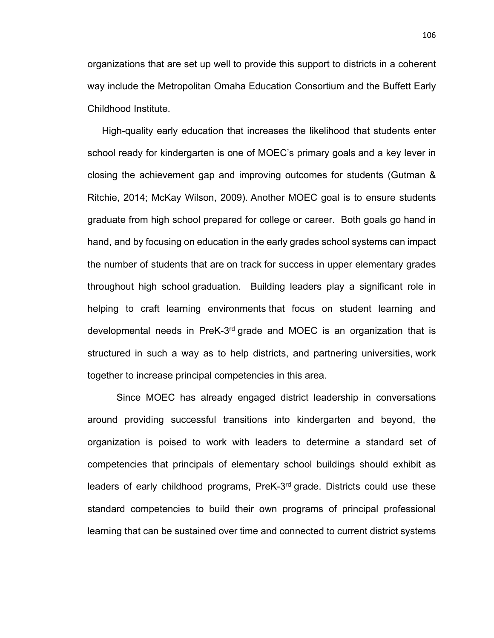organizations that are set up well to provide this support to districts in a coherent way include the Metropolitan Omaha Education Consortium and the Buffett Early Childhood Institute.

High-quality early education that increases the likelihood that students enter school ready for kindergarten is one of MOEC's primary goals and a key lever in closing the achievement gap and improving outcomes for students (Gutman & Ritchie, 2014; McKay Wilson, 2009). Another MOEC goal is to ensure students graduate from high school prepared for college or career. Both goals go hand in hand, and by focusing on education in the early grades school systems can impact the number of students that are on track for success in upper elementary grades throughout high school graduation. Building leaders play a significant role in helping to craft learning environments that focus on student learning and developmental needs in PreK-3rd grade and MOEC is an organization that is structured in such a way as to help districts, and partnering universities, work together to increase principal competencies in this area.

Since MOEC has already engaged district leadership in conversations around providing successful transitions into kindergarten and beyond, the organization is poised to work with leaders to determine a standard set of competencies that principals of elementary school buildings should exhibit as leaders of early childhood programs, PreK-3<sup>rd</sup> grade. Districts could use these standard competencies to build their own programs of principal professional learning that can be sustained over time and connected to current district systems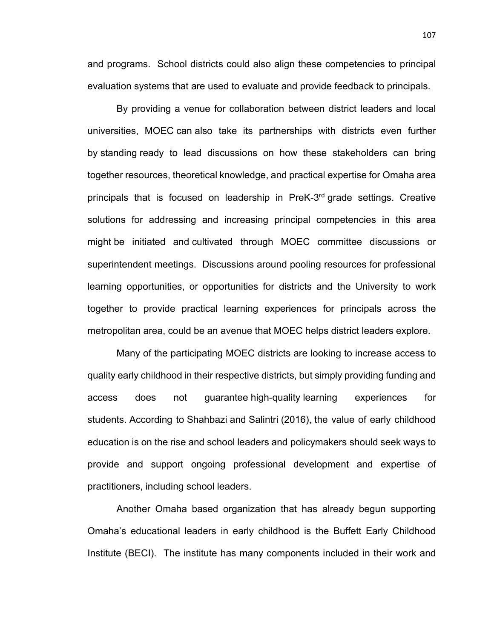and programs. School districts could also align these competencies to principal evaluation systems that are used to evaluate and provide feedback to principals.

By providing a venue for collaboration between district leaders and local universities, MOEC can also take its partnerships with districts even further by standing ready to lead discussions on how these stakeholders can bring together resources, theoretical knowledge, and practical expertise for Omaha area principals that is focused on leadership in PreK-3rd grade settings. Creative solutions for addressing and increasing principal competencies in this area might be initiated and cultivated through MOEC committee discussions or superintendent meetings. Discussions around pooling resources for professional learning opportunities, or opportunities for districts and the University to work together to provide practical learning experiences for principals across the metropolitan area, could be an avenue that MOEC helps district leaders explore.

Many of the participating MOEC districts are looking to increase access to quality early childhood in their respective districts, but simply providing funding and access does not guarantee high-quality learning experiences for students. According to Shahbazi and Salintri (2016), the value of early childhood education is on the rise and school leaders and policymakers should seek ways to provide and support ongoing professional development and expertise of practitioners, including school leaders.

Another Omaha based organization that has already begun supporting Omaha's educational leaders in early childhood is the Buffett Early Childhood Institute (BECI). The institute has many components included in their work and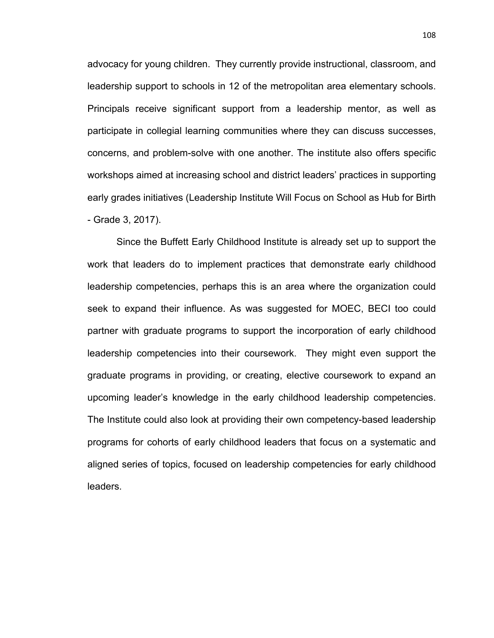advocacy for young children. They currently provide instructional, classroom, and leadership support to schools in 12 of the metropolitan area elementary schools. Principals receive significant support from a leadership mentor, as well as participate in collegial learning communities where they can discuss successes, concerns, and problem-solve with one another. The institute also offers specific workshops aimed at increasing school and district leaders' practices in supporting early grades initiatives (Leadership Institute Will Focus on School as Hub for Birth - Grade 3, 2017).

Since the Buffett Early Childhood Institute is already set up to support the work that leaders do to implement practices that demonstrate early childhood leadership competencies, perhaps this is an area where the organization could seek to expand their influence. As was suggested for MOEC, BECI too could partner with graduate programs to support the incorporation of early childhood leadership competencies into their coursework. They might even support the graduate programs in providing, or creating, elective coursework to expand an upcoming leader's knowledge in the early childhood leadership competencies. The Institute could also look at providing their own competency-based leadership programs for cohorts of early childhood leaders that focus on a systematic and aligned series of topics, focused on leadership competencies for early childhood leaders.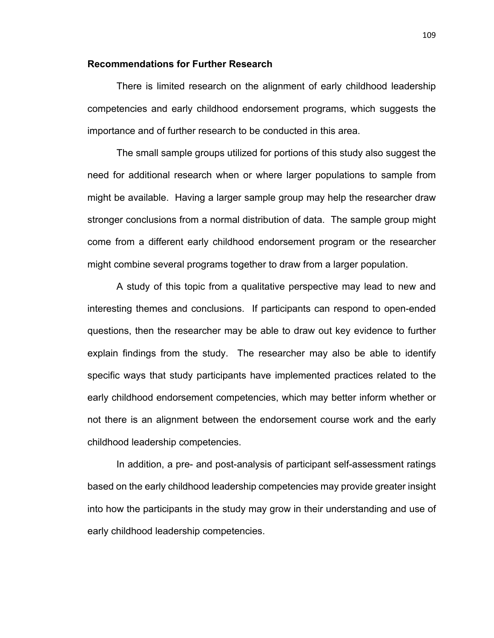### **Recommendations for Further Research**

There is limited research on the alignment of early childhood leadership competencies and early childhood endorsement programs, which suggests the importance and of further research to be conducted in this area.

The small sample groups utilized for portions of this study also suggest the need for additional research when or where larger populations to sample from might be available. Having a larger sample group may help the researcher draw stronger conclusions from a normal distribution of data. The sample group might come from a different early childhood endorsement program or the researcher might combine several programs together to draw from a larger population.

A study of this topic from a qualitative perspective may lead to new and interesting themes and conclusions. If participants can respond to open-ended questions, then the researcher may be able to draw out key evidence to further explain findings from the study. The researcher may also be able to identify specific ways that study participants have implemented practices related to the early childhood endorsement competencies, which may better inform whether or not there is an alignment between the endorsement course work and the early childhood leadership competencies.

In addition, a pre- and post-analysis of participant self-assessment ratings based on the early childhood leadership competencies may provide greater insight into how the participants in the study may grow in their understanding and use of early childhood leadership competencies.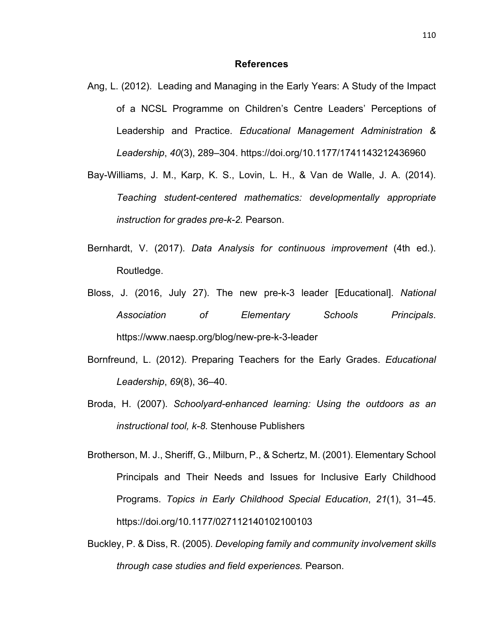#### **References**

- Ang, L. (2012). Leading and Managing in the Early Years: A Study of the Impact of a NCSL Programme on Children's Centre Leaders' Perceptions of Leadership and Practice. *Educational Management Administration & Leadership*, *40*(3), 289–304. https://doi.org/10.1177/1741143212436960
- Bay-Williams, J. M., Karp, K. S., Lovin, L. H., & Van de Walle, J. A. (2014). *Teaching student-centered mathematics: developmentally appropriate instruction for grades pre-k-2.* Pearson.
- Bernhardt, V. (2017). *Data Analysis for continuous improvement* (4th ed.). Routledge.
- Bloss, J. (2016, July 27). The new pre-k-3 leader [Educational]. *National Association of Elementary Schools Principals*. https://www.naesp.org/blog/new-pre-k-3-leader
- Bornfreund, L. (2012). Preparing Teachers for the Early Grades. *Educational Leadership*, *69*(8), 36–40.
- Broda, H. (2007). *Schoolyard-enhanced learning: Using the outdoors as an instructional tool, k-8.* Stenhouse Publishers
- Brotherson, M. J., Sheriff, G., Milburn, P., & Schertz, M. (2001). Elementary School Principals and Their Needs and Issues for Inclusive Early Childhood Programs. *Topics in Early Childhood Special Education*, *21*(1), 31–45. https://doi.org/10.1177/027112140102100103
- Buckley, P. & Diss, R. (2005). *Developing family and community involvement skills through case studies and field experiences.* Pearson.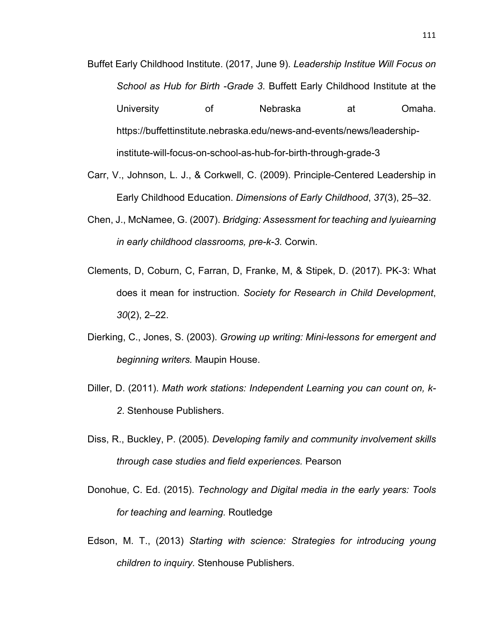- Buffet Early Childhood Institute. (2017, June 9). *Leadership Institue Will Focus on School as Hub for Birth -Grade 3*. Buffett Early Childhood Institute at the University of Nebraska at Omaha. https://buffettinstitute.nebraska.edu/news-and-events/news/leadershipinstitute-will-focus-on-school-as-hub-for-birth-through-grade-3
- Carr, V., Johnson, L. J., & Corkwell, C. (2009). Principle-Centered Leadership in Early Childhood Education. *Dimensions of Early Childhood*, *37*(3), 25–32.
- Chen, J., McNamee, G. (2007). *Bridging: Assessment for teaching and lyuiearning in early childhood classrooms, pre-k-3.* Corwin.
- Clements, D, Coburn, C, Farran, D, Franke, M, & Stipek, D. (2017). PK-3: What does it mean for instruction. *Society for Research in Child Development*, *30*(2), 2–22.
- Dierking, C., Jones, S. (2003). *Growing up writing: Mini-lessons for emergent and beginning writers.* Maupin House.
- Diller, D. (2011). *Math work stations: Independent Learning you can count on, k-2*. Stenhouse Publishers.
- Diss, R., Buckley, P. (2005). *Developing family and community involvement skills through case studies and field experiences.* Pearson
- Donohue, C. Ed. (2015). *Technology and Digital media in the early years: Tools for teaching and learning.* Routledge
- Edson, M. T., (2013) *Starting with science: Strategies for introducing young children to inquiry.* Stenhouse Publishers.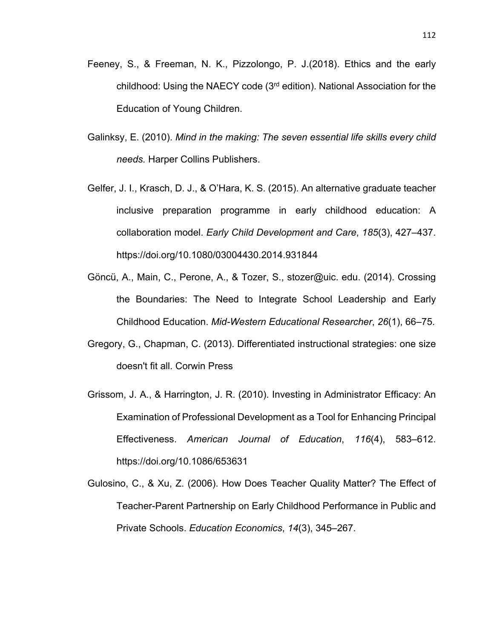- Feeney, S., & Freeman, N. K., Pizzolongo, P. J.(2018). Ethics and the early childhood: Using the NAECY code (3rd edition). National Association for the Education of Young Children.
- Galinksy, E. (2010). *Mind in the making: The seven essential life skills every child needs.* Harper Collins Publishers.
- Gelfer, J. I., Krasch, D. J., & O'Hara, K. S. (2015). An alternative graduate teacher inclusive preparation programme in early childhood education: A collaboration model. *Early Child Development and Care*, *185*(3), 427–437. https://doi.org/10.1080/03004430.2014.931844
- Göncü, A., Main, C., Perone, A., & Tozer, S., stozer@uic. edu. (2014). Crossing the Boundaries: The Need to Integrate School Leadership and Early Childhood Education. *Mid-Western Educational Researcher*, *26*(1), 66–75.
- Gregory, G., Chapman, C. (2013). Differentiated instructional strategies: one size doesn't fit all. Corwin Press
- Grissom, J. A., & Harrington, J. R. (2010). Investing in Administrator Efficacy: An Examination of Professional Development as a Tool for Enhancing Principal Effectiveness. *American Journal of Education*, *116*(4), 583–612. https://doi.org/10.1086/653631
- Gulosino, C., & Xu, Z. (2006). How Does Teacher Quality Matter? The Effect of Teacher-Parent Partnership on Early Childhood Performance in Public and Private Schools. *Education Economics*, *14*(3), 345–267.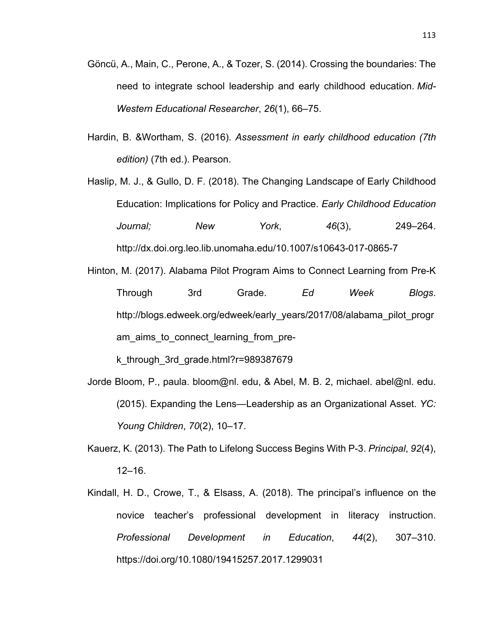- Göncü, A., Main, C., Perone, A., & Tozer, S. (2014). Crossing the boundaries: The need to integrate school leadership and early childhood education. *Mid-Western Educational Researcher*, *26*(1), 66–75.
- Hardin, B. &Wortham, S. (2016). *Assessment in early childhood education (7th edition)* (7th ed.). Pearson.

Haslip, M. J., & Gullo, D. F. (2018). The Changing Landscape of Early Childhood Education: Implications for Policy and Practice. *Early Childhood Education Journal; New York*, *46*(3), 249–264. http://dx.doi.org.leo.lib.unomaha.edu/10.1007/s10643-017-0865-7

Hinton, M. (2017). Alabama Pilot Program Aims to Connect Learning from Pre-K Through 3rd Grade. *Ed Week Blogs*. http://blogs.edweek.org/edweek/early\_years/2017/08/alabama\_pilot\_progr am\_aims\_to\_connect\_learning\_from\_pre-

k\_through\_3rd\_grade.html?r=989387679

- Jorde Bloom, P., paula. bloom@nl. edu, & Abel, M. B. 2, michael. abel@nl. edu. (2015). Expanding the Lens—Leadership as an Organizational Asset. *YC: Young Children*, *70*(2), 10–17.
- Kauerz, K. (2013). The Path to Lifelong Success Begins With P-3. *Principal*, *92*(4), 12–16.
- Kindall, H. D., Crowe, T., & Elsass, A. (2018). The principal's influence on the novice teacher's professional development in literacy instruction. *Professional Development in Education*, *44*(2), 307–310. https://doi.org/10.1080/19415257.2017.1299031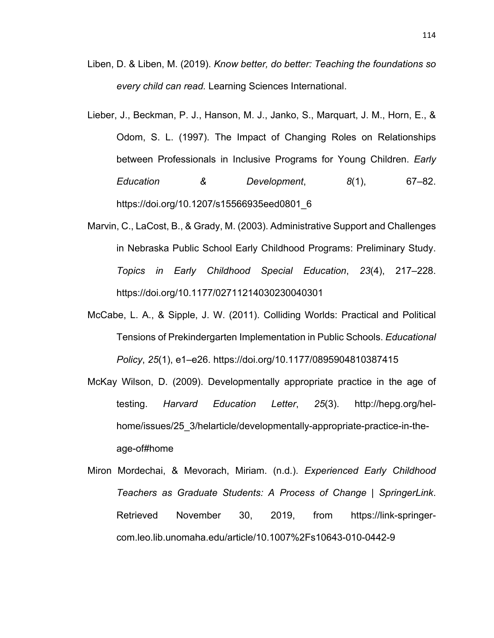- Liben, D. & Liben, M. (2019). *Know better, do better: Teaching the foundations so every child can read.* Learning Sciences International.
- Lieber, J., Beckman, P. J., Hanson, M. J., Janko, S., Marquart, J. M., Horn, E., & Odom, S. L. (1997). The Impact of Changing Roles on Relationships between Professionals in Inclusive Programs for Young Children. *Early Education & Development*, *8*(1), 67–82. https://doi.org/10.1207/s15566935eed0801\_6
- Marvin, C., LaCost, B., & Grady, M. (2003). Administrative Support and Challenges in Nebraska Public School Early Childhood Programs: Preliminary Study. *Topics in Early Childhood Special Education*, *23*(4), 217–228. https://doi.org/10.1177/02711214030230040301
- McCabe, L. A., & Sipple, J. W. (2011). Colliding Worlds: Practical and Political Tensions of Prekindergarten Implementation in Public Schools. *Educational Policy*, *25*(1), e1–e26. https://doi.org/10.1177/0895904810387415
- McKay Wilson, D. (2009). Developmentally appropriate practice in the age of testing. *Harvard Education Letter*, *25*(3). http://hepg.org/helhome/issues/25 3/helarticle/developmentally-appropriate-practice-in-theage-of#home
- Miron Mordechai, & Mevorach, Miriam. (n.d.). *Experienced Early Childhood Teachers as Graduate Students: A Process of Change | SpringerLink*. Retrieved November 30, 2019, from https://link-springercom.leo.lib.unomaha.edu/article/10.1007%2Fs10643-010-0442-9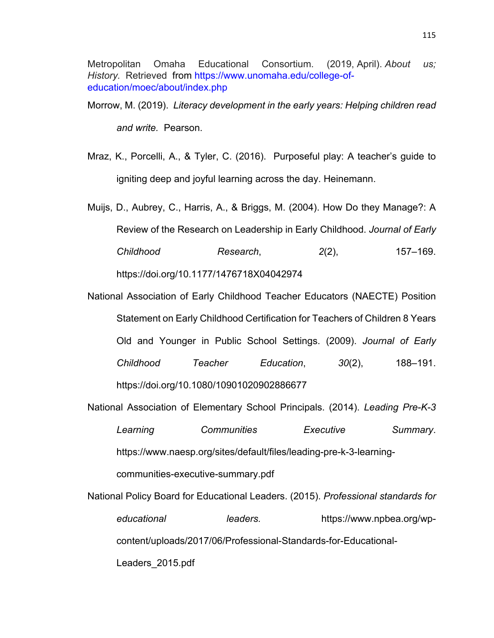Metropolitan Omaha Educational Consortium. (2019, April). *About us; History.* Retrieved from https://www.unomaha.edu/college-ofeducation/moec/about/index.php

- Morrow, M. (2019). *Literacy development in the early years: Helping children read and write.* Pearson.
- Mraz, K., Porcelli, A., & Tyler, C. (2016). Purposeful play: A teacher's guide to igniting deep and joyful learning across the day. Heinemann.
- Muijs, D., Aubrey, C., Harris, A., & Briggs, M. (2004). How Do they Manage?: A Review of the Research on Leadership in Early Childhood. *Journal of Early Childhood Research*, *2*(2), 157–169. https://doi.org/10.1177/1476718X04042974
- National Association of Early Childhood Teacher Educators (NAECTE) Position Statement on Early Childhood Certification for Teachers of Children 8 Years Old and Younger in Public School Settings. (2009). *Journal of Early Childhood Teacher Education*, *30*(2), 188–191. https://doi.org/10.1080/10901020902886677
- National Association of Elementary School Principals. (2014). *Leading Pre-K-3 Learning Communities Executive Summary*. https://www.naesp.org/sites/default/files/leading-pre-k-3-learningcommunities-executive-summary.pdf
- National Policy Board for Educational Leaders. (2015). *Professional standards for educational leaders.* https://www.npbea.org/wpcontent/uploads/2017/06/Professional-Standards-for-Educational-Leaders\_2015.pdf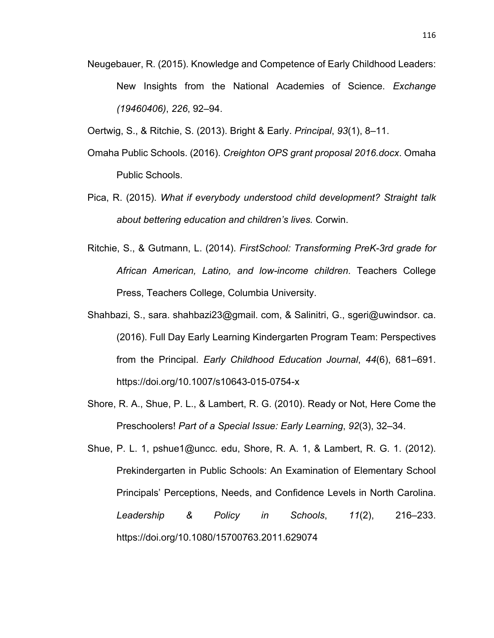- Neugebauer, R. (2015). Knowledge and Competence of Early Childhood Leaders: New Insights from the National Academies of Science. *Exchange (19460406)*, *226*, 92–94.
- Oertwig, S., & Ritchie, S. (2013). Bright & Early. *Principal*, *93*(1), 8–11.
- Omaha Public Schools. (2016). *Creighton OPS grant proposal 2016.docx*. Omaha Public Schools.
- Pica, R. (2015). *What if everybody understood child development? Straight talk about bettering education and children's lives.* Corwin.
- Ritchie, S., & Gutmann, L. (2014). *FirstSchool: Transforming PreK-3rd grade for African American, Latino, and low-income children*. Teachers College Press, Teachers College, Columbia University.
- Shahbazi, S., sara. shahbazi23@gmail. com, & Salinitri, G., sgeri@uwindsor. ca. (2016). Full Day Early Learning Kindergarten Program Team: Perspectives from the Principal. *Early Childhood Education Journal*, *44*(6), 681–691. https://doi.org/10.1007/s10643-015-0754-x
- Shore, R. A., Shue, P. L., & Lambert, R. G. (2010). Ready or Not, Here Come the Preschoolers! *Part of a Special Issue: Early Learning*, *92*(3), 32–34.
- Shue, P. L. 1, pshue1@uncc. edu, Shore, R. A. 1, & Lambert, R. G. 1. (2012). Prekindergarten in Public Schools: An Examination of Elementary School Principals' Perceptions, Needs, and Confidence Levels in North Carolina. *Leadership & Policy in Schools*, *11*(2), 216–233. https://doi.org/10.1080/15700763.2011.629074